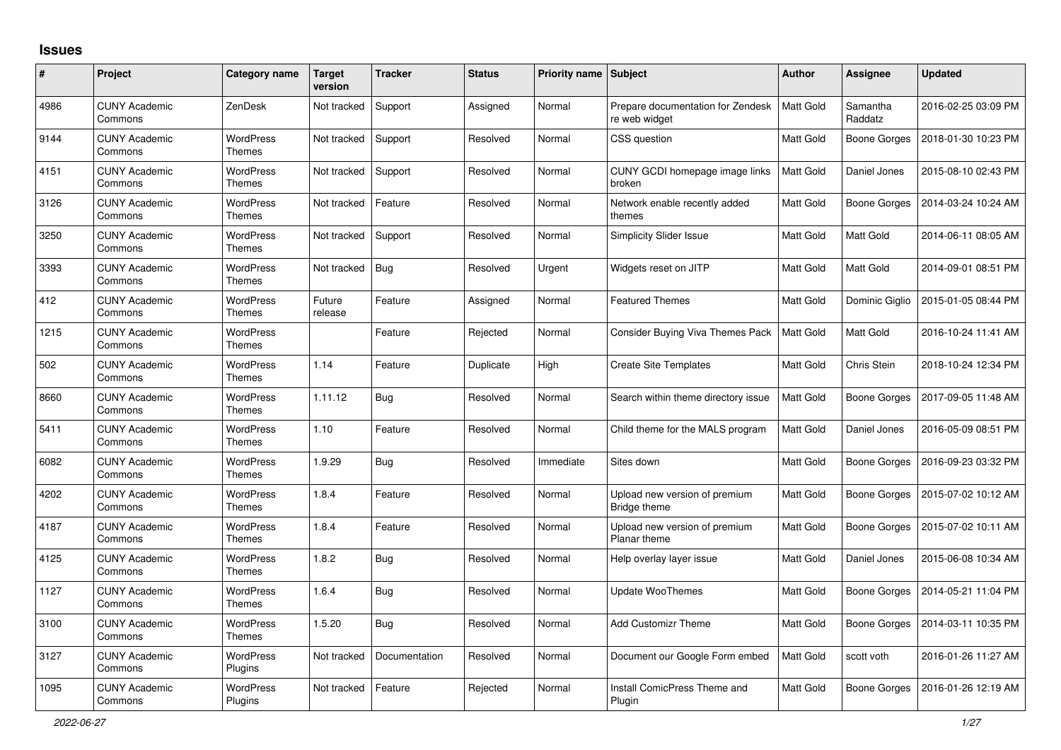## **Issues**

| #    | Project                         | <b>Category name</b>              | <b>Target</b><br>version | <b>Tracker</b> | <b>Status</b> | <b>Priority name</b> | Subject                                            | <b>Author</b>    | <b>Assignee</b>     | <b>Updated</b>      |
|------|---------------------------------|-----------------------------------|--------------------------|----------------|---------------|----------------------|----------------------------------------------------|------------------|---------------------|---------------------|
| 4986 | <b>CUNY Academic</b><br>Commons | ZenDesk                           | Not tracked              | Support        | Assigned      | Normal               | Prepare documentation for Zendesk<br>re web widget | Matt Gold        | Samantha<br>Raddatz | 2016-02-25 03:09 PM |
| 9144 | <b>CUNY Academic</b><br>Commons | WordPress<br>Themes               | Not tracked              | Support        | Resolved      | Normal               | CSS question                                       | Matt Gold        | Boone Gorges        | 2018-01-30 10:23 PM |
| 4151 | <b>CUNY Academic</b><br>Commons | <b>WordPress</b><br>Themes        | Not tracked              | Support        | Resolved      | Normal               | CUNY GCDI homepage image links<br>broken           | Matt Gold        | Daniel Jones        | 2015-08-10 02:43 PM |
| 3126 | <b>CUNY Academic</b><br>Commons | <b>WordPress</b><br><b>Themes</b> | Not tracked              | Feature        | Resolved      | Normal               | Network enable recently added<br>themes            | Matt Gold        | Boone Gorges        | 2014-03-24 10:24 AM |
| 3250 | <b>CUNY Academic</b><br>Commons | <b>WordPress</b><br>Themes        | Not tracked              | Support        | Resolved      | Normal               | <b>Simplicity Slider Issue</b>                     | Matt Gold        | Matt Gold           | 2014-06-11 08:05 AM |
| 3393 | <b>CUNY Academic</b><br>Commons | <b>WordPress</b><br>Themes        | Not tracked              | <b>Bug</b>     | Resolved      | Urgent               | Widgets reset on JITP                              | Matt Gold        | Matt Gold           | 2014-09-01 08:51 PM |
| 412  | <b>CUNY Academic</b><br>Commons | <b>WordPress</b><br>Themes        | Future<br>release        | Feature        | Assigned      | Normal               | <b>Featured Themes</b>                             | Matt Gold        | Dominic Giglio      | 2015-01-05 08:44 PM |
| 1215 | <b>CUNY Academic</b><br>Commons | <b>WordPress</b><br><b>Themes</b> |                          | Feature        | Rejected      | Normal               | Consider Buying Viva Themes Pack                   | Matt Gold        | Matt Gold           | 2016-10-24 11:41 AM |
| 502  | <b>CUNY Academic</b><br>Commons | <b>WordPress</b><br><b>Themes</b> | 1.14                     | Feature        | Duplicate     | High                 | <b>Create Site Templates</b>                       | Matt Gold        | Chris Stein         | 2018-10-24 12:34 PM |
| 8660 | <b>CUNY Academic</b><br>Commons | WordPress<br><b>Themes</b>        | 1.11.12                  | <b>Bug</b>     | Resolved      | Normal               | Search within theme directory issue                | Matt Gold        | Boone Gorges        | 2017-09-05 11:48 AM |
| 5411 | <b>CUNY Academic</b><br>Commons | <b>WordPress</b><br>Themes        | 1.10                     | Feature        | Resolved      | Normal               | Child theme for the MALS program                   | Matt Gold        | Daniel Jones        | 2016-05-09 08:51 PM |
| 6082 | <b>CUNY Academic</b><br>Commons | WordPress<br>Themes               | 1.9.29                   | Bug            | Resolved      | Immediate            | Sites down                                         | Matt Gold        | Boone Gorges        | 2016-09-23 03:32 PM |
| 4202 | <b>CUNY Academic</b><br>Commons | <b>WordPress</b><br>Themes        | 1.8.4                    | Feature        | Resolved      | Normal               | Upload new version of premium<br>Bridge theme      | Matt Gold        | Boone Gorges        | 2015-07-02 10:12 AM |
| 4187 | <b>CUNY Academic</b><br>Commons | <b>WordPress</b><br>Themes        | 1.8.4                    | Feature        | Resolved      | Normal               | Upload new version of premium<br>Planar theme      | Matt Gold        | Boone Gorges        | 2015-07-02 10:11 AM |
| 4125 | <b>CUNY Academic</b><br>Commons | <b>WordPress</b><br>Themes        | 1.8.2                    | <b>Bug</b>     | Resolved      | Normal               | Help overlay layer issue                           | <b>Matt Gold</b> | Daniel Jones        | 2015-06-08 10:34 AM |
| 1127 | <b>CUNY Academic</b><br>Commons | WordPress<br>Themes               | 1.6.4                    | <b>Bug</b>     | Resolved      | Normal               | <b>Update WooThemes</b>                            | Matt Gold        | Boone Gorges        | 2014-05-21 11:04 PM |
| 3100 | <b>CUNY Academic</b><br>Commons | <b>WordPress</b><br>Themes        | 1.5.20                   | <b>Bug</b>     | Resolved      | Normal               | <b>Add Customizr Theme</b>                         | <b>Matt Gold</b> | Boone Gorges        | 2014-03-11 10:35 PM |
| 3127 | <b>CUNY Academic</b><br>Commons | WordPress<br>Plugins              | Not tracked              | Documentation  | Resolved      | Normal               | Document our Google Form embed                     | Matt Gold        | scott voth          | 2016-01-26 11:27 AM |
| 1095 | <b>CUNY Academic</b><br>Commons | WordPress<br>Plugins              | Not tracked              | Feature        | Rejected      | Normal               | Install ComicPress Theme and<br>Plugin             | Matt Gold        | Boone Gorges        | 2016-01-26 12:19 AM |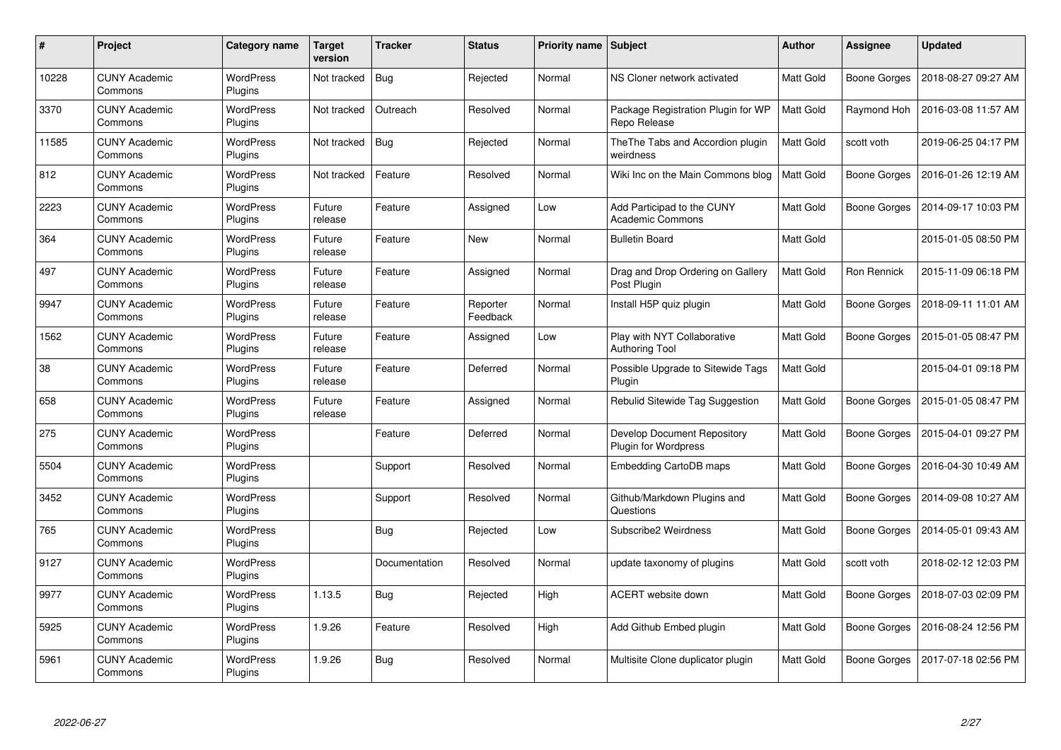| #     | Project                         | Category name               | <b>Target</b><br>version | <b>Tracker</b> | <b>Status</b>        | <b>Priority name   Subject</b> |                                                                   | <b>Author</b> | Assignee     | <b>Updated</b>      |
|-------|---------------------------------|-----------------------------|--------------------------|----------------|----------------------|--------------------------------|-------------------------------------------------------------------|---------------|--------------|---------------------|
| 10228 | <b>CUNY Academic</b><br>Commons | <b>WordPress</b><br>Plugins | Not tracked              | <b>Bug</b>     | Rejected             | Normal                         | NS Cloner network activated                                       | Matt Gold     | Boone Gorges | 2018-08-27 09:27 AM |
| 3370  | <b>CUNY Academic</b><br>Commons | <b>WordPress</b><br>Plugins | Not tracked              | Outreach       | Resolved             | Normal                         | Package Registration Plugin for WP<br>Repo Release                | Matt Gold     | Raymond Hoh  | 2016-03-08 11:57 AM |
| 11585 | <b>CUNY Academic</b><br>Commons | <b>WordPress</b><br>Plugins | Not tracked              | Bug            | Rejected             | Normal                         | The The Tabs and Accordion plugin<br>weirdness                    | Matt Gold     | scott voth   | 2019-06-25 04:17 PM |
| 812   | <b>CUNY Academic</b><br>Commons | <b>WordPress</b><br>Plugins | Not tracked              | Feature        | Resolved             | Normal                         | Wiki Inc on the Main Commons blog                                 | Matt Gold     | Boone Gorges | 2016-01-26 12:19 AM |
| 2223  | <b>CUNY Academic</b><br>Commons | <b>WordPress</b><br>Plugins | Future<br>release        | Feature        | Assigned             | Low                            | Add Participad to the CUNY<br><b>Academic Commons</b>             | Matt Gold     | Boone Gorges | 2014-09-17 10:03 PM |
| 364   | <b>CUNY Academic</b><br>Commons | <b>WordPress</b><br>Plugins | Future<br>release        | Feature        | <b>New</b>           | Normal                         | <b>Bulletin Board</b>                                             | Matt Gold     |              | 2015-01-05 08:50 PM |
| 497   | <b>CUNY Academic</b><br>Commons | <b>WordPress</b><br>Plugins | Future<br>release        | Feature        | Assigned             | Normal                         | Drag and Drop Ordering on Gallery<br>Post Plugin                  | Matt Gold     | Ron Rennick  | 2015-11-09 06:18 PM |
| 9947  | <b>CUNY Academic</b><br>Commons | WordPress<br>Plugins        | Future<br>release        | Feature        | Reporter<br>Feedback | Normal                         | Install H5P quiz plugin                                           | Matt Gold     | Boone Gorges | 2018-09-11 11:01 AM |
| 1562  | <b>CUNY Academic</b><br>Commons | <b>WordPress</b><br>Plugins | Future<br>release        | Feature        | Assigned             | Low                            | Play with NYT Collaborative<br>Authoring Tool                     | Matt Gold     | Boone Gorges | 2015-01-05 08:47 PM |
| 38    | <b>CUNY Academic</b><br>Commons | <b>WordPress</b><br>Plugins | Future<br>release        | Feature        | Deferred             | Normal                         | Possible Upgrade to Sitewide Tags<br>Plugin                       | Matt Gold     |              | 2015-04-01 09:18 PM |
| 658   | <b>CUNY Academic</b><br>Commons | WordPress<br>Plugins        | Future<br>release        | Feature        | Assigned             | Normal                         | Rebulid Sitewide Tag Suggestion                                   | Matt Gold     | Boone Gorges | 2015-01-05 08:47 PM |
| 275   | <b>CUNY Academic</b><br>Commons | WordPress<br>Plugins        |                          | Feature        | Deferred             | Normal                         | <b>Develop Document Repository</b><br><b>Plugin for Wordpress</b> | Matt Gold     | Boone Gorges | 2015-04-01 09:27 PM |
| 5504  | <b>CUNY Academic</b><br>Commons | <b>WordPress</b><br>Plugins |                          | Support        | Resolved             | Normal                         | Embedding CartoDB maps                                            | Matt Gold     | Boone Gorges | 2016-04-30 10:49 AM |
| 3452  | <b>CUNY Academic</b><br>Commons | <b>WordPress</b><br>Plugins |                          | Support        | Resolved             | Normal                         | Github/Markdown Plugins and<br>Questions                          | Matt Gold     | Boone Gorges | 2014-09-08 10:27 AM |
| 765   | <b>CUNY Academic</b><br>Commons | <b>WordPress</b><br>Plugins |                          | Bug            | Rejected             | Low                            | Subscribe2 Weirdness                                              | Matt Gold     | Boone Gorges | 2014-05-01 09:43 AM |
| 9127  | <b>CUNY Academic</b><br>Commons | WordPress<br>Plugins        |                          | Documentation  | Resolved             | Normal                         | update taxonomy of plugins                                        | Matt Gold     | scott voth   | 2018-02-12 12:03 PM |
| 9977  | <b>CUNY Academic</b><br>Commons | <b>WordPress</b><br>Plugins | 1.13.5                   | <b>Bug</b>     | Rejected             | High                           | ACERT website down                                                | Matt Gold     | Boone Gorges | 2018-07-03 02:09 PM |
| 5925  | <b>CUNY Academic</b><br>Commons | <b>WordPress</b><br>Plugins | 1.9.26                   | Feature        | Resolved             | High                           | Add Github Embed plugin                                           | Matt Gold     | Boone Gorges | 2016-08-24 12:56 PM |
| 5961  | CUNY Academic<br>Commons        | <b>WordPress</b><br>Plugins | 1.9.26                   | Bug            | Resolved             | Normal                         | Multisite Clone duplicator plugin                                 | Matt Gold     | Boone Gorges | 2017-07-18 02:56 PM |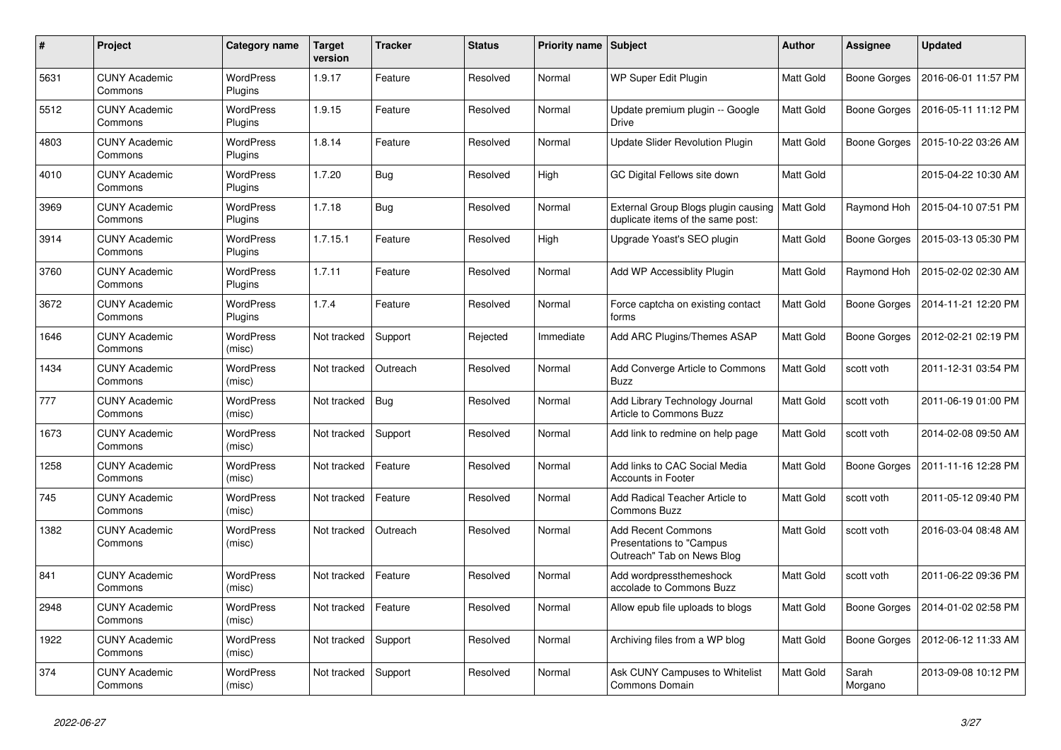| #    | Project                         | Category name               | <b>Target</b><br>version | <b>Tracker</b> | <b>Status</b> | Priority name Subject |                                                                                      | Author           | Assignee            | <b>Updated</b>      |
|------|---------------------------------|-----------------------------|--------------------------|----------------|---------------|-----------------------|--------------------------------------------------------------------------------------|------------------|---------------------|---------------------|
| 5631 | <b>CUNY Academic</b><br>Commons | <b>WordPress</b><br>Plugins | 1.9.17                   | Feature        | Resolved      | Normal                | <b>WP Super Edit Plugin</b>                                                          | <b>Matt Gold</b> | Boone Gorges        | 2016-06-01 11:57 PM |
| 5512 | <b>CUNY Academic</b><br>Commons | <b>WordPress</b><br>Plugins | 1.9.15                   | Feature        | Resolved      | Normal                | Update premium plugin -- Google<br>Drive                                             | <b>Matt Gold</b> | Boone Gorges        | 2016-05-11 11:12 PM |
| 4803 | <b>CUNY Academic</b><br>Commons | <b>WordPress</b><br>Plugins | 1.8.14                   | Feature        | Resolved      | Normal                | Update Slider Revolution Plugin                                                      | Matt Gold        | Boone Gorges        | 2015-10-22 03:26 AM |
| 4010 | <b>CUNY Academic</b><br>Commons | <b>WordPress</b><br>Plugins | 1.7.20                   | <b>Bug</b>     | Resolved      | High                  | GC Digital Fellows site down                                                         | Matt Gold        |                     | 2015-04-22 10:30 AM |
| 3969 | <b>CUNY Academic</b><br>Commons | <b>WordPress</b><br>Plugins | 1.7.18                   | <b>Bug</b>     | Resolved      | Normal                | External Group Blogs plugin causing   Matt Gold<br>duplicate items of the same post: |                  | Raymond Hoh         | 2015-04-10 07:51 PM |
| 3914 | <b>CUNY Academic</b><br>Commons | <b>WordPress</b><br>Plugins | 1.7.15.1                 | Feature        | Resolved      | High                  | Upgrade Yoast's SEO plugin                                                           | Matt Gold        | Boone Gorges        | 2015-03-13 05:30 PM |
| 3760 | <b>CUNY Academic</b><br>Commons | <b>WordPress</b><br>Plugins | 1.7.11                   | Feature        | Resolved      | Normal                | Add WP Accessiblity Plugin                                                           | Matt Gold        | Raymond Hoh         | 2015-02-02 02:30 AM |
| 3672 | <b>CUNY Academic</b><br>Commons | <b>WordPress</b><br>Plugins | 1.7.4                    | Feature        | Resolved      | Normal                | Force captcha on existing contact<br>forms                                           | Matt Gold        | Boone Gorges        | 2014-11-21 12:20 PM |
| 1646 | <b>CUNY Academic</b><br>Commons | <b>WordPress</b><br>(misc)  | Not tracked              | Support        | Rejected      | Immediate             | Add ARC Plugins/Themes ASAP                                                          | Matt Gold        | <b>Boone Gorges</b> | 2012-02-21 02:19 PM |
| 1434 | <b>CUNY Academic</b><br>Commons | <b>WordPress</b><br>(misc)  | Not tracked              | Outreach       | Resolved      | Normal                | Add Converge Article to Commons<br><b>Buzz</b>                                       | Matt Gold        | scott voth          | 2011-12-31 03:54 PM |
| 777  | <b>CUNY Academic</b><br>Commons | <b>WordPress</b><br>(misc)  | Not tracked              | <b>Bug</b>     | Resolved      | Normal                | Add Library Technology Journal<br>Article to Commons Buzz                            | Matt Gold        | scott voth          | 2011-06-19 01:00 PM |
| 1673 | <b>CUNY Academic</b><br>Commons | <b>WordPress</b><br>(misc)  | Not tracked              | Support        | Resolved      | Normal                | Add link to redmine on help page                                                     | Matt Gold        | scott voth          | 2014-02-08 09:50 AM |
| 1258 | <b>CUNY Academic</b><br>Commons | WordPress<br>(misc)         | Not tracked              | Feature        | Resolved      | Normal                | Add links to CAC Social Media<br><b>Accounts in Footer</b>                           | Matt Gold        | Boone Gorges        | 2011-11-16 12:28 PM |
| 745  | <b>CUNY Academic</b><br>Commons | WordPress<br>(misc)         | Not tracked              | Feature        | Resolved      | Normal                | Add Radical Teacher Article to<br><b>Commons Buzz</b>                                | Matt Gold        | scott voth          | 2011-05-12 09:40 PM |
| 1382 | <b>CUNY Academic</b><br>Commons | <b>WordPress</b><br>(misc)  | Not tracked              | Outreach       | Resolved      | Normal                | <b>Add Recent Commons</b><br>Presentations to "Campus<br>Outreach" Tab on News Blog  | <b>Matt Gold</b> | scott voth          | 2016-03-04 08:48 AM |
| 841  | <b>CUNY Academic</b><br>Commons | <b>WordPress</b><br>(misc)  | Not tracked              | Feature        | Resolved      | Normal                | Add wordpressthemeshock<br>accolade to Commons Buzz                                  | Matt Gold        | scott voth          | 2011-06-22 09:36 PM |
| 2948 | <b>CUNY Academic</b><br>Commons | <b>WordPress</b><br>(misc)  | Not tracked              | Feature        | Resolved      | Normal                | Allow epub file uploads to blogs                                                     | Matt Gold        | Boone Gorges        | 2014-01-02 02:58 PM |
| 1922 | <b>CUNY Academic</b><br>Commons | <b>WordPress</b><br>(misc)  | Not tracked              | Support        | Resolved      | Normal                | Archiving files from a WP blog                                                       | Matt Gold        | Boone Gorges        | 2012-06-12 11:33 AM |
| 374  | <b>CUNY Academic</b><br>Commons | WordPress<br>(misc)         | Not tracked              | Support        | Resolved      | Normal                | Ask CUNY Campuses to Whitelist<br>Commons Domain                                     | Matt Gold        | Sarah<br>Morgano    | 2013-09-08 10:12 PM |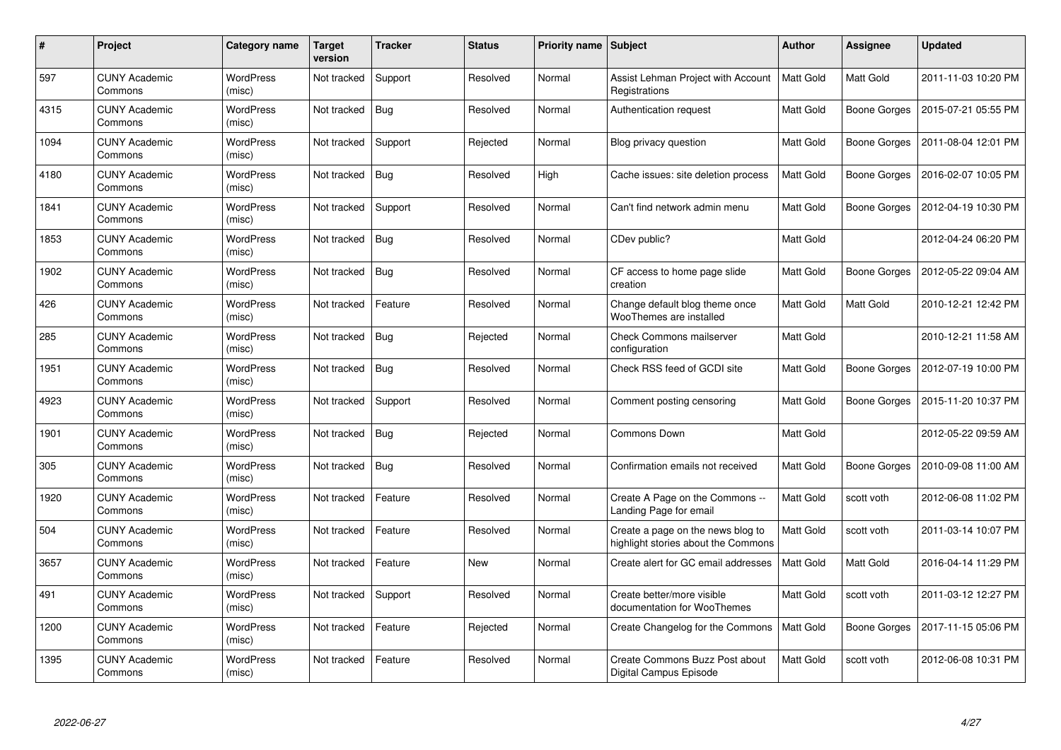| #    | Project                         | Category name              | <b>Target</b><br>version | <b>Tracker</b> | <b>Status</b> | <b>Priority name   Subject</b> |                                                                          | Author           | Assignee            | <b>Updated</b>      |
|------|---------------------------------|----------------------------|--------------------------|----------------|---------------|--------------------------------|--------------------------------------------------------------------------|------------------|---------------------|---------------------|
| 597  | <b>CUNY Academic</b><br>Commons | <b>WordPress</b><br>(misc) | Not tracked              | Support        | Resolved      | Normal                         | Assist Lehman Project with Account<br>Registrations                      | <b>Matt Gold</b> | <b>Matt Gold</b>    | 2011-11-03 10:20 PM |
| 4315 | <b>CUNY Academic</b><br>Commons | <b>WordPress</b><br>(misc) | Not tracked              | Bug            | Resolved      | Normal                         | Authentication request                                                   | Matt Gold        | Boone Gorges        | 2015-07-21 05:55 PM |
| 1094 | <b>CUNY Academic</b><br>Commons | <b>WordPress</b><br>(misc) | Not tracked              | Support        | Rejected      | Normal                         | Blog privacy question                                                    | Matt Gold        | Boone Gorges        | 2011-08-04 12:01 PM |
| 4180 | <b>CUNY Academic</b><br>Commons | <b>WordPress</b><br>(misc) | Not tracked              | Bug            | Resolved      | High                           | Cache issues: site deletion process                                      | Matt Gold        | Boone Gorges        | 2016-02-07 10:05 PM |
| 1841 | <b>CUNY Academic</b><br>Commons | <b>WordPress</b><br>(misc) | Not tracked              | Support        | Resolved      | Normal                         | Can't find network admin menu                                            | Matt Gold        | <b>Boone Gorges</b> | 2012-04-19 10:30 PM |
| 1853 | <b>CUNY Academic</b><br>Commons | <b>WordPress</b><br>(misc) | Not tracked              | <b>Bug</b>     | Resolved      | Normal                         | CDev public?                                                             | Matt Gold        |                     | 2012-04-24 06:20 PM |
| 1902 | <b>CUNY Academic</b><br>Commons | WordPress<br>(misc)        | Not tracked              | <b>Bug</b>     | Resolved      | Normal                         | CF access to home page slide<br>creation                                 | Matt Gold        | Boone Gorges        | 2012-05-22 09:04 AM |
| 426  | <b>CUNY Academic</b><br>Commons | WordPress<br>(misc)        | Not tracked              | Feature        | Resolved      | Normal                         | Change default blog theme once<br>WooThemes are installed                | Matt Gold        | Matt Gold           | 2010-12-21 12:42 PM |
| 285  | <b>CUNY Academic</b><br>Commons | <b>WordPress</b><br>(misc) | Not tracked              | <b>Bug</b>     | Rejected      | Normal                         | Check Commons mailserver<br>configuration                                | Matt Gold        |                     | 2010-12-21 11:58 AM |
| 1951 | <b>CUNY Academic</b><br>Commons | WordPress<br>(misc)        | Not tracked              | <b>Bug</b>     | Resolved      | Normal                         | Check RSS feed of GCDI site                                              | <b>Matt Gold</b> | Boone Gorges        | 2012-07-19 10:00 PM |
| 4923 | <b>CUNY Academic</b><br>Commons | <b>WordPress</b><br>(misc) | Not tracked              | Support        | Resolved      | Normal                         | Comment posting censoring                                                | Matt Gold        | <b>Boone Gorges</b> | 2015-11-20 10:37 PM |
| 1901 | <b>CUNY Academic</b><br>Commons | <b>WordPress</b><br>(misc) | Not tracked              | <b>Bug</b>     | Rejected      | Normal                         | Commons Down                                                             | Matt Gold        |                     | 2012-05-22 09:59 AM |
| 305  | <b>CUNY Academic</b><br>Commons | <b>WordPress</b><br>(misc) | Not tracked              | <b>Bug</b>     | Resolved      | Normal                         | Confirmation emails not received                                         | Matt Gold        | Boone Gorges        | 2010-09-08 11:00 AM |
| 1920 | <b>CUNY Academic</b><br>Commons | <b>WordPress</b><br>(misc) | Not tracked              | Feature        | Resolved      | Normal                         | Create A Page on the Commons --<br>Landing Page for email                | Matt Gold        | scott voth          | 2012-06-08 11:02 PM |
| 504  | <b>CUNY Academic</b><br>Commons | WordPress<br>(misc)        | Not tracked              | Feature        | Resolved      | Normal                         | Create a page on the news blog to<br>highlight stories about the Commons | Matt Gold        | scott voth          | 2011-03-14 10:07 PM |
| 3657 | <b>CUNY Academic</b><br>Commons | WordPress<br>(misc)        | Not tracked              | Feature        | <b>New</b>    | Normal                         | Create alert for GC email addresses                                      | Matt Gold        | Matt Gold           | 2016-04-14 11:29 PM |
| 491  | <b>CUNY Academic</b><br>Commons | <b>WordPress</b><br>(misc) | Not tracked              | Support        | Resolved      | Normal                         | Create better/more visible<br>documentation for WooThemes                | Matt Gold        | scott voth          | 2011-03-12 12:27 PM |
| 1200 | <b>CUNY Academic</b><br>Commons | <b>WordPress</b><br>(misc) | Not tracked              | Feature        | Rejected      | Normal                         | Create Changelog for the Commons                                         | Matt Gold        | Boone Gorges        | 2017-11-15 05:06 PM |
| 1395 | <b>CUNY Academic</b><br>Commons | <b>WordPress</b><br>(misc) | Not tracked              | Feature        | Resolved      | Normal                         | Create Commons Buzz Post about<br>Digital Campus Episode                 | Matt Gold        | scott voth          | 2012-06-08 10:31 PM |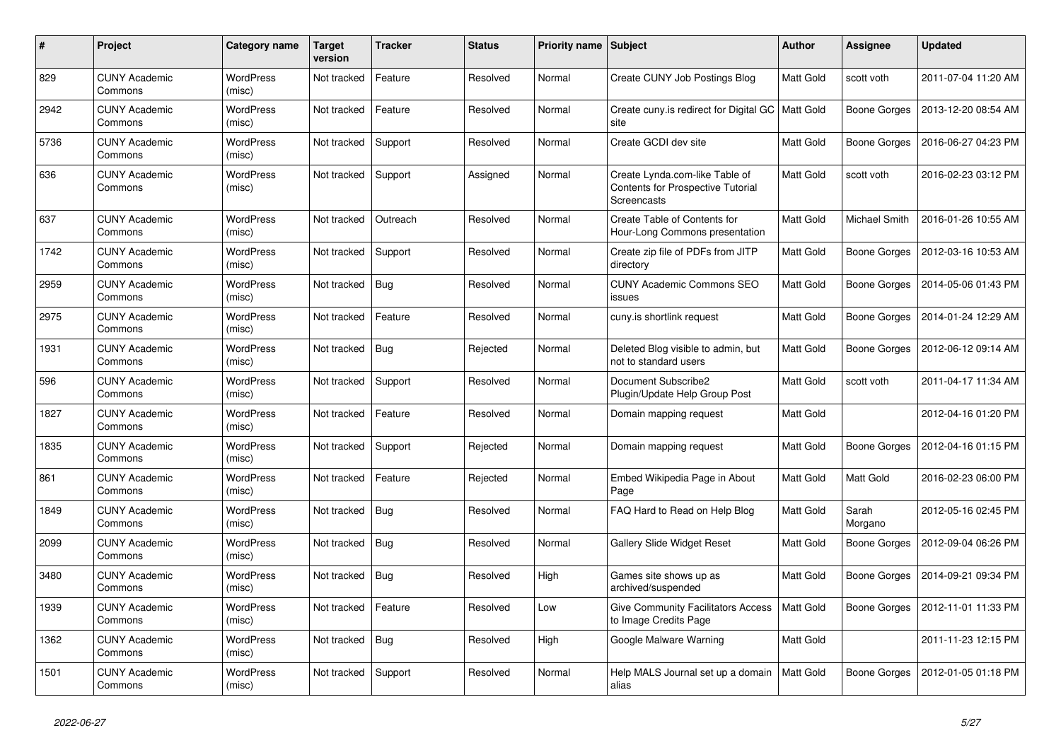| $\#$ | Project                         | Category name              | <b>Target</b><br>version | <b>Tracker</b> | <b>Status</b> | <b>Priority name</b> | Subject                                                                                   | <b>Author</b>    | Assignee         | <b>Updated</b>      |
|------|---------------------------------|----------------------------|--------------------------|----------------|---------------|----------------------|-------------------------------------------------------------------------------------------|------------------|------------------|---------------------|
| 829  | <b>CUNY Academic</b><br>Commons | <b>WordPress</b><br>(misc) | Not tracked              | Feature        | Resolved      | Normal               | Create CUNY Job Postings Blog                                                             | <b>Matt Gold</b> | scott voth       | 2011-07-04 11:20 AM |
| 2942 | <b>CUNY Academic</b><br>Commons | <b>WordPress</b><br>(misc) | Not tracked              | Feature        | Resolved      | Normal               | Create cuny is redirect for Digital GC<br>site                                            | Matt Gold        | Boone Gorges     | 2013-12-20 08:54 AM |
| 5736 | <b>CUNY Academic</b><br>Commons | <b>WordPress</b><br>(misc) | Not tracked              | Support        | Resolved      | Normal               | Create GCDI dev site                                                                      | <b>Matt Gold</b> | Boone Gorges     | 2016-06-27 04:23 PM |
| 636  | <b>CUNY Academic</b><br>Commons | WordPress<br>(misc)        | Not tracked              | Support        | Assigned      | Normal               | Create Lynda.com-like Table of<br>Contents for Prospective Tutorial<br><b>Screencasts</b> | <b>Matt Gold</b> | scott voth       | 2016-02-23 03:12 PM |
| 637  | <b>CUNY Academic</b><br>Commons | WordPress<br>(misc)        | Not tracked              | Outreach       | Resolved      | Normal               | Create Table of Contents for<br>Hour-Long Commons presentation                            | <b>Matt Gold</b> | Michael Smith    | 2016-01-26 10:55 AM |
| 1742 | <b>CUNY Academic</b><br>Commons | <b>WordPress</b><br>(misc) | Not tracked              | Support        | Resolved      | Normal               | Create zip file of PDFs from JITP<br>directory                                            | Matt Gold        | Boone Gorges     | 2012-03-16 10:53 AM |
| 2959 | <b>CUNY Academic</b><br>Commons | WordPress<br>(misc)        | Not tracked              | <b>Bug</b>     | Resolved      | Normal               | <b>CUNY Academic Commons SEO</b><br>issues                                                | <b>Matt Gold</b> | Boone Gorges     | 2014-05-06 01:43 PM |
| 2975 | <b>CUNY Academic</b><br>Commons | <b>WordPress</b><br>(misc) | Not tracked              | Feature        | Resolved      | Normal               | cuny.is shortlink request                                                                 | <b>Matt Gold</b> | Boone Gorges     | 2014-01-24 12:29 AM |
| 1931 | <b>CUNY Academic</b><br>Commons | <b>WordPress</b><br>(misc) | Not tracked              | Bug            | Rejected      | Normal               | Deleted Blog visible to admin, but<br>not to standard users                               | <b>Matt Gold</b> | Boone Gorges     | 2012-06-12 09:14 AM |
| 596  | <b>CUNY Academic</b><br>Commons | <b>WordPress</b><br>(misc) | Not tracked              | Support        | Resolved      | Normal               | Document Subscribe2<br>Plugin/Update Help Group Post                                      | <b>Matt Gold</b> | scott voth       | 2011-04-17 11:34 AM |
| 1827 | <b>CUNY Academic</b><br>Commons | <b>WordPress</b><br>(misc) | Not tracked              | Feature        | Resolved      | Normal               | Domain mapping request                                                                    | <b>Matt Gold</b> |                  | 2012-04-16 01:20 PM |
| 1835 | <b>CUNY Academic</b><br>Commons | <b>WordPress</b><br>(misc) | Not tracked              | Support        | Rejected      | Normal               | Domain mapping request                                                                    | <b>Matt Gold</b> | Boone Gorges     | 2012-04-16 01:15 PM |
| 861  | <b>CUNY Academic</b><br>Commons | <b>WordPress</b><br>(misc) | Not tracked              | Feature        | Rejected      | Normal               | Embed Wikipedia Page in About<br>Page                                                     | Matt Gold        | <b>Matt Gold</b> | 2016-02-23 06:00 PM |
| 1849 | <b>CUNY Academic</b><br>Commons | <b>WordPress</b><br>(misc) | Not tracked              | <b>Bug</b>     | Resolved      | Normal               | FAQ Hard to Read on Help Blog                                                             | Matt Gold        | Sarah<br>Morgano | 2012-05-16 02:45 PM |
| 2099 | <b>CUNY Academic</b><br>Commons | <b>WordPress</b><br>(misc) | Not tracked              | <b>Bug</b>     | Resolved      | Normal               | <b>Gallery Slide Widget Reset</b>                                                         | <b>Matt Gold</b> | Boone Gorges     | 2012-09-04 06:26 PM |
| 3480 | <b>CUNY Academic</b><br>Commons | WordPress<br>(misc)        | Not tracked              | Bug            | Resolved      | High                 | Games site shows up as<br>archived/suspended                                              | Matt Gold        | Boone Gorges     | 2014-09-21 09:34 PM |
| 1939 | <b>CUNY Academic</b><br>Commons | WordPress<br>(misc)        | Not tracked              | Feature        | Resolved      | Low                  | <b>Give Community Facilitators Access</b><br>to Image Credits Page                        | <b>Matt Gold</b> | Boone Gorges     | 2012-11-01 11:33 PM |
| 1362 | <b>CUNY Academic</b><br>Commons | <b>WordPress</b><br>(misc) | Not tracked              | Bug            | Resolved      | High                 | Google Malware Warning                                                                    | <b>Matt Gold</b> |                  | 2011-11-23 12:15 PM |
| 1501 | <b>CUNY Academic</b><br>Commons | WordPress<br>(misc)        | Not tracked              | Support        | Resolved      | Normal               | Help MALS Journal set up a domain<br>alias                                                | <b>Matt Gold</b> | Boone Gorges     | 2012-01-05 01:18 PM |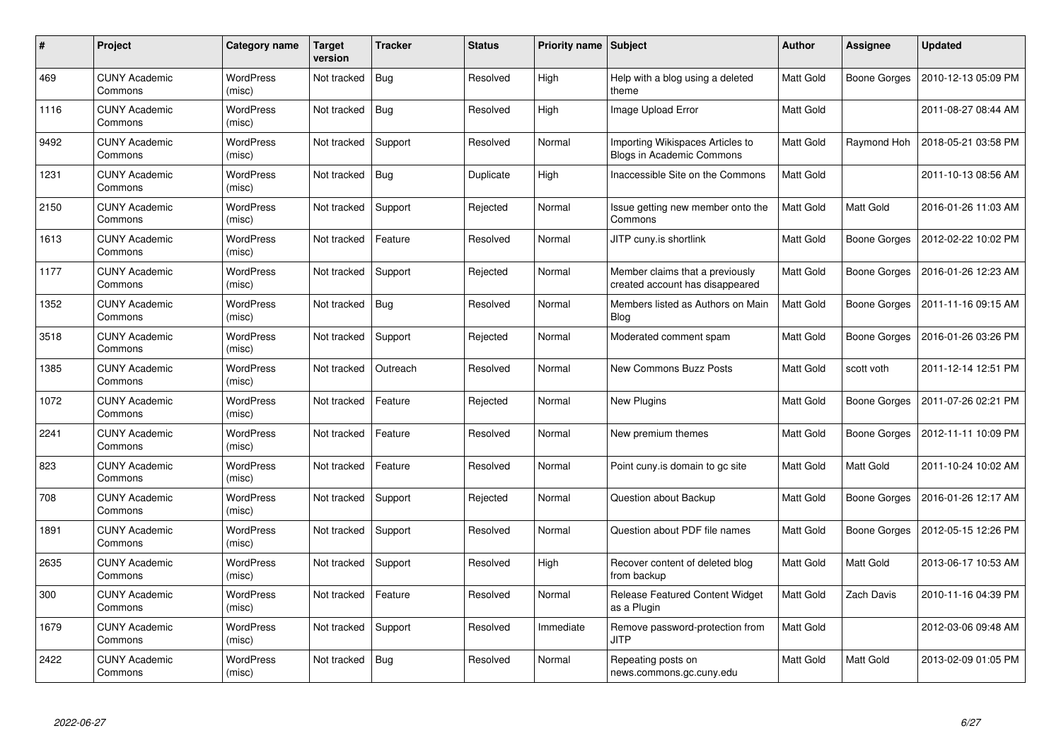| #    | Project                         | Category name              | <b>Target</b><br>version | <b>Tracker</b> | <b>Status</b> | <b>Priority name   Subject</b> |                                                                      | Author           | <b>Assignee</b>     | <b>Updated</b>      |
|------|---------------------------------|----------------------------|--------------------------|----------------|---------------|--------------------------------|----------------------------------------------------------------------|------------------|---------------------|---------------------|
| 469  | <b>CUNY Academic</b><br>Commons | <b>WordPress</b><br>(misc) | Not tracked              | <b>Bug</b>     | Resolved      | High                           | Help with a blog using a deleted<br>theme                            | <b>Matt Gold</b> | Boone Gorges        | 2010-12-13 05:09 PM |
| 1116 | <b>CUNY Academic</b><br>Commons | WordPress<br>(misc)        | Not tracked              | Bug            | Resolved      | High                           | Image Upload Error                                                   | Matt Gold        |                     | 2011-08-27 08:44 AM |
| 9492 | <b>CUNY Academic</b><br>Commons | <b>WordPress</b><br>(misc) | Not tracked              | Support        | Resolved      | Normal                         | Importing Wikispaces Articles to<br><b>Blogs in Academic Commons</b> | Matt Gold        | Raymond Hoh         | 2018-05-21 03:58 PM |
| 1231 | <b>CUNY Academic</b><br>Commons | <b>WordPress</b><br>(misc) | Not tracked              | <b>Bug</b>     | Duplicate     | High                           | Inaccessible Site on the Commons                                     | Matt Gold        |                     | 2011-10-13 08:56 AM |
| 2150 | <b>CUNY Academic</b><br>Commons | <b>WordPress</b><br>(misc) | Not tracked              | Support        | Rejected      | Normal                         | Issue getting new member onto the<br>Commons                         | Matt Gold        | <b>Matt Gold</b>    | 2016-01-26 11:03 AM |
| 1613 | <b>CUNY Academic</b><br>Commons | <b>WordPress</b><br>(misc) | Not tracked              | Feature        | Resolved      | Normal                         | JITP cuny.is shortlink                                               | <b>Matt Gold</b> | Boone Gorges        | 2012-02-22 10:02 PM |
| 1177 | <b>CUNY Academic</b><br>Commons | <b>WordPress</b><br>(misc) | Not tracked              | Support        | Rejected      | Normal                         | Member claims that a previously<br>created account has disappeared   | Matt Gold        | <b>Boone Gorges</b> | 2016-01-26 12:23 AM |
| 1352 | <b>CUNY Academic</b><br>Commons | WordPress<br>(misc)        | Not tracked              | <b>Bug</b>     | Resolved      | Normal                         | Members listed as Authors on Main<br><b>Blog</b>                     | Matt Gold        | Boone Gorges        | 2011-11-16 09:15 AM |
| 3518 | <b>CUNY Academic</b><br>Commons | <b>WordPress</b><br>(misc) | Not tracked              | Support        | Rejected      | Normal                         | Moderated comment spam                                               | Matt Gold        | Boone Gorges        | 2016-01-26 03:26 PM |
| 1385 | <b>CUNY Academic</b><br>Commons | <b>WordPress</b><br>(misc) | Not tracked              | Outreach       | Resolved      | Normal                         | New Commons Buzz Posts                                               | Matt Gold        | scott voth          | 2011-12-14 12:51 PM |
| 1072 | <b>CUNY Academic</b><br>Commons | <b>WordPress</b><br>(misc) | Not tracked              | Feature        | Rejected      | Normal                         | New Plugins                                                          | Matt Gold        | Boone Gorges        | 2011-07-26 02:21 PM |
| 2241 | <b>CUNY Academic</b><br>Commons | <b>WordPress</b><br>(misc) | Not tracked              | Feature        | Resolved      | Normal                         | New premium themes                                                   | Matt Gold        | <b>Boone Gorges</b> | 2012-11-11 10:09 PM |
| 823  | <b>CUNY Academic</b><br>Commons | <b>WordPress</b><br>(misc) | Not tracked              | Feature        | Resolved      | Normal                         | Point cuny is domain to go site                                      | Matt Gold        | <b>Matt Gold</b>    | 2011-10-24 10:02 AM |
| 708  | <b>CUNY Academic</b><br>Commons | <b>WordPress</b><br>(misc) | Not tracked              | Support        | Rejected      | Normal                         | Question about Backup                                                | Matt Gold        | Boone Gorges        | 2016-01-26 12:17 AM |
| 1891 | <b>CUNY Academic</b><br>Commons | WordPress<br>(misc)        | Not tracked              | Support        | Resolved      | Normal                         | Question about PDF file names                                        | Matt Gold        | Boone Gorges        | 2012-05-15 12:26 PM |
| 2635 | <b>CUNY Academic</b><br>Commons | <b>WordPress</b><br>(misc) | Not tracked              | Support        | Resolved      | High                           | Recover content of deleted blog<br>from backup                       | Matt Gold        | <b>Matt Gold</b>    | 2013-06-17 10:53 AM |
| 300  | <b>CUNY Academic</b><br>Commons | WordPress<br>(misc)        | Not tracked              | Feature        | Resolved      | Normal                         | <b>Release Featured Content Widget</b><br>as a Plugin                | <b>Matt Gold</b> | <b>Zach Davis</b>   | 2010-11-16 04:39 PM |
| 1679 | <b>CUNY Academic</b><br>Commons | <b>WordPress</b><br>(misc) | Not tracked              | Support        | Resolved      | Immediate                      | Remove password-protection from<br><b>JITP</b>                       | Matt Gold        |                     | 2012-03-06 09:48 AM |
| 2422 | CUNY Academic<br>Commons        | WordPress<br>(misc)        | Not tracked              | <b>Bug</b>     | Resolved      | Normal                         | Repeating posts on<br>news.commons.gc.cuny.edu                       | Matt Gold        | Matt Gold           | 2013-02-09 01:05 PM |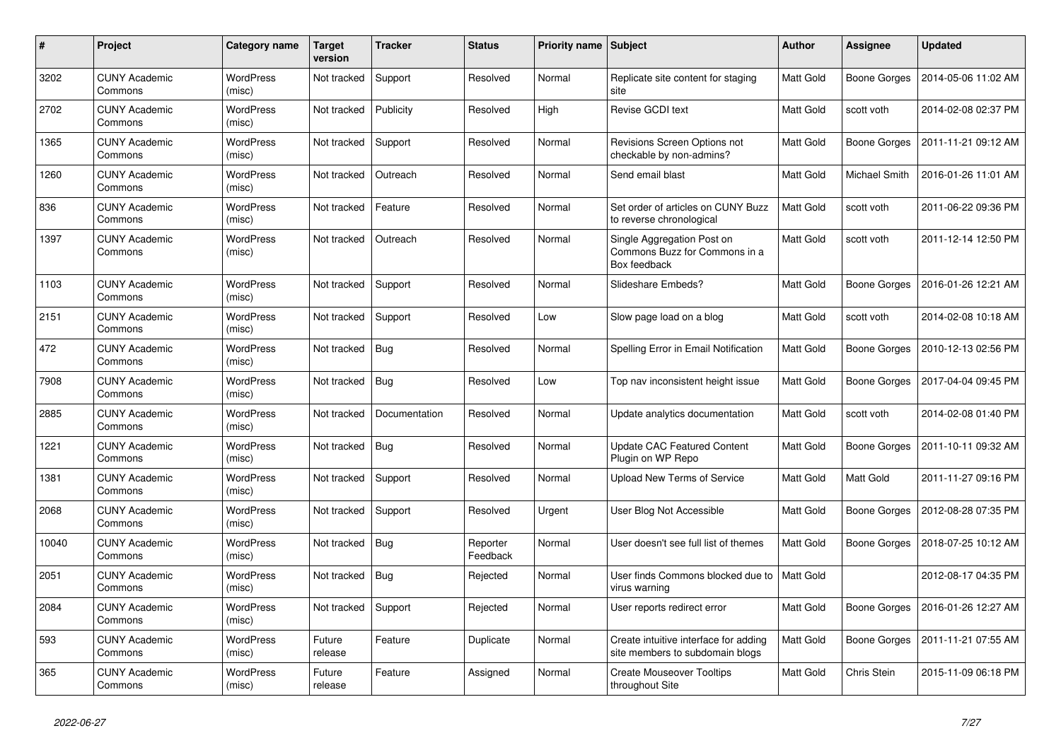| #     | Project                         | <b>Category name</b>       | <b>Target</b><br>version | <b>Tracker</b> | <b>Status</b>        | <b>Priority name Subject</b> |                                                                             | <b>Author</b>    | <b>Assignee</b>     | <b>Updated</b>      |
|-------|---------------------------------|----------------------------|--------------------------|----------------|----------------------|------------------------------|-----------------------------------------------------------------------------|------------------|---------------------|---------------------|
| 3202  | <b>CUNY Academic</b><br>Commons | <b>WordPress</b><br>(misc) | Not tracked              | Support        | Resolved             | Normal                       | Replicate site content for staging<br>site                                  | Matt Gold        | Boone Gorges        | 2014-05-06 11:02 AM |
| 2702  | <b>CUNY Academic</b><br>Commons | <b>WordPress</b><br>(misc) | Not tracked              | Publicity      | Resolved             | High                         | Revise GCDI text                                                            | Matt Gold        | scott voth          | 2014-02-08 02:37 PM |
| 1365  | <b>CUNY Academic</b><br>Commons | <b>WordPress</b><br>(misc) | Not tracked              | Support        | Resolved             | Normal                       | Revisions Screen Options not<br>checkable by non-admins?                    | Matt Gold        | <b>Boone Gorges</b> | 2011-11-21 09:12 AM |
| 1260  | <b>CUNY Academic</b><br>Commons | WordPress<br>(misc)        | Not tracked              | Outreach       | Resolved             | Normal                       | Send email blast                                                            | Matt Gold        | Michael Smith       | 2016-01-26 11:01 AM |
| 836   | <b>CUNY Academic</b><br>Commons | WordPress<br>(misc)        | Not tracked              | Feature        | Resolved             | Normal                       | Set order of articles on CUNY Buzz<br>to reverse chronological              | Matt Gold        | scott voth          | 2011-06-22 09:36 PM |
| 1397  | <b>CUNY Academic</b><br>Commons | <b>WordPress</b><br>(misc) | Not tracked              | Outreach       | Resolved             | Normal                       | Single Aggregation Post on<br>Commons Buzz for Commons in a<br>Box feedback | Matt Gold        | scott voth          | 2011-12-14 12:50 PM |
| 1103  | <b>CUNY Academic</b><br>Commons | <b>WordPress</b><br>(misc) | Not tracked              | Support        | Resolved             | Normal                       | Slideshare Embeds?                                                          | <b>Matt Gold</b> | Boone Gorges        | 2016-01-26 12:21 AM |
| 2151  | <b>CUNY Academic</b><br>Commons | <b>WordPress</b><br>(misc) | Not tracked              | Support        | Resolved             | Low                          | Slow page load on a blog                                                    | Matt Gold        | scott voth          | 2014-02-08 10:18 AM |
| 472   | <b>CUNY Academic</b><br>Commons | WordPress<br>(misc)        | Not tracked              | <b>Bug</b>     | Resolved             | Normal                       | Spelling Error in Email Notification                                        | Matt Gold        | Boone Gorges        | 2010-12-13 02:56 PM |
| 7908  | <b>CUNY Academic</b><br>Commons | WordPress<br>(misc)        | Not tracked              | Bug            | Resolved             | Low                          | Top nav inconsistent height issue                                           | Matt Gold        | Boone Gorges        | 2017-04-04 09:45 PM |
| 2885  | <b>CUNY Academic</b><br>Commons | WordPress<br>(misc)        | Not tracked              | Documentation  | Resolved             | Normal                       | Update analytics documentation                                              | Matt Gold        | scott voth          | 2014-02-08 01:40 PM |
| 1221  | <b>CUNY Academic</b><br>Commons | WordPress<br>(misc)        | Not tracked              | <b>Bug</b>     | Resolved             | Normal                       | <b>Update CAC Featured Content</b><br>Plugin on WP Repo                     | Matt Gold        | Boone Gorges        | 2011-10-11 09:32 AM |
| 1381  | <b>CUNY Academic</b><br>Commons | WordPress<br>(misc)        | Not tracked              | Support        | Resolved             | Normal                       | <b>Upload New Terms of Service</b>                                          | Matt Gold        | Matt Gold           | 2011-11-27 09:16 PM |
| 2068  | <b>CUNY Academic</b><br>Commons | <b>WordPress</b><br>(misc) | Not tracked              | Support        | Resolved             | Urgent                       | User Blog Not Accessible                                                    | Matt Gold        | Boone Gorges        | 2012-08-28 07:35 PM |
| 10040 | <b>CUNY Academic</b><br>Commons | <b>WordPress</b><br>(misc) | Not tracked              | <b>Bug</b>     | Reporter<br>Feedback | Normal                       | User doesn't see full list of themes                                        | Matt Gold        | Boone Gorges        | 2018-07-25 10:12 AM |
| 2051  | <b>CUNY Academic</b><br>Commons | <b>WordPress</b><br>(misc) | Not tracked              | <b>Bug</b>     | Rejected             | Normal                       | User finds Commons blocked due to<br>virus warning                          | Matt Gold        |                     | 2012-08-17 04:35 PM |
| 2084  | <b>CUNY Academic</b><br>Commons | <b>WordPress</b><br>(misc) | Not tracked              | Support        | Rejected             | Normal                       | User reports redirect error                                                 | Matt Gold        | Boone Gorges        | 2016-01-26 12:27 AM |
| 593   | <b>CUNY Academic</b><br>Commons | <b>WordPress</b><br>(misc) | Future<br>release        | Feature        | Duplicate            | Normal                       | Create intuitive interface for adding<br>site members to subdomain blogs    | Matt Gold        | Boone Gorges        | 2011-11-21 07:55 AM |
| 365   | <b>CUNY Academic</b><br>Commons | WordPress<br>(misc)        | Future<br>release        | Feature        | Assigned             | Normal                       | <b>Create Mouseover Tooltips</b><br>throughout Site                         | Matt Gold        | Chris Stein         | 2015-11-09 06:18 PM |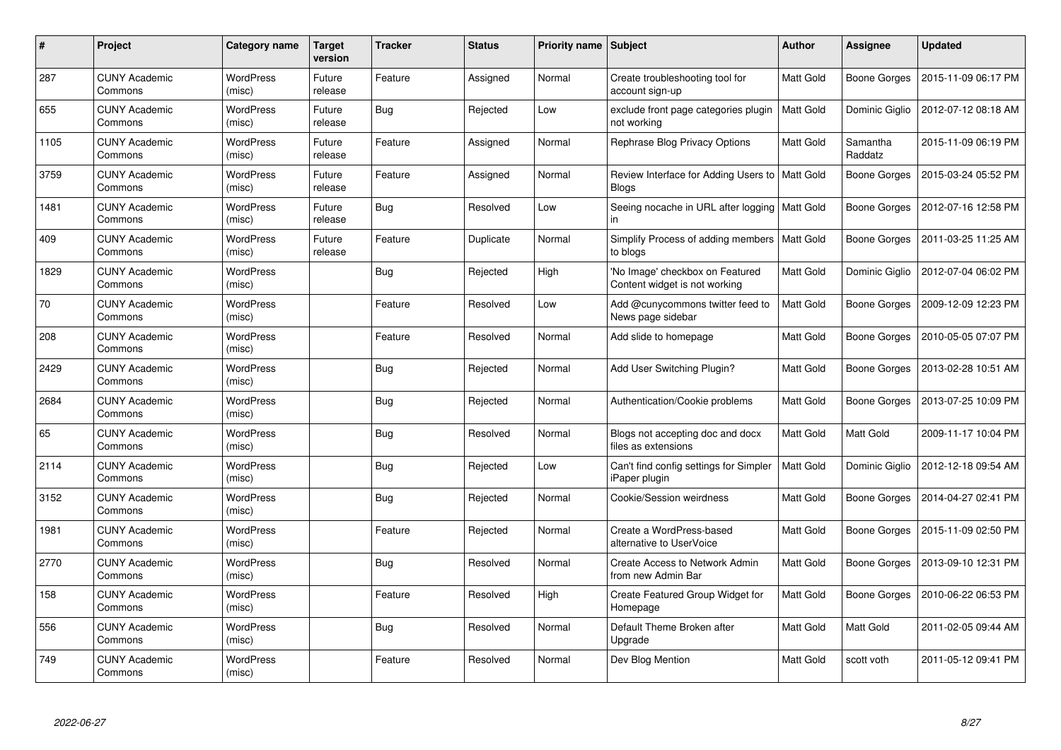| #    | Project                         | Category name              | <b>Target</b><br>version | <b>Tracker</b> | <b>Status</b> | Priority name Subject |                                                                  | Author           | <b>Assignee</b>     | <b>Updated</b>      |
|------|---------------------------------|----------------------------|--------------------------|----------------|---------------|-----------------------|------------------------------------------------------------------|------------------|---------------------|---------------------|
| 287  | <b>CUNY Academic</b><br>Commons | <b>WordPress</b><br>(misc) | Future<br>release        | Feature        | Assigned      | Normal                | Create troubleshooting tool for<br>account sign-up               | Matt Gold        | Boone Gorges        | 2015-11-09 06:17 PM |
| 655  | <b>CUNY Academic</b><br>Commons | <b>WordPress</b><br>(misc) | Future<br>release        | <b>Bug</b>     | Rejected      | Low                   | exclude front page categories plugin<br>not working              | <b>Matt Gold</b> | Dominic Giglio      | 2012-07-12 08:18 AM |
| 1105 | <b>CUNY Academic</b><br>Commons | <b>WordPress</b><br>(misc) | Future<br>release        | Feature        | Assigned      | Normal                | Rephrase Blog Privacy Options                                    | Matt Gold        | Samantha<br>Raddatz | 2015-11-09 06:19 PM |
| 3759 | <b>CUNY Academic</b><br>Commons | <b>WordPress</b><br>(misc) | Future<br>release        | Feature        | Assigned      | Normal                | Review Interface for Adding Users to   Matt Gold<br><b>Blogs</b> |                  | Boone Gorges        | 2015-03-24 05:52 PM |
| 1481 | <b>CUNY Academic</b><br>Commons | <b>WordPress</b><br>(misc) | Future<br>release        | <b>Bug</b>     | Resolved      | Low                   | Seeing nocache in URL after logging   Matt Gold<br>in            |                  | <b>Boone Gorges</b> | 2012-07-16 12:58 PM |
| 409  | <b>CUNY Academic</b><br>Commons | <b>WordPress</b><br>(misc) | Future<br>release        | Feature        | Duplicate     | Normal                | Simplify Process of adding members   Matt Gold<br>to blogs       |                  | Boone Gorges        | 2011-03-25 11:25 AM |
| 1829 | <b>CUNY Academic</b><br>Commons | <b>WordPress</b><br>(misc) |                          | Bug            | Rejected      | High                  | 'No Image' checkbox on Featured<br>Content widget is not working | Matt Gold        | Dominic Giglio      | 2012-07-04 06:02 PM |
| 70   | <b>CUNY Academic</b><br>Commons | WordPress<br>(misc)        |                          | Feature        | Resolved      | Low                   | Add @cunycommons twitter feed to<br>News page sidebar            | Matt Gold        | Boone Gorges        | 2009-12-09 12:23 PM |
| 208  | <b>CUNY Academic</b><br>Commons | <b>WordPress</b><br>(misc) |                          | Feature        | Resolved      | Normal                | Add slide to homepage                                            | Matt Gold        | Boone Gorges        | 2010-05-05 07:07 PM |
| 2429 | <b>CUNY Academic</b><br>Commons | <b>WordPress</b><br>(misc) |                          | <b>Bug</b>     | Rejected      | Normal                | Add User Switching Plugin?                                       | Matt Gold        | Boone Gorges        | 2013-02-28 10:51 AM |
| 2684 | <b>CUNY Academic</b><br>Commons | <b>WordPress</b><br>(misc) |                          | <b>Bug</b>     | Rejected      | Normal                | Authentication/Cookie problems                                   | Matt Gold        | Boone Gorges        | 2013-07-25 10:09 PM |
| 65   | <b>CUNY Academic</b><br>Commons | <b>WordPress</b><br>(misc) |                          | <b>Bug</b>     | Resolved      | Normal                | Blogs not accepting doc and docx<br>files as extensions          | Matt Gold        | <b>Matt Gold</b>    | 2009-11-17 10:04 PM |
| 2114 | <b>CUNY Academic</b><br>Commons | <b>WordPress</b><br>(misc) |                          | Bug            | Rejected      | Low                   | Can't find config settings for Simpler<br>iPaper plugin          | Matt Gold        | Dominic Giglio      | 2012-12-18 09:54 AM |
| 3152 | <b>CUNY Academic</b><br>Commons | WordPress<br>(misc)        |                          | <b>Bug</b>     | Rejected      | Normal                | Cookie/Session weirdness                                         | Matt Gold        | Boone Gorges        | 2014-04-27 02:41 PM |
| 1981 | <b>CUNY Academic</b><br>Commons | WordPress<br>(misc)        |                          | Feature        | Rejected      | Normal                | Create a WordPress-based<br>alternative to UserVoice             | Matt Gold        | Boone Gorges        | 2015-11-09 02:50 PM |
| 2770 | <b>CUNY Academic</b><br>Commons | <b>WordPress</b><br>(misc) |                          | Bug            | Resolved      | Normal                | <b>Create Access to Network Admin</b><br>from new Admin Bar      | Matt Gold        | Boone Gorges        | 2013-09-10 12:31 PM |
| 158  | <b>CUNY Academic</b><br>Commons | WordPress<br>(misc)        |                          | Feature        | Resolved      | High                  | Create Featured Group Widget for<br>Homepage                     | Matt Gold        | Boone Gorges        | 2010-06-22 06:53 PM |
| 556  | <b>CUNY Academic</b><br>Commons | <b>WordPress</b><br>(misc) |                          | <b>Bug</b>     | Resolved      | Normal                | Default Theme Broken after<br>Upgrade                            | Matt Gold        | Matt Gold           | 2011-02-05 09:44 AM |
| 749  | <b>CUNY Academic</b><br>Commons | <b>WordPress</b><br>(misc) |                          | Feature        | Resolved      | Normal                | Dev Blog Mention                                                 | Matt Gold        | scott voth          | 2011-05-12 09:41 PM |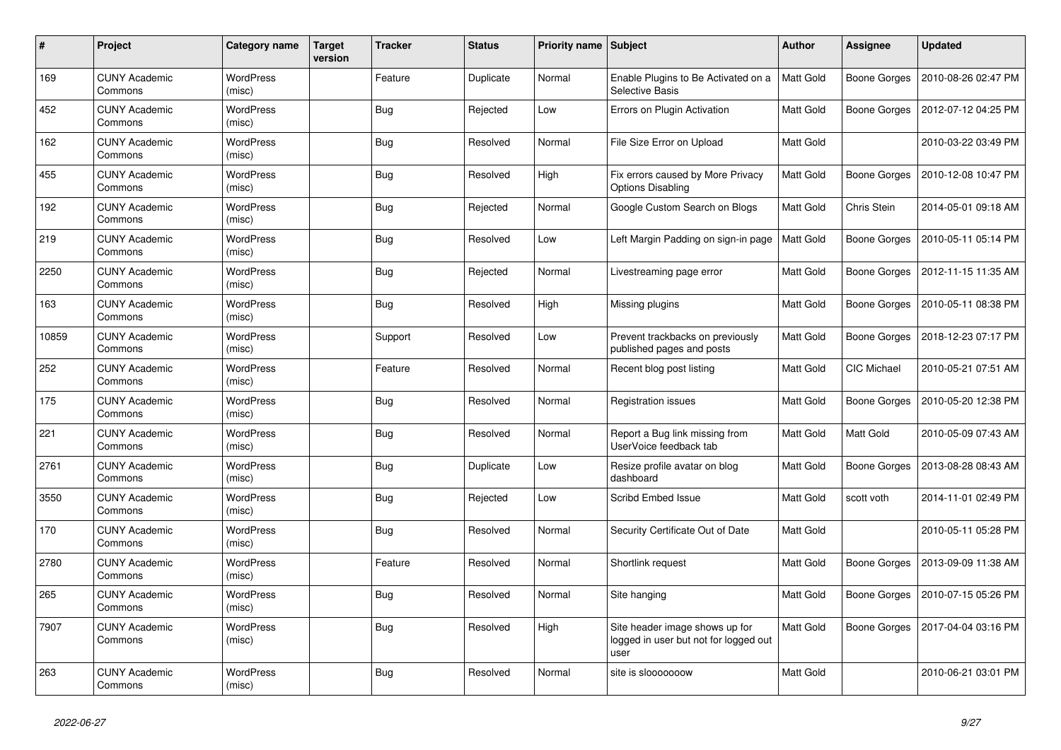| #     | Project                         | Category name              | <b>Target</b><br>version | <b>Tracker</b> | <b>Status</b> | Priority name Subject |                                                                                 | <b>Author</b>    | Assignee           | <b>Updated</b>      |
|-------|---------------------------------|----------------------------|--------------------------|----------------|---------------|-----------------------|---------------------------------------------------------------------------------|------------------|--------------------|---------------------|
| 169   | <b>CUNY Academic</b><br>Commons | <b>WordPress</b><br>(misc) |                          | Feature        | Duplicate     | Normal                | Enable Plugins to Be Activated on a<br><b>Selective Basis</b>                   | <b>Matt Gold</b> | Boone Gorges       | 2010-08-26 02:47 PM |
| 452   | <b>CUNY Academic</b><br>Commons | <b>WordPress</b><br>(misc) |                          | <b>Bug</b>     | Rejected      | Low                   | Errors on Plugin Activation                                                     | Matt Gold        | Boone Gorges       | 2012-07-12 04:25 PM |
| 162   | <b>CUNY Academic</b><br>Commons | <b>WordPress</b><br>(misc) |                          | Bug            | Resolved      | Normal                | File Size Error on Upload                                                       | Matt Gold        |                    | 2010-03-22 03:49 PM |
| 455   | <b>CUNY Academic</b><br>Commons | <b>WordPress</b><br>(misc) |                          | <b>Bug</b>     | Resolved      | High                  | Fix errors caused by More Privacy<br><b>Options Disabling</b>                   | Matt Gold        | Boone Gorges       | 2010-12-08 10:47 PM |
| 192   | <b>CUNY Academic</b><br>Commons | WordPress<br>(misc)        |                          | <b>Bug</b>     | Rejected      | Normal                | Google Custom Search on Blogs                                                   | Matt Gold        | Chris Stein        | 2014-05-01 09:18 AM |
| 219   | <b>CUNY Academic</b><br>Commons | WordPress<br>(misc)        |                          | <b>Bug</b>     | Resolved      | Low                   | Left Margin Padding on sign-in page                                             | Matt Gold        | Boone Gorges       | 2010-05-11 05:14 PM |
| 2250  | <b>CUNY Academic</b><br>Commons | WordPress<br>(misc)        |                          | <b>Bug</b>     | Rejected      | Normal                | Livestreaming page error                                                        | Matt Gold        | Boone Gorges       | 2012-11-15 11:35 AM |
| 163   | <b>CUNY Academic</b><br>Commons | WordPress<br>(misc)        |                          | <b>Bug</b>     | Resolved      | High                  | Missing plugins                                                                 | Matt Gold        | Boone Gorges       | 2010-05-11 08:38 PM |
| 10859 | <b>CUNY Academic</b><br>Commons | <b>WordPress</b><br>(misc) |                          | Support        | Resolved      | Low                   | Prevent trackbacks on previously<br>published pages and posts                   | Matt Gold        | Boone Gorges       | 2018-12-23 07:17 PM |
| 252   | <b>CUNY Academic</b><br>Commons | <b>WordPress</b><br>(misc) |                          | Feature        | Resolved      | Normal                | Recent blog post listing                                                        | Matt Gold        | <b>CIC Michael</b> | 2010-05-21 07:51 AM |
| 175   | <b>CUNY Academic</b><br>Commons | WordPress<br>(misc)        |                          | <b>Bug</b>     | Resolved      | Normal                | Registration issues                                                             | Matt Gold        | Boone Gorges       | 2010-05-20 12:38 PM |
| 221   | <b>CUNY Academic</b><br>Commons | <b>WordPress</b><br>(misc) |                          | <b>Bug</b>     | Resolved      | Normal                | Report a Bug link missing from<br>UserVoice feedback tab                        | Matt Gold        | Matt Gold          | 2010-05-09 07:43 AM |
| 2761  | <b>CUNY Academic</b><br>Commons | <b>WordPress</b><br>(misc) |                          | <b>Bug</b>     | Duplicate     | Low                   | Resize profile avatar on blog<br>dashboard                                      | Matt Gold        | Boone Gorges       | 2013-08-28 08:43 AM |
| 3550  | <b>CUNY Academic</b><br>Commons | WordPress<br>(misc)        |                          | <b>Bug</b>     | Rejected      | Low                   | Scribd Embed Issue                                                              | Matt Gold        | scott voth         | 2014-11-01 02:49 PM |
| 170   | <b>CUNY Academic</b><br>Commons | <b>WordPress</b><br>(misc) |                          | <b>Bug</b>     | Resolved      | Normal                | Security Certificate Out of Date                                                | Matt Gold        |                    | 2010-05-11 05:28 PM |
| 2780  | <b>CUNY Academic</b><br>Commons | <b>WordPress</b><br>(misc) |                          | Feature        | Resolved      | Normal                | Shortlink request                                                               | Matt Gold        | Boone Gorges       | 2013-09-09 11:38 AM |
| 265   | <b>CUNY Academic</b><br>Commons | <b>WordPress</b><br>(misc) |                          | <b>Bug</b>     | Resolved      | Normal                | Site hanging                                                                    | Matt Gold        | Boone Gorges       | 2010-07-15 05:26 PM |
| 7907  | <b>CUNY Academic</b><br>Commons | <b>WordPress</b><br>(misc) |                          | <b>Bug</b>     | Resolved      | High                  | Site header image shows up for<br>logged in user but not for logged out<br>user | Matt Gold        | Boone Gorges       | 2017-04-04 03:16 PM |
| 263   | <b>CUNY Academic</b><br>Commons | <b>WordPress</b><br>(misc) |                          | <b>Bug</b>     | Resolved      | Normal                | site is slooooooow                                                              | Matt Gold        |                    | 2010-06-21 03:01 PM |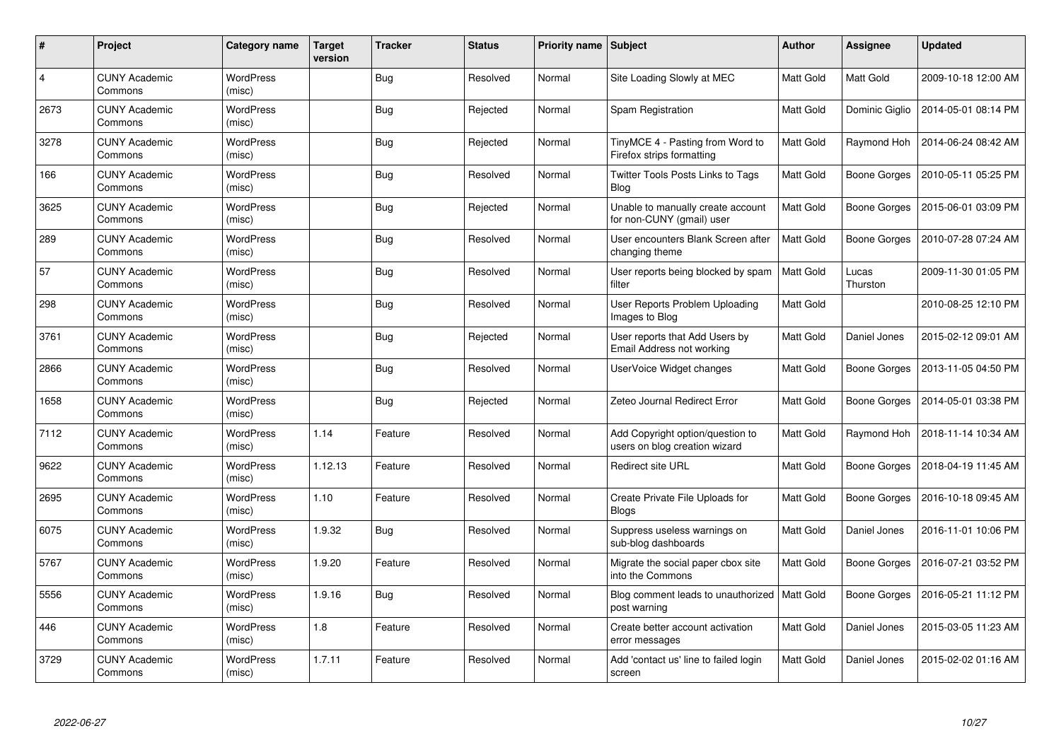| #    | Project                         | <b>Category name</b>       | <b>Target</b><br>version | <b>Tracker</b> | <b>Status</b> | Priority name Subject |                                                                   | <b>Author</b>    | <b>Assignee</b>   | <b>Updated</b>      |
|------|---------------------------------|----------------------------|--------------------------|----------------|---------------|-----------------------|-------------------------------------------------------------------|------------------|-------------------|---------------------|
| 4    | <b>CUNY Academic</b><br>Commons | <b>WordPress</b><br>(misc) |                          | <b>Bug</b>     | Resolved      | Normal                | Site Loading Slowly at MEC                                        | Matt Gold        | Matt Gold         | 2009-10-18 12:00 AM |
| 2673 | <b>CUNY Academic</b><br>Commons | <b>WordPress</b><br>(misc) |                          | <b>Bug</b>     | Rejected      | Normal                | Spam Registration                                                 | Matt Gold        | Dominic Giglio    | 2014-05-01 08:14 PM |
| 3278 | <b>CUNY Academic</b><br>Commons | <b>WordPress</b><br>(misc) |                          | <b>Bug</b>     | Rejected      | Normal                | TinyMCE 4 - Pasting from Word to<br>Firefox strips formatting     | Matt Gold        | Raymond Hoh       | 2014-06-24 08:42 AM |
| 166  | <b>CUNY Academic</b><br>Commons | <b>WordPress</b><br>(misc) |                          | Bug            | Resolved      | Normal                | Twitter Tools Posts Links to Tags<br>Blog                         | Matt Gold        | Boone Gorges      | 2010-05-11 05:25 PM |
| 3625 | <b>CUNY Academic</b><br>Commons | <b>WordPress</b><br>(misc) |                          | <b>Bug</b>     | Rejected      | Normal                | Unable to manually create account<br>for non-CUNY (gmail) user    | Matt Gold        | Boone Gorges      | 2015-06-01 03:09 PM |
| 289  | <b>CUNY Academic</b><br>Commons | WordPress<br>(misc)        |                          | Bug            | Resolved      | Normal                | User encounters Blank Screen after<br>changing theme              | Matt Gold        | Boone Gorges      | 2010-07-28 07:24 AM |
| 57   | <b>CUNY Academic</b><br>Commons | WordPress<br>(misc)        |                          | <b>Bug</b>     | Resolved      | Normal                | User reports being blocked by spam<br>filter                      | Matt Gold        | Lucas<br>Thurston | 2009-11-30 01:05 PM |
| 298  | <b>CUNY Academic</b><br>Commons | WordPress<br>(misc)        |                          | <b>Bug</b>     | Resolved      | Normal                | User Reports Problem Uploading<br>Images to Blog                  | Matt Gold        |                   | 2010-08-25 12:10 PM |
| 3761 | <b>CUNY Academic</b><br>Commons | <b>WordPress</b><br>(misc) |                          | <b>Bug</b>     | Rejected      | Normal                | User reports that Add Users by<br>Email Address not working       | Matt Gold        | Daniel Jones      | 2015-02-12 09:01 AM |
| 2866 | <b>CUNY Academic</b><br>Commons | <b>WordPress</b><br>(misc) |                          | <b>Bug</b>     | Resolved      | Normal                | UserVoice Widget changes                                          | Matt Gold        | Boone Gorges      | 2013-11-05 04:50 PM |
| 1658 | <b>CUNY Academic</b><br>Commons | <b>WordPress</b><br>(misc) |                          | Bug            | Rejected      | Normal                | Zeteo Journal Redirect Error                                      | Matt Gold        | Boone Gorges      | 2014-05-01 03:38 PM |
| 7112 | <b>CUNY Academic</b><br>Commons | <b>WordPress</b><br>(misc) | 1.14                     | Feature        | Resolved      | Normal                | Add Copyright option/question to<br>users on blog creation wizard | Matt Gold        | Raymond Hoh       | 2018-11-14 10:34 AM |
| 9622 | <b>CUNY Academic</b><br>Commons | <b>WordPress</b><br>(misc) | 1.12.13                  | Feature        | Resolved      | Normal                | <b>Redirect site URL</b>                                          | Matt Gold        | Boone Gorges      | 2018-04-19 11:45 AM |
| 2695 | <b>CUNY Academic</b><br>Commons | <b>WordPress</b><br>(misc) | 1.10                     | Feature        | Resolved      | Normal                | Create Private File Uploads for<br><b>Blogs</b>                   | Matt Gold        | Boone Gorges      | 2016-10-18 09:45 AM |
| 6075 | <b>CUNY Academic</b><br>Commons | <b>WordPress</b><br>(misc) | 1.9.32                   | <b>Bug</b>     | Resolved      | Normal                | Suppress useless warnings on<br>sub-blog dashboards               | Matt Gold        | Daniel Jones      | 2016-11-01 10:06 PM |
| 5767 | <b>CUNY Academic</b><br>Commons | <b>WordPress</b><br>(misc) | 1.9.20                   | Feature        | Resolved      | Normal                | Migrate the social paper cbox site<br>into the Commons            | Matt Gold        | Boone Gorges      | 2016-07-21 03:52 PM |
| 5556 | <b>CUNY Academic</b><br>Commons | <b>WordPress</b><br>(misc) | 1.9.16                   | <b>Bug</b>     | Resolved      | Normal                | Blog comment leads to unauthorized<br>post warning                | <b>Matt Gold</b> | Boone Gorges      | 2016-05-21 11:12 PM |
| 446  | <b>CUNY Academic</b><br>Commons | <b>WordPress</b><br>(misc) | 1.8                      | Feature        | Resolved      | Normal                | Create better account activation<br>error messages                | Matt Gold        | Daniel Jones      | 2015-03-05 11:23 AM |
| 3729 | <b>CUNY Academic</b><br>Commons | WordPress<br>(misc)        | 1.7.11                   | Feature        | Resolved      | Normal                | Add 'contact us' line to failed login<br>screen                   | Matt Gold        | Daniel Jones      | 2015-02-02 01:16 AM |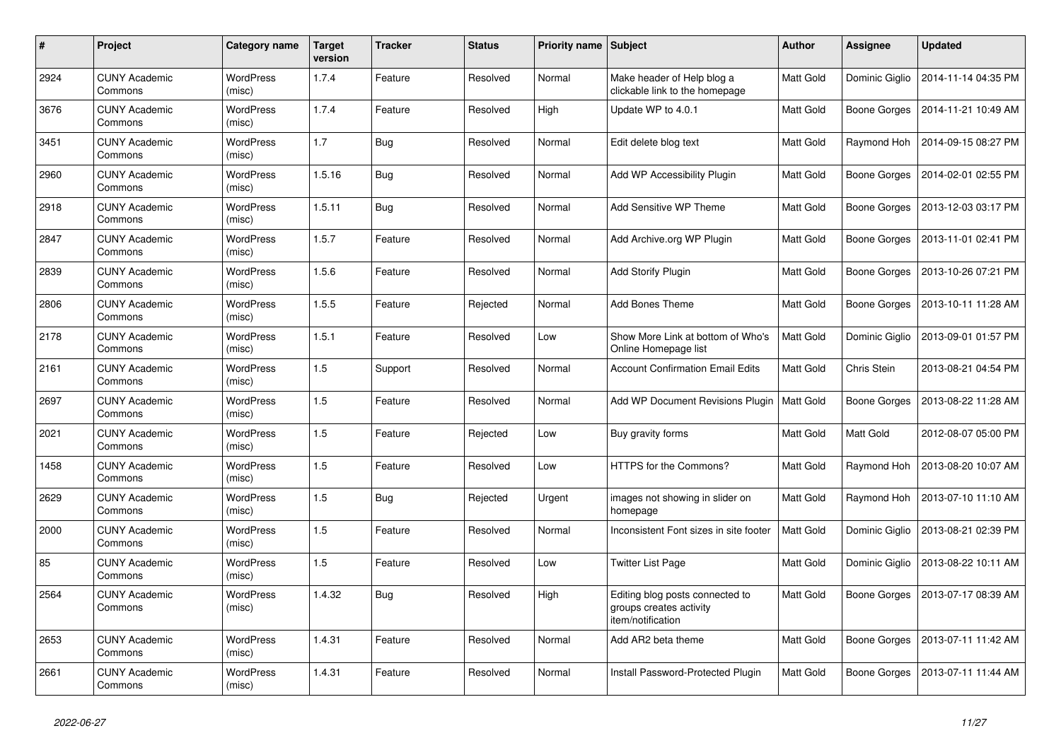| #    | Project                         | Category name              | <b>Target</b><br>version | <b>Tracker</b> | <b>Status</b> | <b>Priority name Subject</b> |                                                                                 | Author           | Assignee            | <b>Updated</b>      |
|------|---------------------------------|----------------------------|--------------------------|----------------|---------------|------------------------------|---------------------------------------------------------------------------------|------------------|---------------------|---------------------|
| 2924 | <b>CUNY Academic</b><br>Commons | <b>WordPress</b><br>(misc) | 1.7.4                    | Feature        | Resolved      | Normal                       | Make header of Help blog a<br>clickable link to the homepage                    | <b>Matt Gold</b> | Dominic Giglio      | 2014-11-14 04:35 PM |
| 3676 | <b>CUNY Academic</b><br>Commons | <b>WordPress</b><br>(misc) | 1.7.4                    | Feature        | Resolved      | High                         | Update WP to 4.0.1                                                              | Matt Gold        | Boone Gorges        | 2014-11-21 10:49 AM |
| 3451 | <b>CUNY Academic</b><br>Commons | WordPress<br>(misc)        | 1.7                      | Bug            | Resolved      | Normal                       | Edit delete blog text                                                           | Matt Gold        | Raymond Hoh         | 2014-09-15 08:27 PM |
| 2960 | <b>CUNY Academic</b><br>Commons | WordPress<br>(misc)        | 1.5.16                   | <b>Bug</b>     | Resolved      | Normal                       | Add WP Accessibility Plugin                                                     | Matt Gold        | <b>Boone Gorges</b> | 2014-02-01 02:55 PM |
| 2918 | <b>CUNY Academic</b><br>Commons | <b>WordPress</b><br>(misc) | 1.5.11                   | <b>Bug</b>     | Resolved      | Normal                       | Add Sensitive WP Theme                                                          | Matt Gold        | Boone Gorges        | 2013-12-03 03:17 PM |
| 2847 | <b>CUNY Academic</b><br>Commons | WordPress<br>(misc)        | 1.5.7                    | Feature        | Resolved      | Normal                       | Add Archive.org WP Plugin                                                       | Matt Gold        | Boone Gorges        | 2013-11-01 02:41 PM |
| 2839 | <b>CUNY Academic</b><br>Commons | WordPress<br>(misc)        | 1.5.6                    | Feature        | Resolved      | Normal                       | <b>Add Storify Plugin</b>                                                       | Matt Gold        | Boone Gorges        | 2013-10-26 07:21 PM |
| 2806 | <b>CUNY Academic</b><br>Commons | <b>WordPress</b><br>(misc) | 1.5.5                    | Feature        | Rejected      | Normal                       | <b>Add Bones Theme</b>                                                          | <b>Matt Gold</b> | Boone Gorges        | 2013-10-11 11:28 AM |
| 2178 | <b>CUNY Academic</b><br>Commons | <b>WordPress</b><br>(misc) | 1.5.1                    | Feature        | Resolved      | Low                          | Show More Link at bottom of Who's<br>Online Homepage list                       | Matt Gold        | Dominic Giglio      | 2013-09-01 01:57 PM |
| 2161 | <b>CUNY Academic</b><br>Commons | <b>WordPress</b><br>(misc) | 1.5                      | Support        | Resolved      | Normal                       | <b>Account Confirmation Email Edits</b>                                         | Matt Gold        | Chris Stein         | 2013-08-21 04:54 PM |
| 2697 | <b>CUNY Academic</b><br>Commons | <b>WordPress</b><br>(misc) | 1.5                      | Feature        | Resolved      | Normal                       | Add WP Document Revisions Plugin   Matt Gold                                    |                  | <b>Boone Gorges</b> | 2013-08-22 11:28 AM |
| 2021 | <b>CUNY Academic</b><br>Commons | WordPress<br>(misc)        | 1.5                      | Feature        | Rejected      | Low                          | Buy gravity forms                                                               | Matt Gold        | Matt Gold           | 2012-08-07 05:00 PM |
| 1458 | <b>CUNY Academic</b><br>Commons | WordPress<br>(misc)        | 1.5                      | Feature        | Resolved      | Low                          | HTTPS for the Commons?                                                          | Matt Gold        | Raymond Hoh         | 2013-08-20 10:07 AM |
| 2629 | <b>CUNY Academic</b><br>Commons | WordPress<br>(misc)        | 1.5                      | <b>Bug</b>     | Rejected      | Urgent                       | images not showing in slider on<br>homepage                                     | Matt Gold        | Raymond Hoh         | 2013-07-10 11:10 AM |
| 2000 | <b>CUNY Academic</b><br>Commons | <b>WordPress</b><br>(misc) | 1.5                      | Feature        | Resolved      | Normal                       | Inconsistent Font sizes in site footer                                          | Matt Gold        | Dominic Giglio      | 2013-08-21 02:39 PM |
| 85   | <b>CUNY Academic</b><br>Commons | <b>WordPress</b><br>(misc) | 1.5                      | Feature        | Resolved      | Low                          | <b>Twitter List Page</b>                                                        | Matt Gold        | Dominic Giglio      | 2013-08-22 10:11 AM |
| 2564 | <b>CUNY Academic</b><br>Commons | <b>WordPress</b><br>(misc) | 1.4.32                   | <b>Bug</b>     | Resolved      | High                         | Editing blog posts connected to<br>groups creates activity<br>item/notification | Matt Gold        | Boone Gorges        | 2013-07-17 08:39 AM |
| 2653 | <b>CUNY Academic</b><br>Commons | <b>WordPress</b><br>(misc) | 1.4.31                   | Feature        | Resolved      | Normal                       | Add AR2 beta theme                                                              | <b>Matt Gold</b> | Boone Gorges        | 2013-07-11 11:42 AM |
| 2661 | <b>CUNY Academic</b><br>Commons | WordPress<br>(misc)        | 1.4.31                   | Feature        | Resolved      | Normal                       | Install Password-Protected Plugin                                               | Matt Gold        | Boone Gorges        | 2013-07-11 11:44 AM |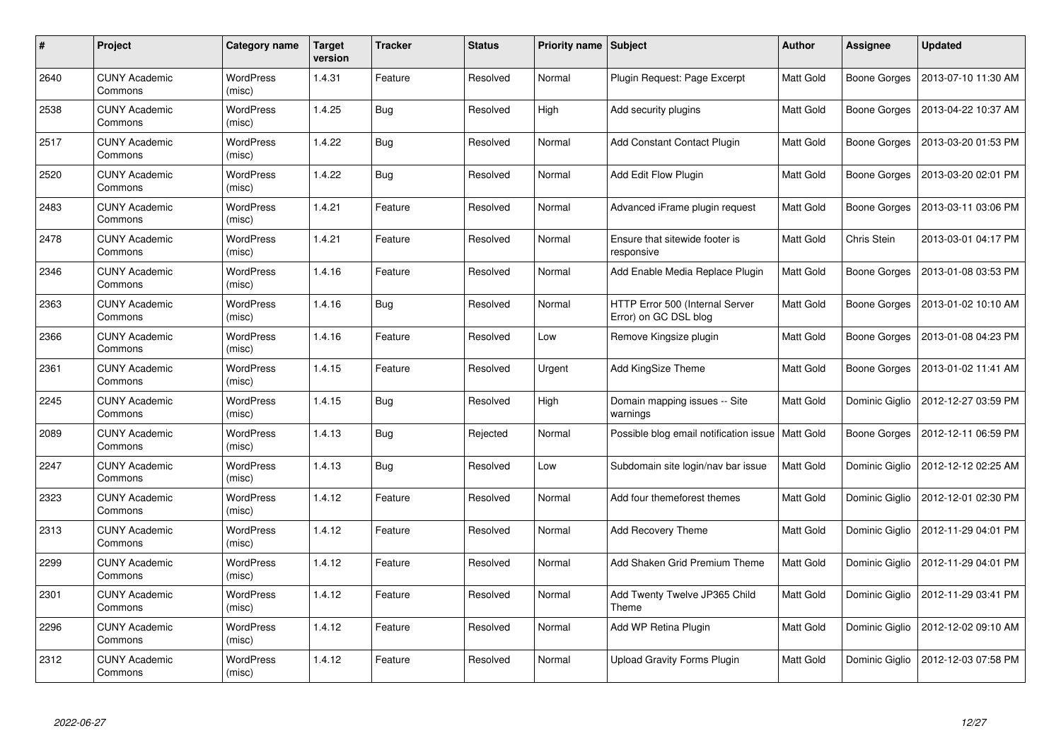| #    | Project                         | Category name              | <b>Target</b><br>version | <b>Tracker</b> | <b>Status</b> | <b>Priority name   Subject</b> |                                                          | <b>Author</b>    | <b>Assignee</b> | <b>Updated</b>      |
|------|---------------------------------|----------------------------|--------------------------|----------------|---------------|--------------------------------|----------------------------------------------------------|------------------|-----------------|---------------------|
| 2640 | <b>CUNY Academic</b><br>Commons | <b>WordPress</b><br>(misc) | 1.4.31                   | Feature        | Resolved      | Normal                         | Plugin Request: Page Excerpt                             | Matt Gold        | Boone Gorges    | 2013-07-10 11:30 AM |
| 2538 | <b>CUNY Academic</b><br>Commons | <b>WordPress</b><br>(misc) | 1.4.25                   | <b>Bug</b>     | Resolved      | High                           | Add security plugins                                     | Matt Gold        | Boone Gorges    | 2013-04-22 10:37 AM |
| 2517 | <b>CUNY Academic</b><br>Commons | <b>WordPress</b><br>(misc) | 1.4.22                   | <b>Bug</b>     | Resolved      | Normal                         | <b>Add Constant Contact Plugin</b>                       | Matt Gold        | Boone Gorges    | 2013-03-20 01:53 PM |
| 2520 | <b>CUNY Academic</b><br>Commons | <b>WordPress</b><br>(misc) | 1.4.22                   | Bug            | Resolved      | Normal                         | Add Edit Flow Plugin                                     | Matt Gold        | Boone Gorges    | 2013-03-20 02:01 PM |
| 2483 | <b>CUNY Academic</b><br>Commons | <b>WordPress</b><br>(misc) | 1.4.21                   | Feature        | Resolved      | Normal                         | Advanced iFrame plugin request                           | Matt Gold        | Boone Gorges    | 2013-03-11 03:06 PM |
| 2478 | <b>CUNY Academic</b><br>Commons | <b>WordPress</b><br>(misc) | 1.4.21                   | Feature        | Resolved      | Normal                         | Ensure that sitewide footer is<br>responsive             | Matt Gold        | Chris Stein     | 2013-03-01 04:17 PM |
| 2346 | <b>CUNY Academic</b><br>Commons | <b>WordPress</b><br>(misc) | 1.4.16                   | Feature        | Resolved      | Normal                         | Add Enable Media Replace Plugin                          | Matt Gold        | Boone Gorges    | 2013-01-08 03:53 PM |
| 2363 | <b>CUNY Academic</b><br>Commons | WordPress<br>(misc)        | 1.4.16                   | <b>Bug</b>     | Resolved      | Normal                         | HTTP Error 500 (Internal Server<br>Error) on GC DSL blog | Matt Gold        | Boone Gorges    | 2013-01-02 10:10 AM |
| 2366 | <b>CUNY Academic</b><br>Commons | <b>WordPress</b><br>(misc) | 1.4.16                   | Feature        | Resolved      | Low                            | Remove Kingsize plugin                                   | Matt Gold        | Boone Gorges    | 2013-01-08 04:23 PM |
| 2361 | <b>CUNY Academic</b><br>Commons | <b>WordPress</b><br>(misc) | 1.4.15                   | Feature        | Resolved      | Urgent                         | <b>Add KingSize Theme</b>                                | Matt Gold        | Boone Gorges    | 2013-01-02 11:41 AM |
| 2245 | <b>CUNY Academic</b><br>Commons | WordPress<br>(misc)        | 1.4.15                   | <b>Bug</b>     | Resolved      | High                           | Domain mapping issues -- Site<br>warnings                | Matt Gold        | Dominic Giglio  | 2012-12-27 03:59 PM |
| 2089 | <b>CUNY Academic</b><br>Commons | <b>WordPress</b><br>(misc) | 1.4.13                   | <b>Bug</b>     | Rejected      | Normal                         | Possible blog email notification issue                   | <b>Matt Gold</b> | Boone Gorges    | 2012-12-11 06:59 PM |
| 2247 | <b>CUNY Academic</b><br>Commons | <b>WordPress</b><br>(misc) | 1.4.13                   | <b>Bug</b>     | Resolved      | Low                            | Subdomain site login/nav bar issue                       | Matt Gold        | Dominic Giglio  | 2012-12-12 02:25 AM |
| 2323 | <b>CUNY Academic</b><br>Commons | WordPress<br>(misc)        | 1.4.12                   | Feature        | Resolved      | Normal                         | Add four themeforest themes                              | Matt Gold        | Dominic Giglio  | 2012-12-01 02:30 PM |
| 2313 | <b>CUNY Academic</b><br>Commons | WordPress<br>(misc)        | 1.4.12                   | Feature        | Resolved      | Normal                         | <b>Add Recovery Theme</b>                                | Matt Gold        | Dominic Giglio  | 2012-11-29 04:01 PM |
| 2299 | <b>CUNY Academic</b><br>Commons | WordPress<br>(misc)        | 1.4.12                   | Feature        | Resolved      | Normal                         | Add Shaken Grid Premium Theme                            | Matt Gold        | Dominic Giglio  | 2012-11-29 04:01 PM |
| 2301 | <b>CUNY Academic</b><br>Commons | WordPress<br>(misc)        | 1.4.12                   | Feature        | Resolved      | Normal                         | Add Twenty Twelve JP365 Child<br>Theme                   | Matt Gold        | Dominic Giglio  | 2012-11-29 03:41 PM |
| 2296 | <b>CUNY Academic</b><br>Commons | WordPress<br>(misc)        | 1.4.12                   | Feature        | Resolved      | Normal                         | Add WP Retina Plugin                                     | Matt Gold        | Dominic Giglio  | 2012-12-02 09:10 AM |
| 2312 | CUNY Academic<br>Commons        | <b>WordPress</b><br>(misc) | 1.4.12                   | Feature        | Resolved      | Normal                         | Upload Gravity Forms Plugin                              | Matt Gold        | Dominic Giglio  | 2012-12-03 07:58 PM |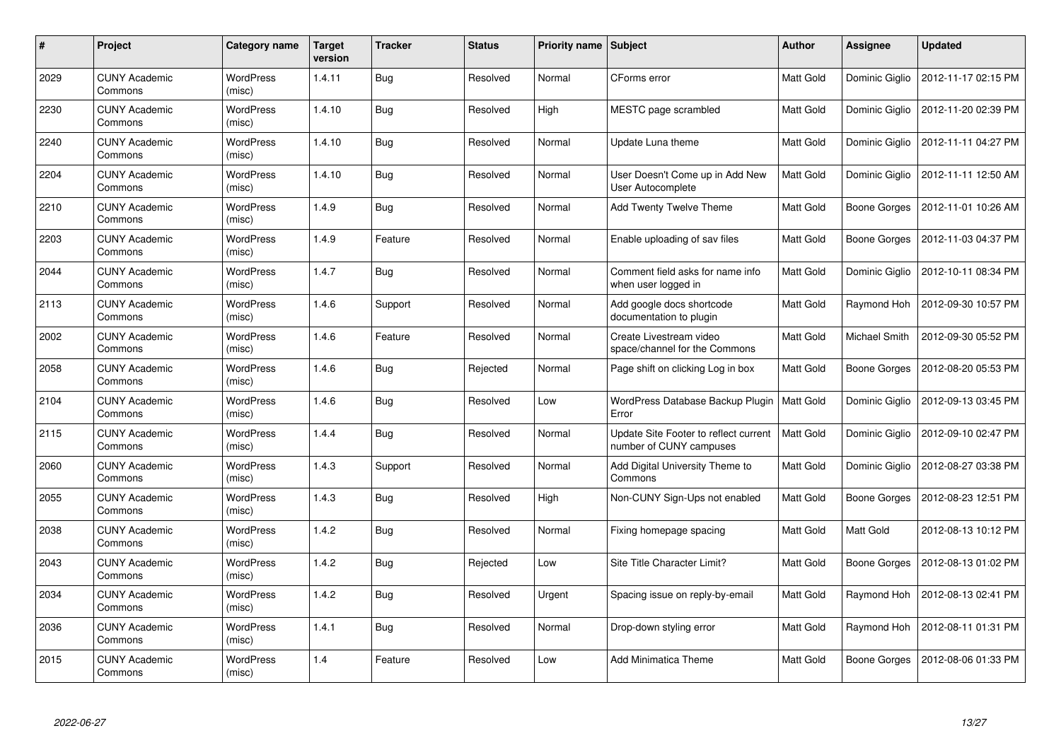| #    | Project                         | Category name              | <b>Target</b><br>version | <b>Tracker</b> | <b>Status</b> | <b>Priority name   Subject</b> |                                                                  | Author    | Assignee            | <b>Updated</b>      |
|------|---------------------------------|----------------------------|--------------------------|----------------|---------------|--------------------------------|------------------------------------------------------------------|-----------|---------------------|---------------------|
| 2029 | <b>CUNY Academic</b><br>Commons | <b>WordPress</b><br>(misc) | 1.4.11                   | <b>Bug</b>     | Resolved      | Normal                         | CForms error                                                     | Matt Gold | Dominic Giglio      | 2012-11-17 02:15 PM |
| 2230 | <b>CUNY Academic</b><br>Commons | <b>WordPress</b><br>(misc) | 1.4.10                   | <b>Bug</b>     | Resolved      | High                           | MESTC page scrambled                                             | Matt Gold | Dominic Giglio      | 2012-11-20 02:39 PM |
| 2240 | <b>CUNY Academic</b><br>Commons | <b>WordPress</b><br>(misc) | 1.4.10                   | <b>Bug</b>     | Resolved      | Normal                         | Update Luna theme                                                | Matt Gold | Dominic Giglio      | 2012-11-11 04:27 PM |
| 2204 | <b>CUNY Academic</b><br>Commons | <b>WordPress</b><br>(misc) | 1.4.10                   | <b>Bug</b>     | Resolved      | Normal                         | User Doesn't Come up in Add New<br>User Autocomplete             | Matt Gold | Dominic Giglio      | 2012-11-11 12:50 AM |
| 2210 | <b>CUNY Academic</b><br>Commons | <b>WordPress</b><br>(misc) | 1.4.9                    | <b>Bug</b>     | Resolved      | Normal                         | Add Twenty Twelve Theme                                          | Matt Gold | Boone Gorges        | 2012-11-01 10:26 AM |
| 2203 | <b>CUNY Academic</b><br>Commons | WordPress<br>(misc)        | 1.4.9                    | Feature        | Resolved      | Normal                         | Enable uploading of sav files                                    | Matt Gold | <b>Boone Gorges</b> | 2012-11-03 04:37 PM |
| 2044 | <b>CUNY Academic</b><br>Commons | <b>WordPress</b><br>(misc) | 1.4.7                    | Bug            | Resolved      | Normal                         | Comment field asks for name info<br>when user logged in          | Matt Gold | Dominic Giglio      | 2012-10-11 08:34 PM |
| 2113 | <b>CUNY Academic</b><br>Commons | WordPress<br>(misc)        | 1.4.6                    | Support        | Resolved      | Normal                         | Add google docs shortcode<br>documentation to plugin             | Matt Gold | Raymond Hoh         | 2012-09-30 10:57 PM |
| 2002 | <b>CUNY Academic</b><br>Commons | <b>WordPress</b><br>(misc) | 1.4.6                    | Feature        | Resolved      | Normal                         | Create Livestream video<br>space/channel for the Commons         | Matt Gold | Michael Smith       | 2012-09-30 05:52 PM |
| 2058 | <b>CUNY Academic</b><br>Commons | <b>WordPress</b><br>(misc) | 1.4.6                    | <b>Bug</b>     | Rejected      | Normal                         | Page shift on clicking Log in box                                | Matt Gold | Boone Gorges        | 2012-08-20 05:53 PM |
| 2104 | <b>CUNY Academic</b><br>Commons | <b>WordPress</b><br>(misc) | 1.4.6                    | Bug            | Resolved      | Low                            | WordPress Database Backup Plugin<br>Error                        | Matt Gold | Dominic Giglio      | 2012-09-13 03:45 PM |
| 2115 | <b>CUNY Academic</b><br>Commons | <b>WordPress</b><br>(misc) | 1.4.4                    | <b>Bug</b>     | Resolved      | Normal                         | Update Site Footer to reflect current<br>number of CUNY campuses | Matt Gold | Dominic Giglio      | 2012-09-10 02:47 PM |
| 2060 | <b>CUNY Academic</b><br>Commons | <b>WordPress</b><br>(misc) | 1.4.3                    | Support        | Resolved      | Normal                         | Add Digital University Theme to<br>Commons                       | Matt Gold | Dominic Giglio      | 2012-08-27 03:38 PM |
| 2055 | <b>CUNY Academic</b><br>Commons | WordPress<br>(misc)        | 1.4.3                    | <b>Bug</b>     | Resolved      | High                           | Non-CUNY Sign-Ups not enabled                                    | Matt Gold | Boone Gorges        | 2012-08-23 12:51 PM |
| 2038 | <b>CUNY Academic</b><br>Commons | WordPress<br>(misc)        | 1.4.2                    | Bug            | Resolved      | Normal                         | Fixing homepage spacing                                          | Matt Gold | <b>Matt Gold</b>    | 2012-08-13 10:12 PM |
| 2043 | <b>CUNY Academic</b><br>Commons | WordPress<br>(misc)        | 1.4.2                    | <b>Bug</b>     | Rejected      | Low                            | Site Title Character Limit?                                      | Matt Gold | Boone Gorges        | 2012-08-13 01:02 PM |
| 2034 | <b>CUNY Academic</b><br>Commons | WordPress<br>(misc)        | 1.4.2                    | <b>Bug</b>     | Resolved      | Urgent                         | Spacing issue on reply-by-email                                  | Matt Gold | Raymond Hoh         | 2012-08-13 02:41 PM |
| 2036 | <b>CUNY Academic</b><br>Commons | WordPress<br>(misc)        | 1.4.1                    | <b>Bug</b>     | Resolved      | Normal                         | Drop-down styling error                                          | Matt Gold | Raymond Hoh         | 2012-08-11 01:31 PM |
| 2015 | CUNY Academic<br>Commons        | <b>WordPress</b><br>(misc) | 1.4                      | Feature        | Resolved      | Low                            | <b>Add Minimatica Theme</b>                                      | Matt Gold | Boone Gorges        | 2012-08-06 01:33 PM |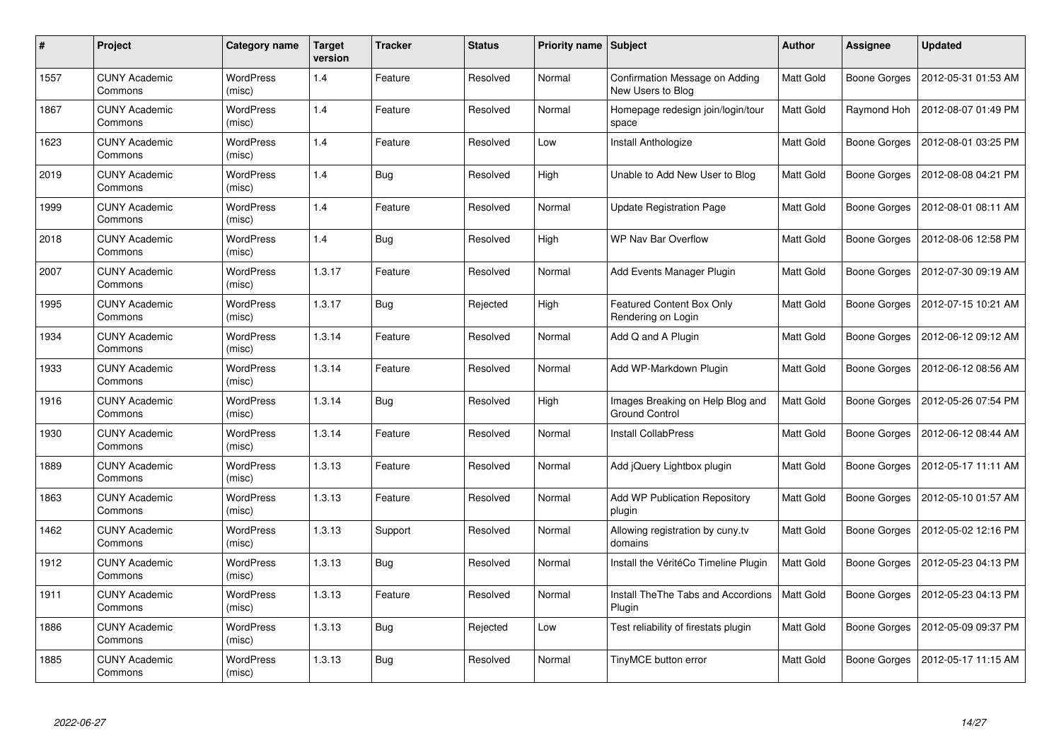| #    | Project                         | Category name              | <b>Target</b><br>version | <b>Tracker</b> | <b>Status</b> | <b>Priority name   Subject</b> |                                                        | Author           | Assignee            | <b>Updated</b>      |
|------|---------------------------------|----------------------------|--------------------------|----------------|---------------|--------------------------------|--------------------------------------------------------|------------------|---------------------|---------------------|
| 1557 | <b>CUNY Academic</b><br>Commons | <b>WordPress</b><br>(misc) | 1.4                      | Feature        | Resolved      | Normal                         | Confirmation Message on Adding<br>New Users to Blog    | <b>Matt Gold</b> | Boone Gorges        | 2012-05-31 01:53 AM |
| 1867 | <b>CUNY Academic</b><br>Commons | <b>WordPress</b><br>(misc) | 1.4                      | Feature        | Resolved      | Normal                         | Homepage redesign join/login/tour<br>space             | Matt Gold        | Raymond Hoh         | 2012-08-07 01:49 PM |
| 1623 | <b>CUNY Academic</b><br>Commons | <b>WordPress</b><br>(misc) | 1.4                      | Feature        | Resolved      | Low                            | Install Anthologize                                    | <b>Matt Gold</b> | Boone Gorges        | 2012-08-01 03:25 PM |
| 2019 | <b>CUNY Academic</b><br>Commons | <b>WordPress</b><br>(misc) | 1.4                      | <b>Bug</b>     | Resolved      | High                           | Unable to Add New User to Blog                         | Matt Gold        | Boone Gorges        | 2012-08-08 04:21 PM |
| 1999 | <b>CUNY Academic</b><br>Commons | <b>WordPress</b><br>(misc) | 1.4                      | Feature        | Resolved      | Normal                         | <b>Update Registration Page</b>                        | <b>Matt Gold</b> | Boone Gorges        | 2012-08-01 08:11 AM |
| 2018 | <b>CUNY Academic</b><br>Commons | WordPress<br>(misc)        | 1.4                      | <b>Bug</b>     | Resolved      | High                           | <b>WP Nav Bar Overflow</b>                             | <b>Matt Gold</b> | <b>Boone Gorges</b> | 2012-08-06 12:58 PM |
| 2007 | <b>CUNY Academic</b><br>Commons | <b>WordPress</b><br>(misc) | 1.3.17                   | Feature        | Resolved      | Normal                         | Add Events Manager Plugin                              | <b>Matt Gold</b> | Boone Gorges        | 2012-07-30 09:19 AM |
| 1995 | <b>CUNY Academic</b><br>Commons | WordPress<br>(misc)        | 1.3.17                   | <b>Bug</b>     | Rejected      | High                           | <b>Featured Content Box Only</b><br>Rendering on Login | Matt Gold        | Boone Gorges        | 2012-07-15 10:21 AM |
| 1934 | <b>CUNY Academic</b><br>Commons | <b>WordPress</b><br>(misc) | 1.3.14                   | Feature        | Resolved      | Normal                         | Add Q and A Plugin                                     | Matt Gold        | Boone Gorges        | 2012-06-12 09:12 AM |
| 1933 | <b>CUNY Academic</b><br>Commons | <b>WordPress</b><br>(misc) | 1.3.14                   | Feature        | Resolved      | Normal                         | Add WP-Markdown Plugin                                 | Matt Gold        | Boone Gorges        | 2012-06-12 08:56 AM |
| 1916 | <b>CUNY Academic</b><br>Commons | <b>WordPress</b><br>(misc) | 1.3.14                   | Bug            | Resolved      | High                           | Images Breaking on Help Blog and<br>Ground Control     | Matt Gold        | Boone Gorges        | 2012-05-26 07:54 PM |
| 1930 | <b>CUNY Academic</b><br>Commons | <b>WordPress</b><br>(misc) | 1.3.14                   | Feature        | Resolved      | Normal                         | <b>Install CollabPress</b>                             | Matt Gold        | Boone Gorges        | 2012-06-12 08:44 AM |
| 1889 | <b>CUNY Academic</b><br>Commons | <b>WordPress</b><br>(misc) | 1.3.13                   | Feature        | Resolved      | Normal                         | Add jQuery Lightbox plugin                             | Matt Gold        | Boone Gorges        | 2012-05-17 11:11 AM |
| 1863 | <b>CUNY Academic</b><br>Commons | WordPress<br>(misc)        | 1.3.13                   | Feature        | Resolved      | Normal                         | Add WP Publication Repository<br>plugin                | Matt Gold        | Boone Gorges        | 2012-05-10 01:57 AM |
| 1462 | <b>CUNY Academic</b><br>Commons | WordPress<br>(misc)        | 1.3.13                   | Support        | Resolved      | Normal                         | Allowing registration by cuny.tv<br>domains            | Matt Gold        | Boone Gorges        | 2012-05-02 12:16 PM |
| 1912 | <b>CUNY Academic</b><br>Commons | WordPress<br>(misc)        | 1.3.13                   | <b>Bug</b>     | Resolved      | Normal                         | Install the VéritéCo Timeline Plugin                   | Matt Gold        | Boone Gorges        | 2012-05-23 04:13 PM |
| 1911 | <b>CUNY Academic</b><br>Commons | WordPress<br>(misc)        | 1.3.13                   | Feature        | Resolved      | Normal                         | Install The The Tabs and Accordions<br>Plugin          | Matt Gold        | Boone Gorges        | 2012-05-23 04:13 PM |
| 1886 | <b>CUNY Academic</b><br>Commons | WordPress<br>(misc)        | 1.3.13                   | <b>Bug</b>     | Rejected      | Low                            | Test reliability of firestats plugin                   | Matt Gold        | Boone Gorges        | 2012-05-09 09:37 PM |
| 1885 | CUNY Academic<br>Commons        | <b>WordPress</b><br>(misc) | 1.3.13                   | <b>Bug</b>     | Resolved      | Normal                         | TinyMCE button error                                   | Matt Gold        | <b>Boone Gorges</b> | 2012-05-17 11:15 AM |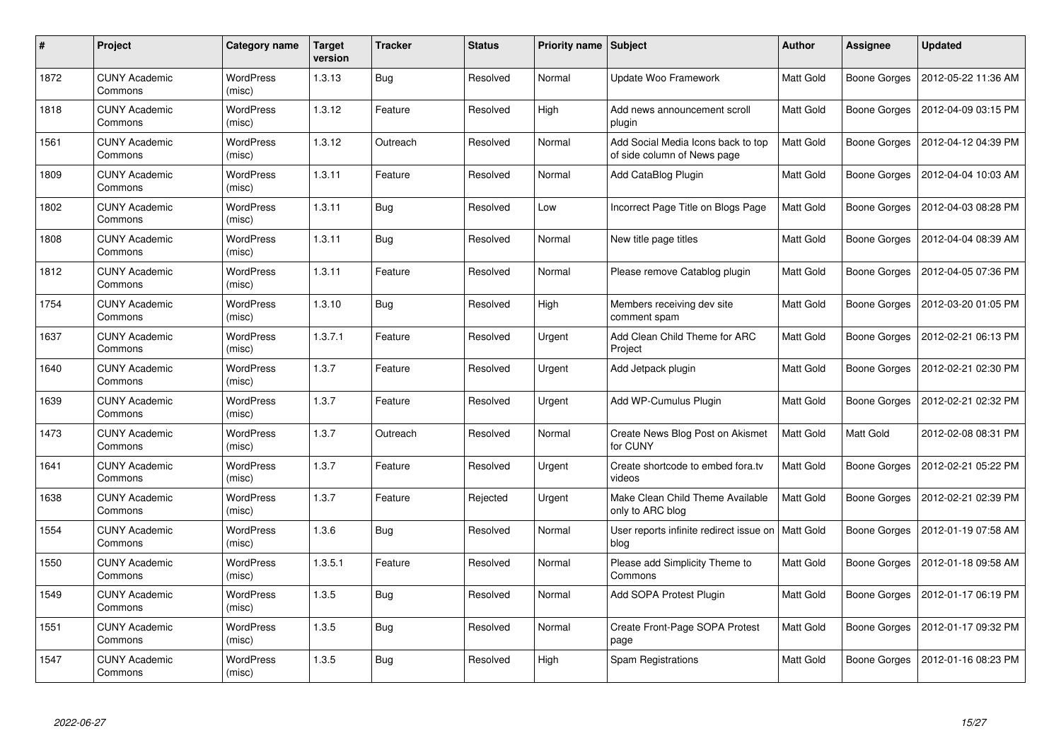| #    | Project                         | Category name              | <b>Target</b><br>version | <b>Tracker</b> | <b>Status</b> | <b>Priority name   Subject</b> |                                                                   | Author           | Assignee            | <b>Updated</b>      |
|------|---------------------------------|----------------------------|--------------------------|----------------|---------------|--------------------------------|-------------------------------------------------------------------|------------------|---------------------|---------------------|
| 1872 | <b>CUNY Academic</b><br>Commons | <b>WordPress</b><br>(misc) | 1.3.13                   | <b>Bug</b>     | Resolved      | Normal                         | Update Woo Framework                                              | Matt Gold        | Boone Gorges        | 2012-05-22 11:36 AM |
| 1818 | <b>CUNY Academic</b><br>Commons | <b>WordPress</b><br>(misc) | 1.3.12                   | Feature        | Resolved      | High                           | Add news announcement scroll<br>plugin                            | Matt Gold        | Boone Gorges        | 2012-04-09 03:15 PM |
| 1561 | <b>CUNY Academic</b><br>Commons | <b>WordPress</b><br>(misc) | 1.3.12                   | Outreach       | Resolved      | Normal                         | Add Social Media Icons back to top<br>of side column of News page | Matt Gold        | Boone Gorges        | 2012-04-12 04:39 PM |
| 1809 | <b>CUNY Academic</b><br>Commons | <b>WordPress</b><br>(misc) | 1.3.11                   | Feature        | Resolved      | Normal                         | Add CataBlog Plugin                                               | Matt Gold        | Boone Gorges        | 2012-04-04 10:03 AM |
| 1802 | <b>CUNY Academic</b><br>Commons | <b>WordPress</b><br>(misc) | 1.3.11                   | <b>Bug</b>     | Resolved      | Low                            | Incorrect Page Title on Blogs Page                                | Matt Gold        | Boone Gorges        | 2012-04-03 08:28 PM |
| 1808 | <b>CUNY Academic</b><br>Commons | WordPress<br>(misc)        | 1.3.11                   | <b>Bug</b>     | Resolved      | Normal                         | New title page titles                                             | Matt Gold        | <b>Boone Gorges</b> | 2012-04-04 08:39 AM |
| 1812 | <b>CUNY Academic</b><br>Commons | <b>WordPress</b><br>(misc) | 1.3.11                   | Feature        | Resolved      | Normal                         | Please remove Catablog plugin                                     | Matt Gold        | Boone Gorges        | 2012-04-05 07:36 PM |
| 1754 | <b>CUNY Academic</b><br>Commons | WordPress<br>(misc)        | 1.3.10                   | <b>Bug</b>     | Resolved      | High                           | Members receiving dev site<br>comment spam                        | Matt Gold        | Boone Gorges        | 2012-03-20 01:05 PM |
| 1637 | <b>CUNY Academic</b><br>Commons | <b>WordPress</b><br>(misc) | 1.3.7.1                  | Feature        | Resolved      | Urgent                         | Add Clean Child Theme for ARC<br>Project                          | Matt Gold        | Boone Gorges        | 2012-02-21 06:13 PM |
| 1640 | <b>CUNY Academic</b><br>Commons | <b>WordPress</b><br>(misc) | 1.3.7                    | Feature        | Resolved      | Urgent                         | Add Jetpack plugin                                                | <b>Matt Gold</b> | <b>Boone Gorges</b> | 2012-02-21 02:30 PM |
| 1639 | <b>CUNY Academic</b><br>Commons | <b>WordPress</b><br>(misc) | 1.3.7                    | Feature        | Resolved      | Urgent                         | Add WP-Cumulus Plugin                                             | Matt Gold        | <b>Boone Gorges</b> | 2012-02-21 02:32 PM |
| 1473 | <b>CUNY Academic</b><br>Commons | <b>WordPress</b><br>(misc) | 1.3.7                    | Outreach       | Resolved      | Normal                         | Create News Blog Post on Akismet<br>for CUNY                      | Matt Gold        | <b>Matt Gold</b>    | 2012-02-08 08:31 PM |
| 1641 | <b>CUNY Academic</b><br>Commons | <b>WordPress</b><br>(misc) | 1.3.7                    | Feature        | Resolved      | Urgent                         | Create shortcode to embed fora.tv<br>videos                       | Matt Gold        | Boone Gorges        | 2012-02-21 05:22 PM |
| 1638 | <b>CUNY Academic</b><br>Commons | WordPress<br>(misc)        | 1.3.7                    | Feature        | Rejected      | Urgent                         | Make Clean Child Theme Available<br>only to ARC blog              | Matt Gold        | Boone Gorges        | 2012-02-21 02:39 PM |
| 1554 | <b>CUNY Academic</b><br>Commons | WordPress<br>(misc)        | 1.3.6                    | <b>Bug</b>     | Resolved      | Normal                         | User reports infinite redirect issue on<br>blog                   | <b>Matt Gold</b> | Boone Gorges        | 2012-01-19 07:58 AM |
| 1550 | <b>CUNY Academic</b><br>Commons | WordPress<br>(misc)        | 1.3.5.1                  | Feature        | Resolved      | Normal                         | Please add Simplicity Theme to<br>Commons                         | Matt Gold        | Boone Gorges        | 2012-01-18 09:58 AM |
| 1549 | <b>CUNY Academic</b><br>Commons | WordPress<br>(misc)        | 1.3.5                    | <b>Bug</b>     | Resolved      | Normal                         | Add SOPA Protest Plugin                                           | Matt Gold        | Boone Gorges        | 2012-01-17 06:19 PM |
| 1551 | <b>CUNY Academic</b><br>Commons | WordPress<br>(misc)        | 1.3.5                    | <b>Bug</b>     | Resolved      | Normal                         | Create Front-Page SOPA Protest<br>page                            | Matt Gold        | Boone Gorges        | 2012-01-17 09:32 PM |
| 1547 | CUNY Academic<br>Commons        | <b>WordPress</b><br>(misc) | 1.3.5                    | <b>Bug</b>     | Resolved      | High                           | Spam Registrations                                                | Matt Gold        | <b>Boone Gorges</b> | 2012-01-16 08:23 PM |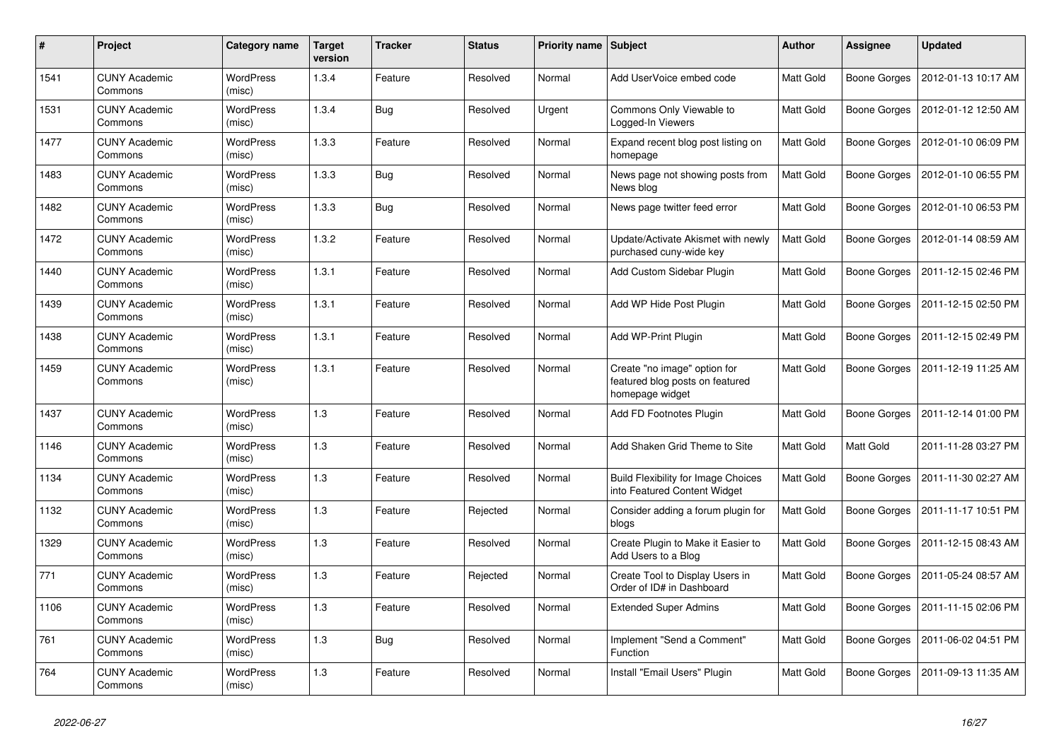| #    | Project                         | Category name              | <b>Target</b><br>version | <b>Tracker</b> | <b>Status</b> | Priority name Subject |                                                                                    | Author           | Assignee            | <b>Updated</b>      |
|------|---------------------------------|----------------------------|--------------------------|----------------|---------------|-----------------------|------------------------------------------------------------------------------------|------------------|---------------------|---------------------|
| 1541 | <b>CUNY Academic</b><br>Commons | <b>WordPress</b><br>(misc) | 1.3.4                    | Feature        | Resolved      | Normal                | Add UserVoice embed code                                                           | <b>Matt Gold</b> | Boone Gorges        | 2012-01-13 10:17 AM |
| 1531 | <b>CUNY Academic</b><br>Commons | <b>WordPress</b><br>(misc) | 1.3.4                    | <b>Bug</b>     | Resolved      | Urgent                | Commons Only Viewable to<br>Logged-In Viewers                                      | Matt Gold        | Boone Gorges        | 2012-01-12 12:50 AM |
| 1477 | <b>CUNY Academic</b><br>Commons | WordPress<br>(misc)        | 1.3.3                    | Feature        | Resolved      | Normal                | Expand recent blog post listing on<br>homepage                                     | Matt Gold        | Boone Gorges        | 2012-01-10 06:09 PM |
| 1483 | <b>CUNY Academic</b><br>Commons | WordPress<br>(misc)        | 1.3.3                    | <b>Bug</b>     | Resolved      | Normal                | News page not showing posts from<br>News blog                                      | Matt Gold        | <b>Boone Gorges</b> | 2012-01-10 06:55 PM |
| 1482 | <b>CUNY Academic</b><br>Commons | <b>WordPress</b><br>(misc) | 1.3.3                    | <b>Bug</b>     | Resolved      | Normal                | News page twitter feed error                                                       | Matt Gold        | Boone Gorges        | 2012-01-10 06:53 PM |
| 1472 | <b>CUNY Academic</b><br>Commons | WordPress<br>(misc)        | 1.3.2                    | Feature        | Resolved      | Normal                | Update/Activate Akismet with newly<br>purchased cuny-wide key                      | Matt Gold        | Boone Gorges        | 2012-01-14 08:59 AM |
| 1440 | <b>CUNY Academic</b><br>Commons | WordPress<br>(misc)        | 1.3.1                    | Feature        | Resolved      | Normal                | Add Custom Sidebar Plugin                                                          | Matt Gold        | Boone Gorges        | 2011-12-15 02:46 PM |
| 1439 | <b>CUNY Academic</b><br>Commons | WordPress<br>(misc)        | 1.3.1                    | Feature        | Resolved      | Normal                | Add WP Hide Post Plugin                                                            | <b>Matt Gold</b> | Boone Gorges        | 2011-12-15 02:50 PM |
| 1438 | <b>CUNY Academic</b><br>Commons | <b>WordPress</b><br>(misc) | 1.3.1                    | Feature        | Resolved      | Normal                | Add WP-Print Plugin                                                                | Matt Gold        | Boone Gorges        | 2011-12-15 02:49 PM |
| 1459 | <b>CUNY Academic</b><br>Commons | <b>WordPress</b><br>(misc) | 1.3.1                    | Feature        | Resolved      | Normal                | Create "no image" option for<br>featured blog posts on featured<br>homepage widget | Matt Gold        | Boone Gorges        | 2011-12-19 11:25 AM |
| 1437 | <b>CUNY Academic</b><br>Commons | <b>WordPress</b><br>(misc) | 1.3                      | Feature        | Resolved      | Normal                | Add FD Footnotes Plugin                                                            | Matt Gold        | Boone Gorges        | 2011-12-14 01:00 PM |
| 1146 | <b>CUNY Academic</b><br>Commons | <b>WordPress</b><br>(misc) | 1.3                      | Feature        | Resolved      | Normal                | Add Shaken Grid Theme to Site                                                      | Matt Gold        | <b>Matt Gold</b>    | 2011-11-28 03:27 PM |
| 1134 | <b>CUNY Academic</b><br>Commons | <b>WordPress</b><br>(misc) | 1.3                      | Feature        | Resolved      | Normal                | <b>Build Flexibility for Image Choices</b><br>into Featured Content Widget         | Matt Gold        | Boone Gorges        | 2011-11-30 02:27 AM |
| 1132 | <b>CUNY Academic</b><br>Commons | <b>WordPress</b><br>(misc) | 1.3                      | Feature        | Rejected      | Normal                | Consider adding a forum plugin for<br>blogs                                        | Matt Gold        | Boone Gorges        | 2011-11-17 10:51 PM |
| 1329 | <b>CUNY Academic</b><br>Commons | <b>WordPress</b><br>(misc) | 1.3                      | Feature        | Resolved      | Normal                | Create Plugin to Make it Easier to<br>Add Users to a Blog                          | Matt Gold        | Boone Gorges        | 2011-12-15 08:43 AM |
| 771  | <b>CUNY Academic</b><br>Commons | <b>WordPress</b><br>(misc) | 1.3                      | Feature        | Rejected      | Normal                | Create Tool to Display Users in<br>Order of ID# in Dashboard                       | Matt Gold        | Boone Gorges        | 2011-05-24 08:57 AM |
| 1106 | <b>CUNY Academic</b><br>Commons | <b>WordPress</b><br>(misc) | 1.3                      | Feature        | Resolved      | Normal                | <b>Extended Super Admins</b>                                                       | Matt Gold        | Boone Gorges        | 2011-11-15 02:06 PM |
| 761  | <b>CUNY Academic</b><br>Commons | WordPress<br>(misc)        | 1.3                      | <b>Bug</b>     | Resolved      | Normal                | Implement "Send a Comment"<br>Function                                             | Matt Gold        | Boone Gorges        | 2011-06-02 04:51 PM |
| 764  | <b>CUNY Academic</b><br>Commons | <b>WordPress</b><br>(misc) | 1.3                      | Feature        | Resolved      | Normal                | Install "Email Users" Plugin                                                       | Matt Gold        | Boone Gorges        | 2011-09-13 11:35 AM |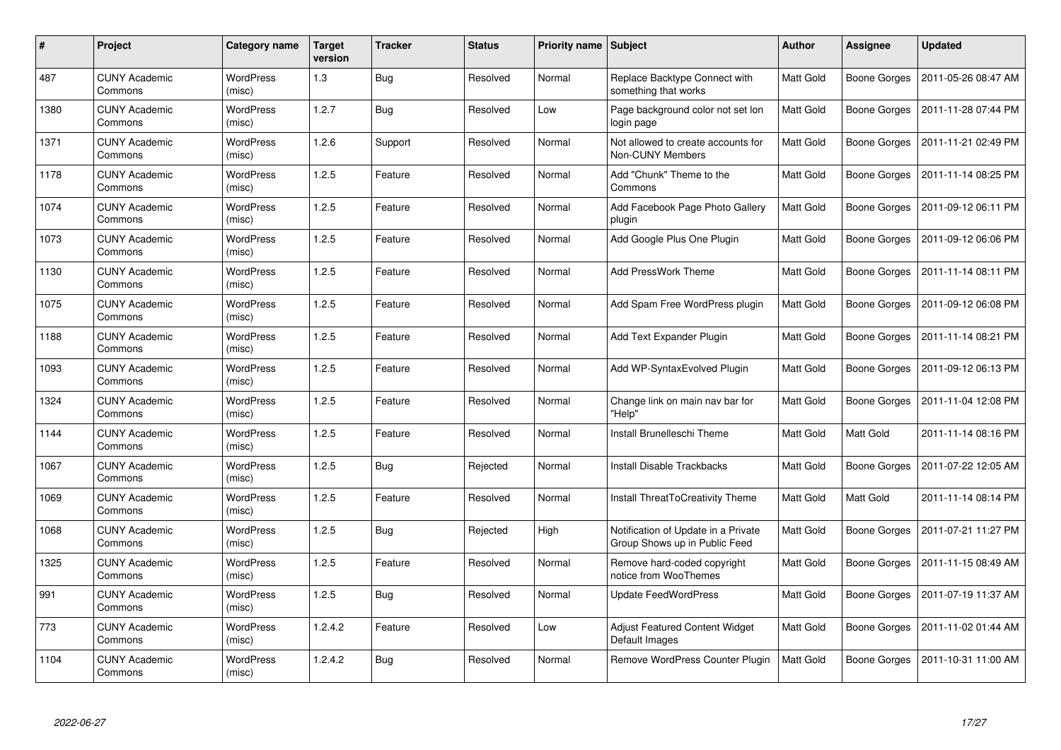| #    | Project                         | Category name              | <b>Target</b><br>version | <b>Tracker</b> | <b>Status</b> | <b>Priority name   Subject</b> |                                                                      | Author           | Assignee         | <b>Updated</b>      |
|------|---------------------------------|----------------------------|--------------------------|----------------|---------------|--------------------------------|----------------------------------------------------------------------|------------------|------------------|---------------------|
| 487  | <b>CUNY Academic</b><br>Commons | <b>WordPress</b><br>(misc) | 1.3                      | <b>Bug</b>     | Resolved      | Normal                         | Replace Backtype Connect with<br>something that works                | Matt Gold        | Boone Gorges     | 2011-05-26 08:47 AM |
| 1380 | <b>CUNY Academic</b><br>Commons | <b>WordPress</b><br>(misc) | 1.2.7                    | <b>Bug</b>     | Resolved      | Low                            | Page background color not set lon<br>login page                      | Matt Gold        | Boone Gorges     | 2011-11-28 07:44 PM |
| 1371 | <b>CUNY Academic</b><br>Commons | <b>WordPress</b><br>(misc) | 1.2.6                    | Support        | Resolved      | Normal                         | Not allowed to create accounts for<br><b>Non-CUNY Members</b>        | Matt Gold        | Boone Gorges     | 2011-11-21 02:49 PM |
| 1178 | <b>CUNY Academic</b><br>Commons | <b>WordPress</b><br>(misc) | 1.2.5                    | Feature        | Resolved      | Normal                         | Add "Chunk" Theme to the<br>Commons                                  | Matt Gold        | Boone Gorges     | 2011-11-14 08:25 PM |
| 1074 | <b>CUNY Academic</b><br>Commons | <b>WordPress</b><br>(misc) | 1.2.5                    | Feature        | Resolved      | Normal                         | Add Facebook Page Photo Gallery<br>plugin                            | Matt Gold        | Boone Gorges     | 2011-09-12 06:11 PM |
| 1073 | <b>CUNY Academic</b><br>Commons | <b>WordPress</b><br>(misc) | 1.2.5                    | Feature        | Resolved      | Normal                         | Add Google Plus One Plugin                                           | Matt Gold        | Boone Gorges     | 2011-09-12 06:06 PM |
| 1130 | <b>CUNY Academic</b><br>Commons | <b>WordPress</b><br>(misc) | 1.2.5                    | Feature        | Resolved      | Normal                         | <b>Add PressWork Theme</b>                                           | <b>Matt Gold</b> | Boone Gorges     | 2011-11-14 08:11 PM |
| 1075 | <b>CUNY Academic</b><br>Commons | WordPress<br>(misc)        | 1.2.5                    | Feature        | Resolved      | Normal                         | Add Spam Free WordPress plugin                                       | Matt Gold        | Boone Gorges     | 2011-09-12 06:08 PM |
| 1188 | <b>CUNY Academic</b><br>Commons | WordPress<br>(misc)        | 1.2.5                    | Feature        | Resolved      | Normal                         | Add Text Expander Plugin                                             | Matt Gold        | Boone Gorges     | 2011-11-14 08:21 PM |
| 1093 | <b>CUNY Academic</b><br>Commons | WordPress<br>(misc)        | 1.2.5                    | Feature        | Resolved      | Normal                         | Add WP-SyntaxEvolved Plugin                                          | Matt Gold        | Boone Gorges     | 2011-09-12 06:13 PM |
| 1324 | <b>CUNY Academic</b><br>Commons | <b>WordPress</b><br>(misc) | 1.2.5                    | Feature        | Resolved      | Normal                         | Change link on main nav bar for<br>"Help"                            | Matt Gold        | Boone Gorges     | 2011-11-04 12:08 PM |
| 1144 | <b>CUNY Academic</b><br>Commons | <b>WordPress</b><br>(misc) | 1.2.5                    | Feature        | Resolved      | Normal                         | Install Brunelleschi Theme                                           | Matt Gold        | <b>Matt Gold</b> | 2011-11-14 08:16 PM |
| 1067 | <b>CUNY Academic</b><br>Commons | WordPress<br>(misc)        | 1.2.5                    | Bug            | Rejected      | Normal                         | Install Disable Trackbacks                                           | Matt Gold        | Boone Gorges     | 2011-07-22 12:05 AM |
| 1069 | <b>CUNY Academic</b><br>Commons | <b>WordPress</b><br>(misc) | 1.2.5                    | Feature        | Resolved      | Normal                         | Install ThreatToCreativity Theme                                     | Matt Gold        | <b>Matt Gold</b> | 2011-11-14 08:14 PM |
| 1068 | <b>CUNY Academic</b><br>Commons | WordPress<br>(misc)        | 1.2.5                    | <b>Bug</b>     | Rejected      | High                           | Notification of Update in a Private<br>Group Shows up in Public Feed | Matt Gold        | Boone Gorges     | 2011-07-21 11:27 PM |
| 1325 | <b>CUNY Academic</b><br>Commons | <b>WordPress</b><br>(misc) | 1.2.5                    | Feature        | Resolved      | Normal                         | Remove hard-coded copyright<br>notice from WooThemes                 | Matt Gold        | Boone Gorges     | 2011-11-15 08:49 AM |
| 991  | <b>CUNY Academic</b><br>Commons | WordPress<br>(misc)        | 1.2.5                    | <b>Bug</b>     | Resolved      | Normal                         | <b>Update FeedWordPress</b>                                          | Matt Gold        | Boone Gorges     | 2011-07-19 11:37 AM |
| 773  | <b>CUNY Academic</b><br>Commons | <b>WordPress</b><br>(misc) | 1.2.4.2                  | Feature        | Resolved      | Low                            | Adjust Featured Content Widget<br>Default Images                     | Matt Gold        | Boone Gorges     | 2011-11-02 01:44 AM |
| 1104 | CUNY Academic<br>Commons        | WordPress<br>(misc)        | 1.2.4.2                  | <b>Bug</b>     | Resolved      | Normal                         | Remove WordPress Counter Plugin                                      | Matt Gold        | Boone Gorges     | 2011-10-31 11:00 AM |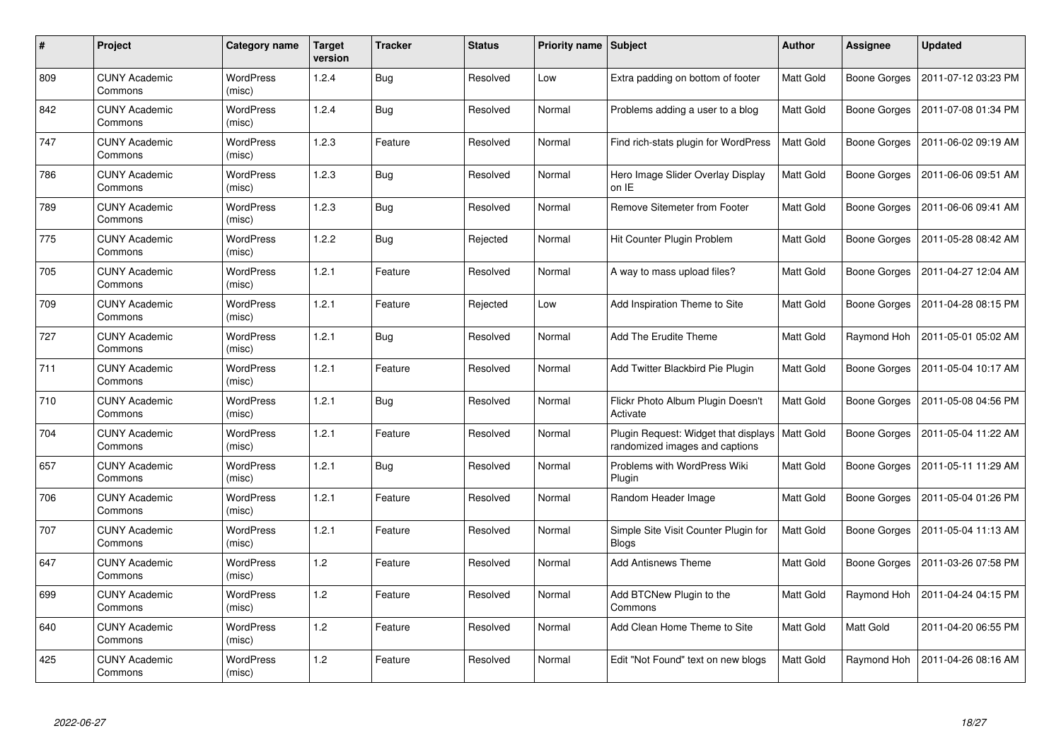| $\#$ | Project                         | Category name              | <b>Target</b><br>version | <b>Tracker</b> | <b>Status</b> | <b>Priority name   Subject</b> |                                                                        | Author           | Assignee     | <b>Updated</b>      |
|------|---------------------------------|----------------------------|--------------------------|----------------|---------------|--------------------------------|------------------------------------------------------------------------|------------------|--------------|---------------------|
| 809  | <b>CUNY Academic</b><br>Commons | <b>WordPress</b><br>(misc) | 1.2.4                    | <b>Bug</b>     | Resolved      | Low                            | Extra padding on bottom of footer                                      | Matt Gold        | Boone Gorges | 2011-07-12 03:23 PM |
| 842  | <b>CUNY Academic</b><br>Commons | WordPress<br>(misc)        | 1.2.4                    | Bug            | Resolved      | Normal                         | Problems adding a user to a blog                                       | Matt Gold        | Boone Gorges | 2011-07-08 01:34 PM |
| 747  | <b>CUNY Academic</b><br>Commons | WordPress<br>(misc)        | 1.2.3                    | Feature        | Resolved      | Normal                         | Find rich-stats plugin for WordPress                                   | Matt Gold        | Boone Gorges | 2011-06-02 09:19 AM |
| 786  | <b>CUNY Academic</b><br>Commons | WordPress<br>(misc)        | 1.2.3                    | <b>Bug</b>     | Resolved      | Normal                         | Hero Image Slider Overlay Display<br>on IE                             | Matt Gold        | Boone Gorges | 2011-06-06 09:51 AM |
| 789  | <b>CUNY Academic</b><br>Commons | <b>WordPress</b><br>(misc) | 1.2.3                    | <b>Bug</b>     | Resolved      | Normal                         | Remove Sitemeter from Footer                                           | Matt Gold        | Boone Gorges | 2011-06-06 09:41 AM |
| 775  | <b>CUNY Academic</b><br>Commons | <b>WordPress</b><br>(misc) | 1.2.2                    | Bug            | Rejected      | Normal                         | Hit Counter Plugin Problem                                             | Matt Gold        | Boone Gorges | 2011-05-28 08:42 AM |
| 705  | <b>CUNY Academic</b><br>Commons | <b>WordPress</b><br>(misc) | 1.2.1                    | Feature        | Resolved      | Normal                         | A way to mass upload files?                                            | Matt Gold        | Boone Gorges | 2011-04-27 12:04 AM |
| 709  | <b>CUNY Academic</b><br>Commons | WordPress<br>(misc)        | 1.2.1                    | Feature        | Rejected      | Low                            | Add Inspiration Theme to Site                                          | Matt Gold        | Boone Gorges | 2011-04-28 08:15 PM |
| 727  | <b>CUNY Academic</b><br>Commons | <b>WordPress</b><br>(misc) | 1.2.1                    | <b>Bug</b>     | Resolved      | Normal                         | Add The Erudite Theme                                                  | Matt Gold        | Raymond Hoh  | 2011-05-01 05:02 AM |
| 711  | <b>CUNY Academic</b><br>Commons | WordPress<br>(misc)        | 1.2.1                    | Feature        | Resolved      | Normal                         | Add Twitter Blackbird Pie Plugin                                       | Matt Gold        | Boone Gorges | 2011-05-04 10:17 AM |
| 710  | <b>CUNY Academic</b><br>Commons | <b>WordPress</b><br>(misc) | 1.2.1                    | <b>Bug</b>     | Resolved      | Normal                         | Flickr Photo Album Plugin Doesn't<br>Activate                          | Matt Gold        | Boone Gorges | 2011-05-08 04:56 PM |
| 704  | <b>CUNY Academic</b><br>Commons | <b>WordPress</b><br>(misc) | 1.2.1                    | Feature        | Resolved      | Normal                         | Plugin Request: Widget that displays<br>randomized images and captions | <b>Matt Gold</b> | Boone Gorges | 2011-05-04 11:22 AM |
| 657  | <b>CUNY Academic</b><br>Commons | <b>WordPress</b><br>(misc) | 1.2.1                    | <b>Bug</b>     | Resolved      | Normal                         | Problems with WordPress Wiki<br>Plugin                                 | Matt Gold        | Boone Gorges | 2011-05-11 11:29 AM |
| 706  | <b>CUNY Academic</b><br>Commons | WordPress<br>(misc)        | 1.2.1                    | Feature        | Resolved      | Normal                         | Random Header Image                                                    | Matt Gold        | Boone Gorges | 2011-05-04 01:26 PM |
| 707  | <b>CUNY Academic</b><br>Commons | WordPress<br>(misc)        | 1.2.1                    | Feature        | Resolved      | Normal                         | Simple Site Visit Counter Plugin for<br><b>Blogs</b>                   | Matt Gold        | Boone Gorges | 2011-05-04 11:13 AM |
| 647  | <b>CUNY Academic</b><br>Commons | WordPress<br>(misc)        | $1.2$                    | Feature        | Resolved      | Normal                         | <b>Add Antisnews Theme</b>                                             | Matt Gold        | Boone Gorges | 2011-03-26 07:58 PM |
| 699  | <b>CUNY Academic</b><br>Commons | WordPress<br>(misc)        | $1.2$                    | Feature        | Resolved      | Normal                         | Add BTCNew Plugin to the<br>Commons                                    | Matt Gold        | Raymond Hoh  | 2011-04-24 04:15 PM |
| 640  | <b>CUNY Academic</b><br>Commons | WordPress<br>(misc)        | 1.2                      | Feature        | Resolved      | Normal                         | Add Clean Home Theme to Site                                           | Matt Gold        | Matt Gold    | 2011-04-20 06:55 PM |
| 425  | <b>CUNY Academic</b><br>Commons | WordPress<br>(misc)        | 1.2                      | Feature        | Resolved      | Normal                         | Edit "Not Found" text on new blogs                                     | Matt Gold        | Raymond Hoh  | 2011-04-26 08:16 AM |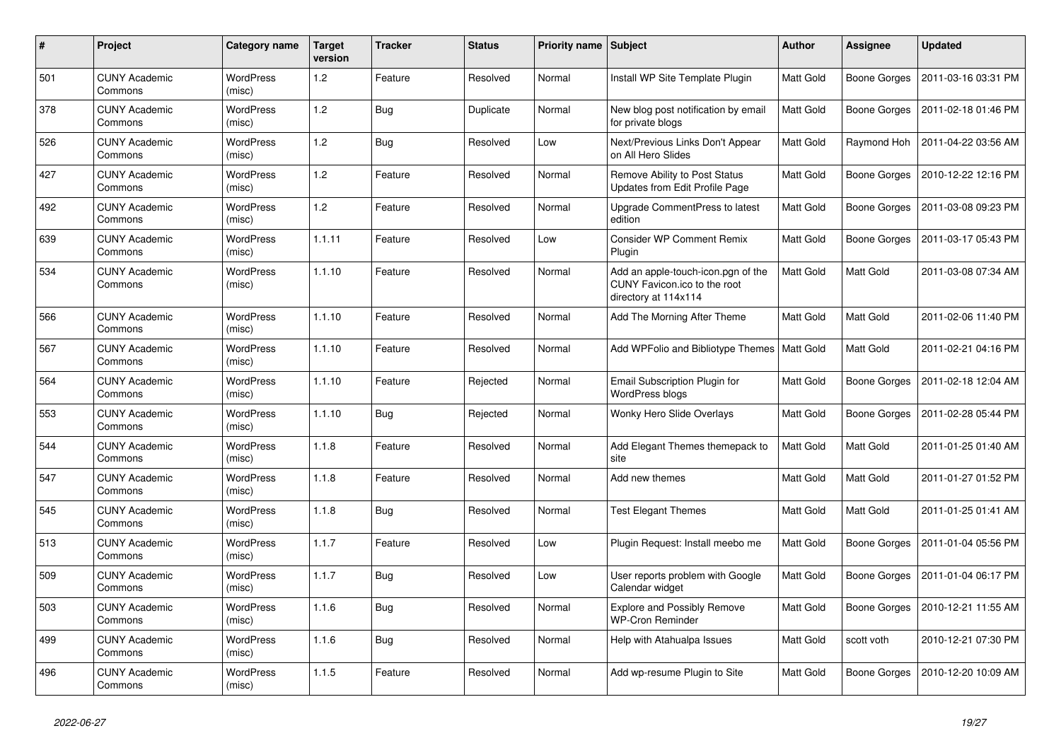| #   | Project                         | <b>Category name</b>       | <b>Target</b><br>version | <b>Tracker</b> | <b>Status</b> | <b>Priority name Subject</b> |                                                                                            | <b>Author</b>    | <b>Assignee</b>  | <b>Updated</b>      |
|-----|---------------------------------|----------------------------|--------------------------|----------------|---------------|------------------------------|--------------------------------------------------------------------------------------------|------------------|------------------|---------------------|
| 501 | <b>CUNY Academic</b><br>Commons | <b>WordPress</b><br>(misc) | 1.2                      | Feature        | Resolved      | Normal                       | Install WP Site Template Plugin                                                            | Matt Gold        | Boone Gorges     | 2011-03-16 03:31 PM |
| 378 | <b>CUNY Academic</b><br>Commons | <b>WordPress</b><br>(misc) | 1.2                      | <b>Bug</b>     | Duplicate     | Normal                       | New blog post notification by email<br>for private blogs                                   | Matt Gold        | Boone Gorges     | 2011-02-18 01:46 PM |
| 526 | <b>CUNY Academic</b><br>Commons | <b>WordPress</b><br>(misc) | 1.2                      | <b>Bug</b>     | Resolved      | Low                          | Next/Previous Links Don't Appear<br>on All Hero Slides                                     | Matt Gold        | Raymond Hoh      | 2011-04-22 03:56 AM |
| 427 | <b>CUNY Academic</b><br>Commons | WordPress<br>(misc)        | 1.2                      | Feature        | Resolved      | Normal                       | Remove Ability to Post Status<br>Updates from Edit Profile Page                            | Matt Gold        | Boone Gorges     | 2010-12-22 12:16 PM |
| 492 | <b>CUNY Academic</b><br>Commons | WordPress<br>(misc)        | 1.2                      | Feature        | Resolved      | Normal                       | Upgrade CommentPress to latest<br>edition                                                  | Matt Gold        | Boone Gorges     | 2011-03-08 09:23 PM |
| 639 | <b>CUNY Academic</b><br>Commons | <b>WordPress</b><br>(misc) | 1.1.11                   | Feature        | Resolved      | Low                          | <b>Consider WP Comment Remix</b><br>Plugin                                                 | Matt Gold        | Boone Gorges     | 2011-03-17 05:43 PM |
| 534 | <b>CUNY Academic</b><br>Commons | WordPress<br>(misc)        | 1.1.10                   | Feature        | Resolved      | Normal                       | Add an apple-touch-icon.pgn of the<br>CUNY Favicon.ico to the root<br>directory at 114x114 | Matt Gold        | Matt Gold        | 2011-03-08 07:34 AM |
| 566 | <b>CUNY Academic</b><br>Commons | <b>WordPress</b><br>(misc) | 1.1.10                   | Feature        | Resolved      | Normal                       | Add The Morning After Theme                                                                | Matt Gold        | Matt Gold        | 2011-02-06 11:40 PM |
| 567 | <b>CUNY Academic</b><br>Commons | <b>WordPress</b><br>(misc) | 1.1.10                   | Feature        | Resolved      | Normal                       | Add WPFolio and Bibliotype Themes                                                          | Matt Gold        | Matt Gold        | 2011-02-21 04:16 PM |
| 564 | <b>CUNY Academic</b><br>Commons | WordPress<br>(misc)        | 1.1.10                   | Feature        | Rejected      | Normal                       | Email Subscription Plugin for<br><b>WordPress blogs</b>                                    | Matt Gold        | Boone Gorges     | 2011-02-18 12:04 AM |
| 553 | <b>CUNY Academic</b><br>Commons | <b>WordPress</b><br>(misc) | 1.1.10                   | <b>Bug</b>     | Rejected      | Normal                       | Wonky Hero Slide Overlays                                                                  | Matt Gold        | Boone Gorges     | 2011-02-28 05:44 PM |
| 544 | <b>CUNY Academic</b><br>Commons | <b>WordPress</b><br>(misc) | 1.1.8                    | Feature        | Resolved      | Normal                       | Add Elegant Themes themepack to<br>site                                                    | Matt Gold        | <b>Matt Gold</b> | 2011-01-25 01:40 AM |
| 547 | <b>CUNY Academic</b><br>Commons | <b>WordPress</b><br>(misc) | 1.1.8                    | Feature        | Resolved      | Normal                       | Add new themes                                                                             | Matt Gold        | Matt Gold        | 2011-01-27 01:52 PM |
| 545 | <b>CUNY Academic</b><br>Commons | <b>WordPress</b><br>(misc) | 1.1.8                    | <b>Bug</b>     | Resolved      | Normal                       | <b>Test Elegant Themes</b>                                                                 | Matt Gold        | Matt Gold        | 2011-01-25 01:41 AM |
| 513 | <b>CUNY Academic</b><br>Commons | <b>WordPress</b><br>(misc) | 1.1.7                    | Feature        | Resolved      | Low                          | Plugin Request: Install meebo me                                                           | Matt Gold        | Boone Gorges     | 2011-01-04 05:56 PM |
| 509 | <b>CUNY Academic</b><br>Commons | <b>WordPress</b><br>(misc) | 1.1.7                    | <b>Bug</b>     | Resolved      | Low                          | User reports problem with Google<br>Calendar widget                                        | Matt Gold        | Boone Gorges     | 2011-01-04 06:17 PM |
| 503 | <b>CUNY Academic</b><br>Commons | <b>WordPress</b><br>(misc) | 1.1.6                    | <b>Bug</b>     | Resolved      | Normal                       | <b>Explore and Possibly Remove</b><br><b>WP-Cron Reminder</b>                              | Matt Gold        | Boone Gorges     | 2010-12-21 11:55 AM |
| 499 | <b>CUNY Academic</b><br>Commons | WordPress<br>(misc)        | 1.1.6                    | Bug            | Resolved      | Normal                       | Help with Atahualpa Issues                                                                 | <b>Matt Gold</b> | scott voth       | 2010-12-21 07:30 PM |
| 496 | <b>CUNY Academic</b><br>Commons | <b>WordPress</b><br>(misc) | 1.1.5                    | Feature        | Resolved      | Normal                       | Add wp-resume Plugin to Site                                                               | Matt Gold        | Boone Gorges     | 2010-12-20 10:09 AM |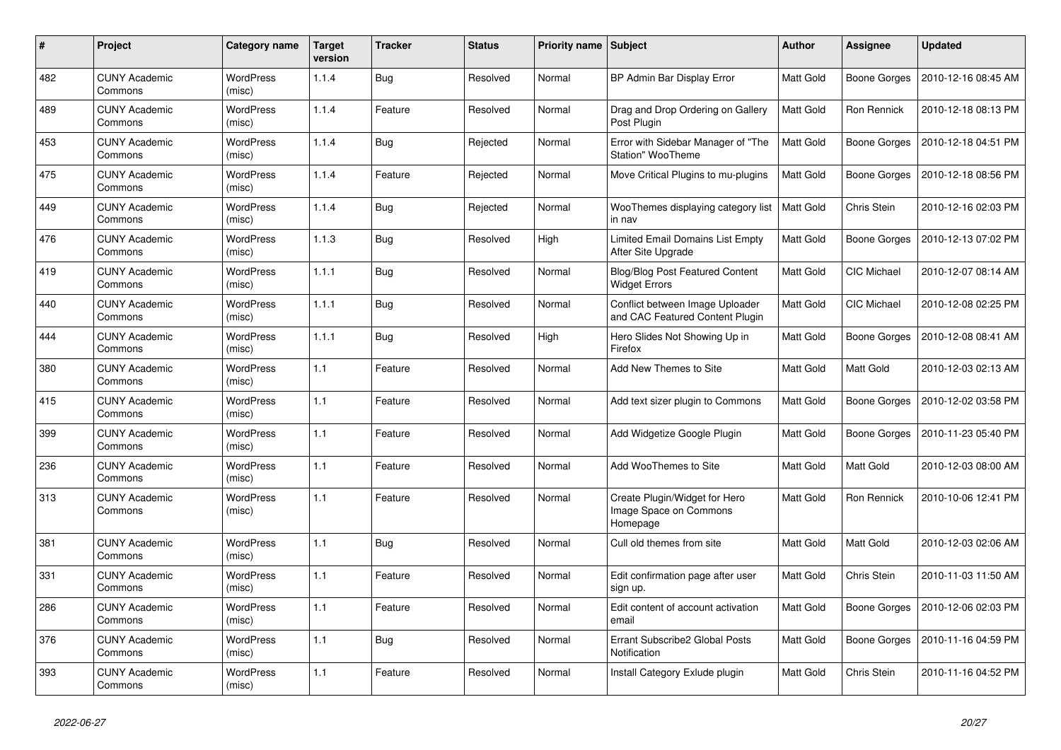| #   | Project                         | Category name              | <b>Target</b><br>version | <b>Tracker</b> | <b>Status</b> | <b>Priority name   Subject</b> |                                                                     | <b>Author</b>    | Assignee           | <b>Updated</b>      |
|-----|---------------------------------|----------------------------|--------------------------|----------------|---------------|--------------------------------|---------------------------------------------------------------------|------------------|--------------------|---------------------|
| 482 | <b>CUNY Academic</b><br>Commons | <b>WordPress</b><br>(misc) | 1.1.4                    | <b>Bug</b>     | Resolved      | Normal                         | BP Admin Bar Display Error                                          | <b>Matt Gold</b> | Boone Gorges       | 2010-12-16 08:45 AM |
| 489 | <b>CUNY Academic</b><br>Commons | <b>WordPress</b><br>(misc) | 1.1.4                    | Feature        | Resolved      | Normal                         | Drag and Drop Ordering on Gallery<br>Post Plugin                    | Matt Gold        | <b>Ron Rennick</b> | 2010-12-18 08:13 PM |
| 453 | <b>CUNY Academic</b><br>Commons | <b>WordPress</b><br>(misc) | 1.1.4                    | Bug            | Rejected      | Normal                         | Error with Sidebar Manager of "The<br><b>Station" WooTheme</b>      | Matt Gold        | Boone Gorges       | 2010-12-18 04:51 PM |
| 475 | <b>CUNY Academic</b><br>Commons | WordPress<br>(misc)        | 1.1.4                    | Feature        | Rejected      | Normal                         | Move Critical Plugins to mu-plugins                                 | Matt Gold        | Boone Gorges       | 2010-12-18 08:56 PM |
| 449 | <b>CUNY Academic</b><br>Commons | <b>WordPress</b><br>(misc) | 1.1.4                    | <b>Bug</b>     | Rejected      | Normal                         | WooThemes displaying category list<br>in nav                        | Matt Gold        | Chris Stein        | 2010-12-16 02:03 PM |
| 476 | <b>CUNY Academic</b><br>Commons | <b>WordPress</b><br>(misc) | 1.1.3                    | <b>Bug</b>     | Resolved      | High                           | Limited Email Domains List Empty<br>After Site Upgrade              | Matt Gold        | Boone Gorges       | 2010-12-13 07:02 PM |
| 419 | <b>CUNY Academic</b><br>Commons | WordPress<br>(misc)        | 1.1.1                    | <b>Bug</b>     | Resolved      | Normal                         | <b>Blog/Blog Post Featured Content</b><br><b>Widget Errors</b>      | Matt Gold        | <b>CIC Michael</b> | 2010-12-07 08:14 AM |
| 440 | <b>CUNY Academic</b><br>Commons | <b>WordPress</b><br>(misc) | 1.1.1                    | <b>Bug</b>     | Resolved      | Normal                         | Conflict between Image Uploader<br>and CAC Featured Content Plugin  | Matt Gold        | <b>CIC Michael</b> | 2010-12-08 02:25 PM |
| 444 | <b>CUNY Academic</b><br>Commons | <b>WordPress</b><br>(misc) | 1.1.1                    | <b>Bug</b>     | Resolved      | High                           | Hero Slides Not Showing Up in<br>Firefox                            | Matt Gold        | Boone Gorges       | 2010-12-08 08:41 AM |
| 380 | <b>CUNY Academic</b><br>Commons | <b>WordPress</b><br>(misc) | 1.1                      | Feature        | Resolved      | Normal                         | Add New Themes to Site                                              | Matt Gold        | Matt Gold          | 2010-12-03 02:13 AM |
| 415 | <b>CUNY Academic</b><br>Commons | <b>WordPress</b><br>(misc) | 1.1                      | Feature        | Resolved      | Normal                         | Add text sizer plugin to Commons                                    | Matt Gold        | Boone Gorges       | 2010-12-02 03:58 PM |
| 399 | <b>CUNY Academic</b><br>Commons | WordPress<br>(misc)        | 1.1                      | Feature        | Resolved      | Normal                         | Add Widgetize Google Plugin                                         | Matt Gold        | Boone Gorges       | 2010-11-23 05:40 PM |
| 236 | <b>CUNY Academic</b><br>Commons | WordPress<br>(misc)        | 1.1                      | Feature        | Resolved      | Normal                         | Add WooThemes to Site                                               | Matt Gold        | Matt Gold          | 2010-12-03 08:00 AM |
| 313 | <b>CUNY Academic</b><br>Commons | WordPress<br>(misc)        | 1.1                      | Feature        | Resolved      | Normal                         | Create Plugin/Widget for Hero<br>Image Space on Commons<br>Homepage | Matt Gold        | Ron Rennick        | 2010-10-06 12:41 PM |
| 381 | <b>CUNY Academic</b><br>Commons | <b>WordPress</b><br>(misc) | 1.1                      | <b>Bug</b>     | Resolved      | Normal                         | Cull old themes from site                                           | <b>Matt Gold</b> | <b>Matt Gold</b>   | 2010-12-03 02:06 AM |
| 331 | <b>CUNY Academic</b><br>Commons | WordPress<br>(misc)        | 1.1                      | Feature        | Resolved      | Normal                         | Edit confirmation page after user<br>sign up.                       | Matt Gold        | Chris Stein        | 2010-11-03 11:50 AM |
| 286 | <b>CUNY Academic</b><br>Commons | WordPress<br>(misc)        | 1.1                      | Feature        | Resolved      | Normal                         | Edit content of account activation<br>email                         | Matt Gold        | Boone Gorges       | 2010-12-06 02:03 PM |
| 376 | <b>CUNY Academic</b><br>Commons | <b>WordPress</b><br>(misc) | 1.1                      | Bug            | Resolved      | Normal                         | Errant Subscribe2 Global Posts<br>Notification                      | Matt Gold        | Boone Gorges       | 2010-11-16 04:59 PM |
| 393 | <b>CUNY Academic</b><br>Commons | WordPress<br>(misc)        | 1.1                      | Feature        | Resolved      | Normal                         | Install Category Exlude plugin                                      | Matt Gold        | Chris Stein        | 2010-11-16 04:52 PM |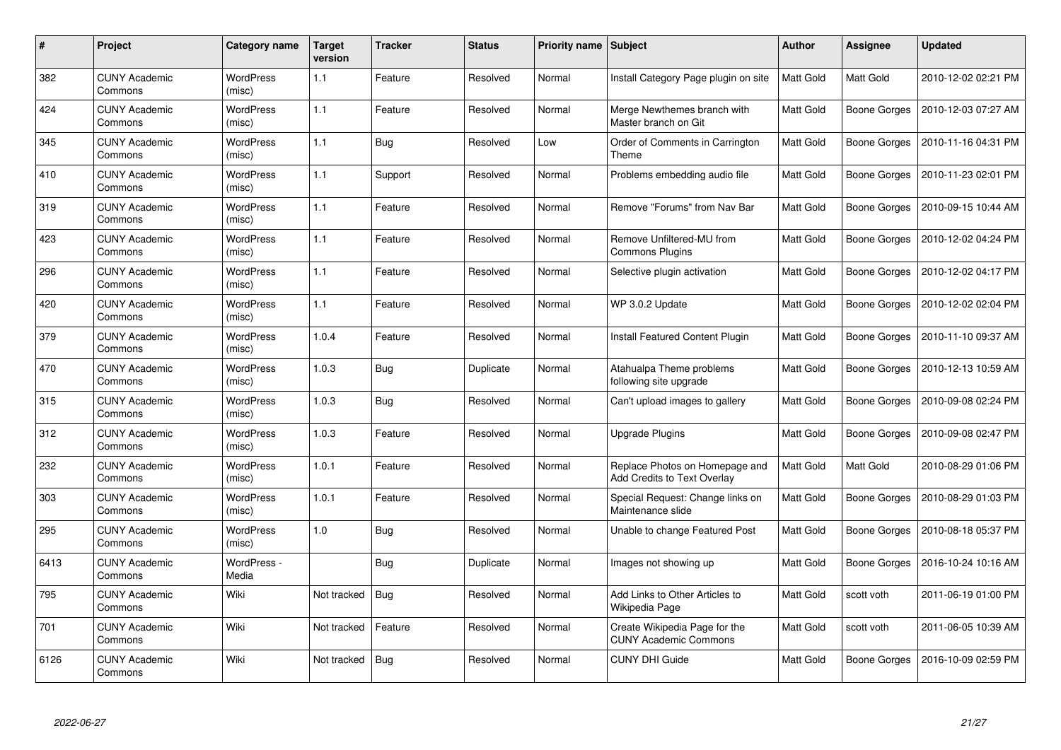| #    | Project                         | Category name              | <b>Target</b><br>version | <b>Tracker</b> | <b>Status</b> | <b>Priority name   Subject</b> |                                                                      | Author           | <b>Assignee</b>     | <b>Updated</b>      |
|------|---------------------------------|----------------------------|--------------------------|----------------|---------------|--------------------------------|----------------------------------------------------------------------|------------------|---------------------|---------------------|
| 382  | <b>CUNY Academic</b><br>Commons | <b>WordPress</b><br>(misc) | 1.1                      | Feature        | Resolved      | Normal                         | Install Category Page plugin on site                                 | <b>Matt Gold</b> | <b>Matt Gold</b>    | 2010-12-02 02:21 PM |
| 424  | <b>CUNY Academic</b><br>Commons | WordPress<br>(misc)        | 1.1                      | Feature        | Resolved      | Normal                         | Merge Newthemes branch with<br>Master branch on Git                  | Matt Gold        | Boone Gorges        | 2010-12-03 07:27 AM |
| 345  | <b>CUNY Academic</b><br>Commons | <b>WordPress</b><br>(misc) | 1.1                      | Bug            | Resolved      | Low                            | Order of Comments in Carrington<br>Theme                             | Matt Gold        | Boone Gorges        | 2010-11-16 04:31 PM |
| 410  | <b>CUNY Academic</b><br>Commons | <b>WordPress</b><br>(misc) | 1.1                      | Support        | Resolved      | Normal                         | Problems embedding audio file                                        | Matt Gold        | Boone Gorges        | 2010-11-23 02:01 PM |
| 319  | <b>CUNY Academic</b><br>Commons | <b>WordPress</b><br>(misc) | 1.1                      | Feature        | Resolved      | Normal                         | Remove "Forums" from Nav Bar                                         | Matt Gold        | Boone Gorges        | 2010-09-15 10:44 AM |
| 423  | <b>CUNY Academic</b><br>Commons | <b>WordPress</b><br>(misc) | 1.1                      | Feature        | Resolved      | Normal                         | Remove Unfiltered-MU from<br><b>Commons Plugins</b>                  | <b>Matt Gold</b> | Boone Gorges        | 2010-12-02 04:24 PM |
| 296  | <b>CUNY Academic</b><br>Commons | <b>WordPress</b><br>(misc) | 1.1                      | Feature        | Resolved      | Normal                         | Selective plugin activation                                          | <b>Matt Gold</b> | <b>Boone Gorges</b> | 2010-12-02 04:17 PM |
| 420  | <b>CUNY Academic</b><br>Commons | WordPress<br>(misc)        | 1.1                      | Feature        | Resolved      | Normal                         | WP 3.0.2 Update                                                      | Matt Gold        | Boone Gorges        | 2010-12-02 02:04 PM |
| 379  | <b>CUNY Academic</b><br>Commons | <b>WordPress</b><br>(misc) | 1.0.4                    | Feature        | Resolved      | Normal                         | Install Featured Content Plugin                                      | Matt Gold        | Boone Gorges        | 2010-11-10 09:37 AM |
| 470  | <b>CUNY Academic</b><br>Commons | <b>WordPress</b><br>(misc) | 1.0.3                    | <b>Bug</b>     | Duplicate     | Normal                         | Atahualpa Theme problems<br>following site upgrade                   | Matt Gold        | Boone Gorges        | 2010-12-13 10:59 AM |
| 315  | <b>CUNY Academic</b><br>Commons | <b>WordPress</b><br>(misc) | 1.0.3                    | <b>Bug</b>     | Resolved      | Normal                         | Can't upload images to gallery                                       | Matt Gold        | Boone Gorges        | 2010-09-08 02:24 PM |
| 312  | <b>CUNY Academic</b><br>Commons | <b>WordPress</b><br>(misc) | 1.0.3                    | Feature        | Resolved      | Normal                         | <b>Upgrade Plugins</b>                                               | Matt Gold        | <b>Boone Gorges</b> | 2010-09-08 02:47 PM |
| 232  | <b>CUNY Academic</b><br>Commons | WordPress<br>(misc)        | 1.0.1                    | Feature        | Resolved      | Normal                         | Replace Photos on Homepage and<br><b>Add Credits to Text Overlay</b> | Matt Gold        | <b>Matt Gold</b>    | 2010-08-29 01:06 PM |
| 303  | <b>CUNY Academic</b><br>Commons | <b>WordPress</b><br>(misc) | 1.0.1                    | Feature        | Resolved      | Normal                         | Special Request: Change links on<br>Maintenance slide                | Matt Gold        | Boone Gorges        | 2010-08-29 01:03 PM |
| 295  | <b>CUNY Academic</b><br>Commons | WordPress<br>(misc)        | 1.0                      | <b>Bug</b>     | Resolved      | Normal                         | Unable to change Featured Post                                       | Matt Gold        | Boone Gorges        | 2010-08-18 05:37 PM |
| 6413 | <b>CUNY Academic</b><br>Commons | WordPress -<br>Media       |                          | Bug            | Duplicate     | Normal                         | Images not showing up                                                | Matt Gold        | Boone Gorges        | 2016-10-24 10:16 AM |
| 795  | <b>CUNY Academic</b><br>Commons | Wiki                       | Not tracked              | <b>Bug</b>     | Resolved      | Normal                         | Add Links to Other Articles to<br>Wikipedia Page                     | <b>Matt Gold</b> | scott voth          | 2011-06-19 01:00 PM |
| 701  | <b>CUNY Academic</b><br>Commons | Wiki                       | Not tracked              | Feature        | Resolved      | Normal                         | Create Wikipedia Page for the<br><b>CUNY Academic Commons</b>        | Matt Gold        | scott voth          | 2011-06-05 10:39 AM |
| 6126 | CUNY Academic<br>Commons        | Wiki                       | Not tracked              | <b>Bug</b>     | Resolved      | Normal                         | <b>CUNY DHI Guide</b>                                                | Matt Gold        | Boone Gorges        | 2016-10-09 02:59 PM |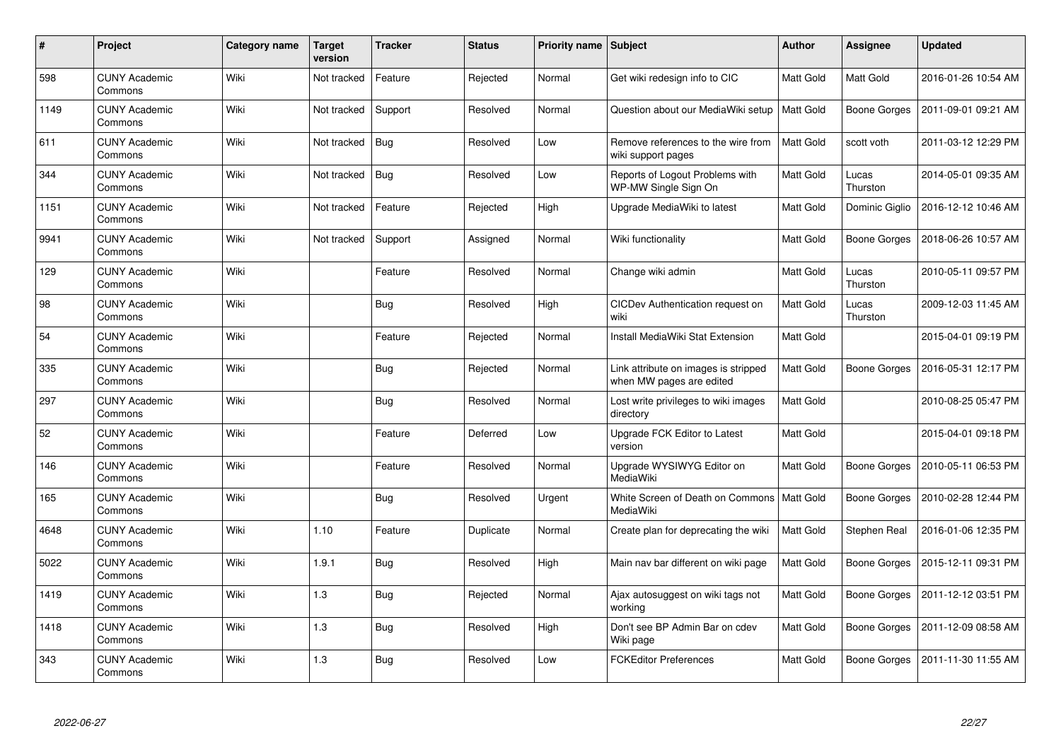| #    | Project                         | Category name | <b>Target</b><br>version | <b>Tracker</b> | <b>Status</b> | <b>Priority name</b> | Subject                                                          | <b>Author</b> | <b>Assignee</b>     | <b>Updated</b>      |
|------|---------------------------------|---------------|--------------------------|----------------|---------------|----------------------|------------------------------------------------------------------|---------------|---------------------|---------------------|
| 598  | <b>CUNY Academic</b><br>Commons | Wiki          | Not tracked              | Feature        | Rejected      | Normal               | Get wiki redesign info to CIC                                    | Matt Gold     | Matt Gold           | 2016-01-26 10:54 AM |
| 1149 | <b>CUNY Academic</b><br>Commons | Wiki          | Not tracked              | Support        | Resolved      | Normal               | Question about our MediaWiki setup                               | Matt Gold     | Boone Gorges        | 2011-09-01 09:21 AM |
| 611  | <b>CUNY Academic</b><br>Commons | Wiki          | Not tracked              | <b>Bug</b>     | Resolved      | Low                  | Remove references to the wire from<br>wiki support pages         | Matt Gold     | scott voth          | 2011-03-12 12:29 PM |
| 344  | <b>CUNY Academic</b><br>Commons | Wiki          | Not tracked              | <b>Bug</b>     | Resolved      | Low                  | Reports of Logout Problems with<br>WP-MW Single Sign On          | Matt Gold     | Lucas<br>Thurston   | 2014-05-01 09:35 AM |
| 1151 | <b>CUNY Academic</b><br>Commons | Wiki          | Not tracked              | Feature        | Rejected      | High                 | Upgrade MediaWiki to latest                                      | Matt Gold     | Dominic Giglio      | 2016-12-12 10:46 AM |
| 9941 | <b>CUNY Academic</b><br>Commons | Wiki          | Not tracked              | Support        | Assigned      | Normal               | Wiki functionality                                               | Matt Gold     | Boone Gorges        | 2018-06-26 10:57 AM |
| 129  | <b>CUNY Academic</b><br>Commons | Wiki          |                          | Feature        | Resolved      | Normal               | Change wiki admin                                                | Matt Gold     | Lucas<br>Thurston   | 2010-05-11 09:57 PM |
| 98   | <b>CUNY Academic</b><br>Commons | Wiki          |                          | Bug            | Resolved      | High                 | CICDev Authentication request on<br>wiki                         | Matt Gold     | Lucas<br>Thurston   | 2009-12-03 11:45 AM |
| 54   | <b>CUNY Academic</b><br>Commons | Wiki          |                          | Feature        | Rejected      | Normal               | Install MediaWiki Stat Extension                                 | Matt Gold     |                     | 2015-04-01 09:19 PM |
| 335  | <b>CUNY Academic</b><br>Commons | Wiki          |                          | <b>Bug</b>     | Rejected      | Normal               | Link attribute on images is stripped<br>when MW pages are edited | Matt Gold     | <b>Boone Gorges</b> | 2016-05-31 12:17 PM |
| 297  | <b>CUNY Academic</b><br>Commons | Wiki          |                          | Bug            | Resolved      | Normal               | Lost write privileges to wiki images<br>directory                | Matt Gold     |                     | 2010-08-25 05:47 PM |
| 52   | <b>CUNY Academic</b><br>Commons | Wiki          |                          | Feature        | Deferred      | Low                  | Upgrade FCK Editor to Latest<br>version                          | Matt Gold     |                     | 2015-04-01 09:18 PM |
| 146  | <b>CUNY Academic</b><br>Commons | Wiki          |                          | Feature        | Resolved      | Normal               | Upgrade WYSIWYG Editor on<br>MediaWiki                           | Matt Gold     | Boone Gorges        | 2010-05-11 06:53 PM |
| 165  | <b>CUNY Academic</b><br>Commons | Wiki          |                          | <b>Bug</b>     | Resolved      | Urgent               | White Screen of Death on Commons<br>MediaWiki                    | Matt Gold     | Boone Gorges        | 2010-02-28 12:44 PM |
| 4648 | <b>CUNY Academic</b><br>Commons | Wiki          | 1.10                     | Feature        | Duplicate     | Normal               | Create plan for deprecating the wiki                             | Matt Gold     | Stephen Real        | 2016-01-06 12:35 PM |
| 5022 | <b>CUNY Academic</b><br>Commons | Wiki          | 1.9.1                    | Bug            | Resolved      | High                 | Main nav bar different on wiki page                              | Matt Gold     | Boone Gorges        | 2015-12-11 09:31 PM |
| 1419 | <b>CUNY Academic</b><br>Commons | Wiki          | 1.3                      | <b>Bug</b>     | Rejected      | Normal               | Ajax autosuggest on wiki tags not<br>workina                     | Matt Gold     | Boone Gorges        | 2011-12-12 03:51 PM |
| 1418 | <b>CUNY Academic</b><br>Commons | Wiki          | 1.3                      | <b>Bug</b>     | Resolved      | High                 | Don't see BP Admin Bar on cdev<br>Wiki page                      | Matt Gold     | Boone Gorges        | 2011-12-09 08:58 AM |
| 343  | <b>CUNY Academic</b><br>Commons | Wiki          | 1.3                      | Bug            | Resolved      | Low                  | <b>FCKEditor Preferences</b>                                     | Matt Gold     | Boone Gorges        | 2011-11-30 11:55 AM |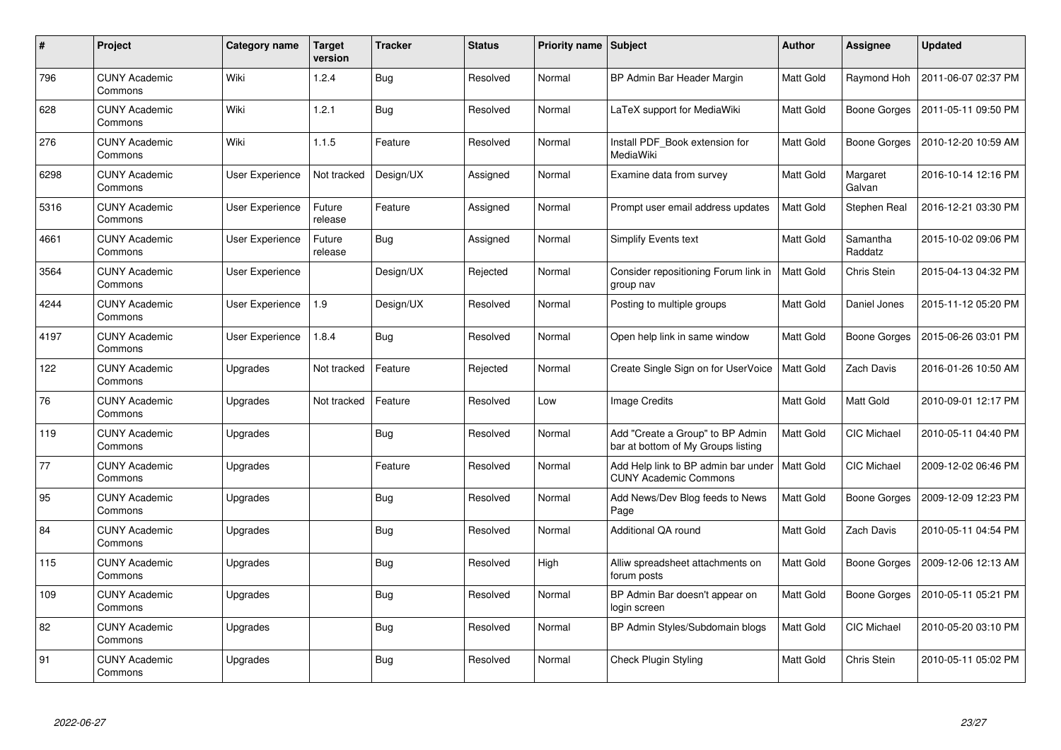| $\#$ | Project                         | Category name          | <b>Target</b><br>version | <b>Tracker</b> | <b>Status</b> | <b>Priority name   Subject</b> |                                                                        | <b>Author</b>    | Assignee            | <b>Updated</b>      |
|------|---------------------------------|------------------------|--------------------------|----------------|---------------|--------------------------------|------------------------------------------------------------------------|------------------|---------------------|---------------------|
| 796  | <b>CUNY Academic</b><br>Commons | Wiki                   | 1.2.4                    | <b>Bug</b>     | Resolved      | Normal                         | BP Admin Bar Header Margin                                             | <b>Matt Gold</b> | Raymond Hoh         | 2011-06-07 02:37 PM |
| 628  | <b>CUNY Academic</b><br>Commons | Wiki                   | 1.2.1                    | Bug            | Resolved      | Normal                         | LaTeX support for MediaWiki                                            | <b>Matt Gold</b> | Boone Gorges        | 2011-05-11 09:50 PM |
| 276  | <b>CUNY Academic</b><br>Commons | Wiki                   | 1.1.5                    | Feature        | Resolved      | Normal                         | Install PDF_Book extension for<br>MediaWiki                            | Matt Gold        | Boone Gorges        | 2010-12-20 10:59 AM |
| 6298 | <b>CUNY Academic</b><br>Commons | <b>User Experience</b> | Not tracked              | Design/UX      | Assigned      | Normal                         | Examine data from survey                                               | Matt Gold        | Margaret<br>Galvan  | 2016-10-14 12:16 PM |
| 5316 | <b>CUNY Academic</b><br>Commons | User Experience        | Future<br>release        | Feature        | Assigned      | Normal                         | Prompt user email address updates                                      | <b>Matt Gold</b> | Stephen Real        | 2016-12-21 03:30 PM |
| 4661 | <b>CUNY Academic</b><br>Commons | <b>User Experience</b> | Future<br>release        | <b>Bug</b>     | Assigned      | Normal                         | <b>Simplify Events text</b>                                            | Matt Gold        | Samantha<br>Raddatz | 2015-10-02 09:06 PM |
| 3564 | <b>CUNY Academic</b><br>Commons | <b>User Experience</b> |                          | Design/UX      | Rejected      | Normal                         | Consider repositioning Forum link in<br>group nav                      | Matt Gold        | Chris Stein         | 2015-04-13 04:32 PM |
| 4244 | <b>CUNY Academic</b><br>Commons | <b>User Experience</b> | 1.9                      | Design/UX      | Resolved      | Normal                         | Posting to multiple groups                                             | Matt Gold        | Daniel Jones        | 2015-11-12 05:20 PM |
| 4197 | <b>CUNY Academic</b><br>Commons | User Experience        | 1.8.4                    | Bug            | Resolved      | Normal                         | Open help link in same window                                          | <b>Matt Gold</b> | Boone Gorges        | 2015-06-26 03:01 PM |
| 122  | <b>CUNY Academic</b><br>Commons | Upgrades               | Not tracked              | Feature        | Rejected      | Normal                         | Create Single Sign on for UserVoice                                    | Matt Gold        | <b>Zach Davis</b>   | 2016-01-26 10:50 AM |
| 76   | <b>CUNY Academic</b><br>Commons | Upgrades               | Not tracked              | Feature        | Resolved      | Low                            | Image Credits                                                          | Matt Gold        | Matt Gold           | 2010-09-01 12:17 PM |
| 119  | <b>CUNY Academic</b><br>Commons | Upgrades               |                          | <b>Bug</b>     | Resolved      | Normal                         | Add "Create a Group" to BP Admin<br>bar at bottom of My Groups listing | <b>Matt Gold</b> | <b>CIC Michael</b>  | 2010-05-11 04:40 PM |
| 77   | <b>CUNY Academic</b><br>Commons | Upgrades               |                          | Feature        | Resolved      | Normal                         | Add Help link to BP admin bar under<br><b>CUNY Academic Commons</b>    | <b>Matt Gold</b> | CIC Michael         | 2009-12-02 06:46 PM |
| 95   | <b>CUNY Academic</b><br>Commons | Upgrades               |                          | Bug            | Resolved      | Normal                         | Add News/Dev Blog feeds to News<br>Page                                | Matt Gold        | Boone Gorges        | 2009-12-09 12:23 PM |
| 84   | <b>CUNY Academic</b><br>Commons | Upgrades               |                          | Bug            | Resolved      | Normal                         | Additional QA round                                                    | <b>Matt Gold</b> | Zach Davis          | 2010-05-11 04:54 PM |
| 115  | <b>CUNY Academic</b><br>Commons | Upgrades               |                          | <b>Bug</b>     | Resolved      | High                           | Alliw spreadsheet attachments on<br>forum posts                        | <b>Matt Gold</b> | Boone Gorges        | 2009-12-06 12:13 AM |
| 109  | <b>CUNY Academic</b><br>Commons | Upgrades               |                          | Bug            | Resolved      | Normal                         | BP Admin Bar doesn't appear on<br>login screen                         | <b>Matt Gold</b> | Boone Gorges        | 2010-05-11 05:21 PM |
| 82   | <b>CUNY Academic</b><br>Commons | Upgrades               |                          | <b>Bug</b>     | Resolved      | Normal                         | BP Admin Styles/Subdomain blogs                                        | Matt Gold        | CIC Michael         | 2010-05-20 03:10 PM |
| 91   | <b>CUNY Academic</b><br>Commons | Upgrades               |                          | Bug            | Resolved      | Normal                         | <b>Check Plugin Styling</b>                                            | <b>Matt Gold</b> | Chris Stein         | 2010-05-11 05:02 PM |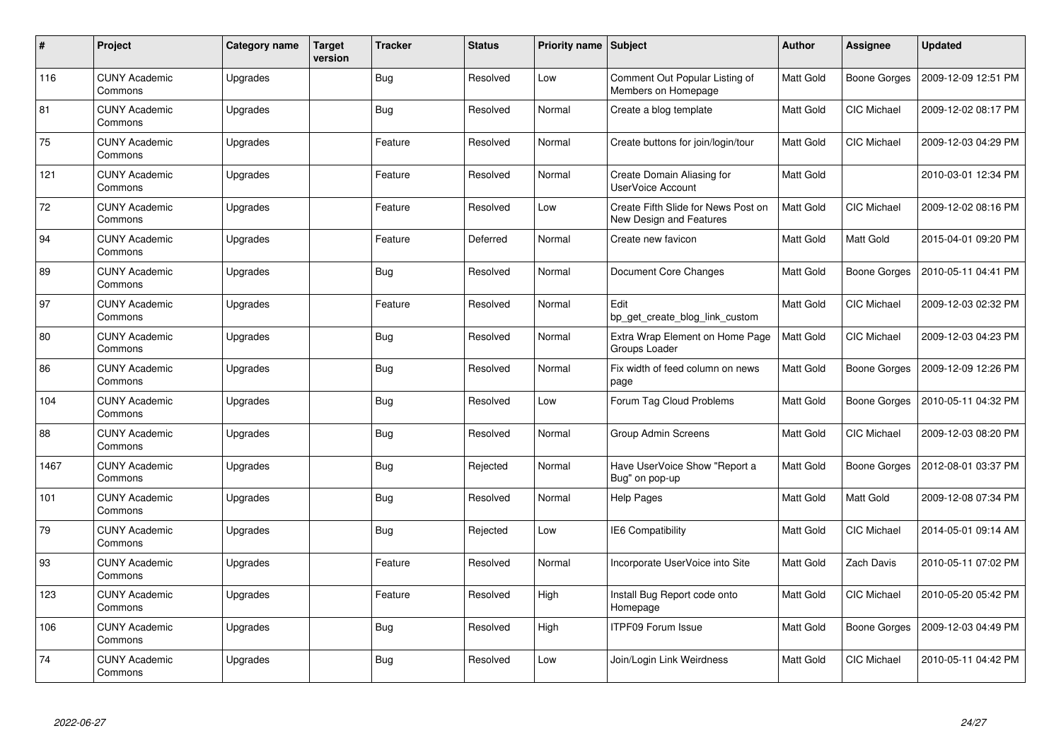| $\#$ | Project                         | Category name | <b>Target</b><br>version | <b>Tracker</b> | <b>Status</b> | <b>Priority name   Subject</b> |                                                                | <b>Author</b>    | Assignee            | <b>Updated</b>      |
|------|---------------------------------|---------------|--------------------------|----------------|---------------|--------------------------------|----------------------------------------------------------------|------------------|---------------------|---------------------|
| 116  | <b>CUNY Academic</b><br>Commons | Upgrades      |                          | <b>Bug</b>     | Resolved      | Low                            | Comment Out Popular Listing of<br>Members on Homepage          | <b>Matt Gold</b> | <b>Boone Gorges</b> | 2009-12-09 12:51 PM |
| 81   | <b>CUNY Academic</b><br>Commons | Upgrades      |                          | Bug            | Resolved      | Normal                         | Create a blog template                                         | <b>Matt Gold</b> | <b>CIC Michael</b>  | 2009-12-02 08:17 PM |
| 75   | <b>CUNY Academic</b><br>Commons | Upgrades      |                          | Feature        | Resolved      | Normal                         | Create buttons for join/login/tour                             | <b>Matt Gold</b> | CIC Michael         | 2009-12-03 04:29 PM |
| 121  | <b>CUNY Academic</b><br>Commons | Upgrades      |                          | Feature        | Resolved      | Normal                         | Create Domain Aliasing for<br>UserVoice Account                | Matt Gold        |                     | 2010-03-01 12:34 PM |
| 72   | <b>CUNY Academic</b><br>Commons | Upgrades      |                          | Feature        | Resolved      | Low                            | Create Fifth Slide for News Post on<br>New Design and Features | <b>Matt Gold</b> | CIC Michael         | 2009-12-02 08:16 PM |
| 94   | <b>CUNY Academic</b><br>Commons | Upgrades      |                          | Feature        | Deferred      | Normal                         | Create new favicon                                             | Matt Gold        | <b>Matt Gold</b>    | 2015-04-01 09:20 PM |
| 89   | <b>CUNY Academic</b><br>Commons | Upgrades      |                          | <b>Bug</b>     | Resolved      | Normal                         | Document Core Changes                                          | Matt Gold        | <b>Boone Gorges</b> | 2010-05-11 04:41 PM |
| 97   | <b>CUNY Academic</b><br>Commons | Upgrades      |                          | Feature        | Resolved      | Normal                         | Edit<br>bp get create blog link custom                         | Matt Gold        | CIC Michael         | 2009-12-03 02:32 PM |
| 80   | <b>CUNY Academic</b><br>Commons | Upgrades      |                          | <b>Bug</b>     | Resolved      | Normal                         | Extra Wrap Element on Home Page<br>Groups Loader               | <b>Matt Gold</b> | <b>CIC Michael</b>  | 2009-12-03 04:23 PM |
| 86   | <b>CUNY Academic</b><br>Commons | Upgrades      |                          | <b>Bug</b>     | Resolved      | Normal                         | Fix width of feed column on news<br>page                       | Matt Gold        | Boone Gorges        | 2009-12-09 12:26 PM |
| 104  | <b>CUNY Academic</b><br>Commons | Upgrades      |                          | <b>Bug</b>     | Resolved      | Low                            | Forum Tag Cloud Problems                                       | Matt Gold        | Boone Gorges        | 2010-05-11 04:32 PM |
| 88   | <b>CUNY Academic</b><br>Commons | Upgrades      |                          | Bug            | Resolved      | Normal                         | <b>Group Admin Screens</b>                                     | <b>Matt Gold</b> | CIC Michael         | 2009-12-03 08:20 PM |
| 1467 | <b>CUNY Academic</b><br>Commons | Upgrades      |                          | Bug            | Rejected      | Normal                         | Have UserVoice Show "Report a<br>Bug" on pop-up                | <b>Matt Gold</b> | Boone Gorges        | 2012-08-01 03:37 PM |
| 101  | <b>CUNY Academic</b><br>Commons | Upgrades      |                          | Bug            | Resolved      | Normal                         | Help Pages                                                     | Matt Gold        | Matt Gold           | 2009-12-08 07:34 PM |
| 79   | <b>CUNY Academic</b><br>Commons | Upgrades      |                          | <b>Bug</b>     | Rejected      | Low                            | <b>IE6 Compatibility</b>                                       | <b>Matt Gold</b> | CIC Michael         | 2014-05-01 09:14 AM |
| 93   | <b>CUNY Academic</b><br>Commons | Upgrades      |                          | Feature        | Resolved      | Normal                         | Incorporate UserVoice into Site                                | <b>Matt Gold</b> | Zach Davis          | 2010-05-11 07:02 PM |
| 123  | <b>CUNY Academic</b><br>Commons | Upgrades      |                          | Feature        | Resolved      | High                           | Install Bug Report code onto<br>Homepage                       | <b>Matt Gold</b> | CIC Michael         | 2010-05-20 05:42 PM |
| 106  | <b>CUNY Academic</b><br>Commons | Upgrades      |                          | <b>Bug</b>     | Resolved      | High                           | <b>ITPF09 Forum Issue</b>                                      | Matt Gold        | Boone Gorges        | 2009-12-03 04:49 PM |
| 74   | <b>CUNY Academic</b><br>Commons | Upgrades      |                          | Bug            | Resolved      | Low                            | Join/Login Link Weirdness                                      | <b>Matt Gold</b> | <b>CIC Michael</b>  | 2010-05-11 04:42 PM |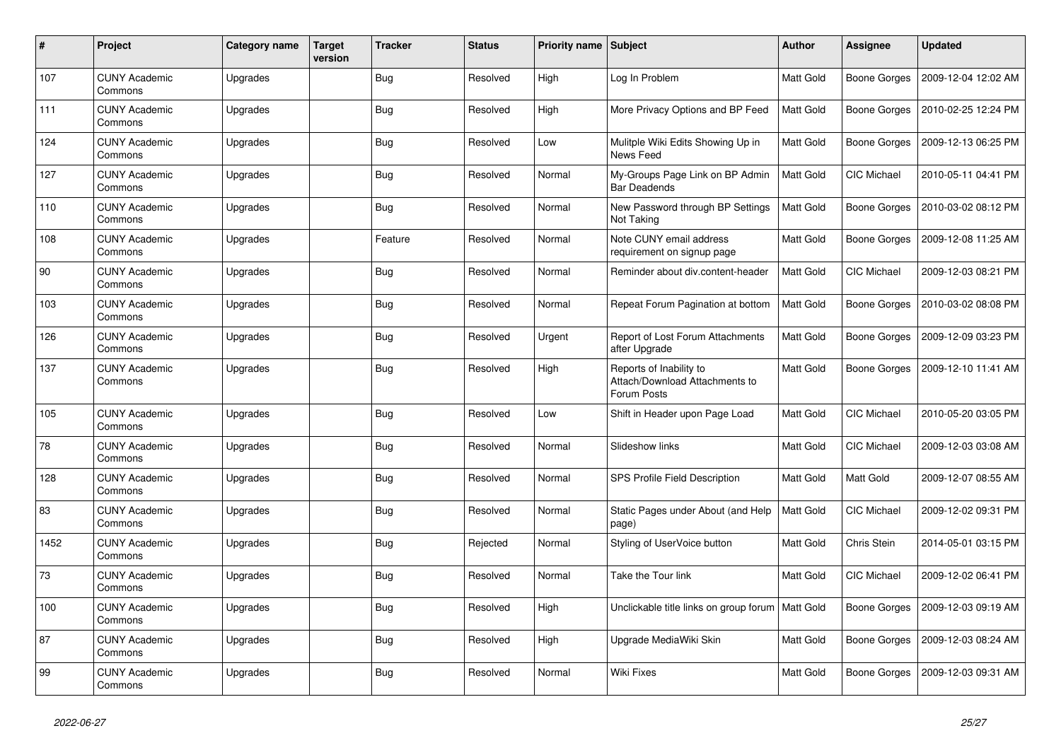| $\#$ | <b>Project</b>                  | Category name | <b>Target</b><br>version | <b>Tracker</b> | <b>Status</b> | Priority name Subject |                                                                          | Author    | Assignee            | <b>Updated</b>      |
|------|---------------------------------|---------------|--------------------------|----------------|---------------|-----------------------|--------------------------------------------------------------------------|-----------|---------------------|---------------------|
| 107  | <b>CUNY Academic</b><br>Commons | Upgrades      |                          | <b>Bug</b>     | Resolved      | High                  | Log In Problem                                                           | Matt Gold | Boone Gorges        | 2009-12-04 12:02 AM |
| 111  | <b>CUNY Academic</b><br>Commons | Upgrades      |                          | <b>Bug</b>     | Resolved      | High                  | More Privacy Options and BP Feed                                         | Matt Gold | Boone Gorges        | 2010-02-25 12:24 PM |
| 124  | <b>CUNY Academic</b><br>Commons | Upgrades      |                          | Bug            | Resolved      | Low                   | Mulitple Wiki Edits Showing Up in<br>News Feed                           | Matt Gold | Boone Gorges        | 2009-12-13 06:25 PM |
| 127  | <b>CUNY Academic</b><br>Commons | Upgrades      |                          | Bug            | Resolved      | Normal                | My-Groups Page Link on BP Admin<br><b>Bar Deadends</b>                   | Matt Gold | CIC Michael         | 2010-05-11 04:41 PM |
| 110  | <b>CUNY Academic</b><br>Commons | Upgrades      |                          | <b>Bug</b>     | Resolved      | Normal                | New Password through BP Settings<br>Not Taking                           | Matt Gold | Boone Gorges        | 2010-03-02 08:12 PM |
| 108  | <b>CUNY Academic</b><br>Commons | Upgrades      |                          | Feature        | Resolved      | Normal                | Note CUNY email address<br>requirement on signup page                    | Matt Gold | Boone Gorges        | 2009-12-08 11:25 AM |
| 90   | <b>CUNY Academic</b><br>Commons | Upgrades      |                          | <b>Bug</b>     | Resolved      | Normal                | Reminder about div.content-header                                        | Matt Gold | CIC Michael         | 2009-12-03 08:21 PM |
| 103  | <b>CUNY Academic</b><br>Commons | Upgrades      |                          | <b>Bug</b>     | Resolved      | Normal                | Repeat Forum Pagination at bottom                                        | Matt Gold | Boone Gorges        | 2010-03-02 08:08 PM |
| 126  | <b>CUNY Academic</b><br>Commons | Upgrades      |                          | <b>Bug</b>     | Resolved      | Urgent                | Report of Lost Forum Attachments<br>after Upgrade                        | Matt Gold | Boone Gorges        | 2009-12-09 03:23 PM |
| 137  | <b>CUNY Academic</b><br>Commons | Upgrades      |                          | <b>Bug</b>     | Resolved      | High                  | Reports of Inability to<br>Attach/Download Attachments to<br>Forum Posts | Matt Gold | Boone Gorges        | 2009-12-10 11:41 AM |
| 105  | <b>CUNY Academic</b><br>Commons | Upgrades      |                          | <b>Bug</b>     | Resolved      | Low                   | Shift in Header upon Page Load                                           | Matt Gold | <b>CIC Michael</b>  | 2010-05-20 03:05 PM |
| 78   | <b>CUNY Academic</b><br>Commons | Upgrades      |                          | <b>Bug</b>     | Resolved      | Normal                | Slideshow links                                                          | Matt Gold | <b>CIC Michael</b>  | 2009-12-03 03:08 AM |
| 128  | <b>CUNY Academic</b><br>Commons | Upgrades      |                          | <b>Bug</b>     | Resolved      | Normal                | <b>SPS Profile Field Description</b>                                     | Matt Gold | Matt Gold           | 2009-12-07 08:55 AM |
| 83   | <b>CUNY Academic</b><br>Commons | Upgrades      |                          | <b>Bug</b>     | Resolved      | Normal                | Static Pages under About (and Help<br>page)                              | Matt Gold | <b>CIC Michael</b>  | 2009-12-02 09:31 PM |
| 1452 | <b>CUNY Academic</b><br>Commons | Upgrades      |                          | Bug            | Rejected      | Normal                | Styling of UserVoice button                                              | Matt Gold | Chris Stein         | 2014-05-01 03:15 PM |
| 73   | <b>CUNY Academic</b><br>Commons | Upgrades      |                          | <b>Bug</b>     | Resolved      | Normal                | Take the Tour link                                                       | Matt Gold | <b>CIC Michael</b>  | 2009-12-02 06:41 PM |
| 100  | <b>CUNY Academic</b><br>Commons | Upgrades      |                          | Bug            | Resolved      | High                  | Unclickable title links on group forum                                   | Matt Gold | <b>Boone Gorges</b> | 2009-12-03 09:19 AM |
| 87   | <b>CUNY Academic</b><br>Commons | Upgrades      |                          | <b>Bug</b>     | Resolved      | High                  | Upgrade MediaWiki Skin                                                   | Matt Gold | Boone Gorges        | 2009-12-03 08:24 AM |
| 99   | <b>CUNY Academic</b><br>Commons | Upgrades      |                          | <b>Bug</b>     | Resolved      | Normal                | <b>Wiki Fixes</b>                                                        | Matt Gold | Boone Gorges        | 2009-12-03 09:31 AM |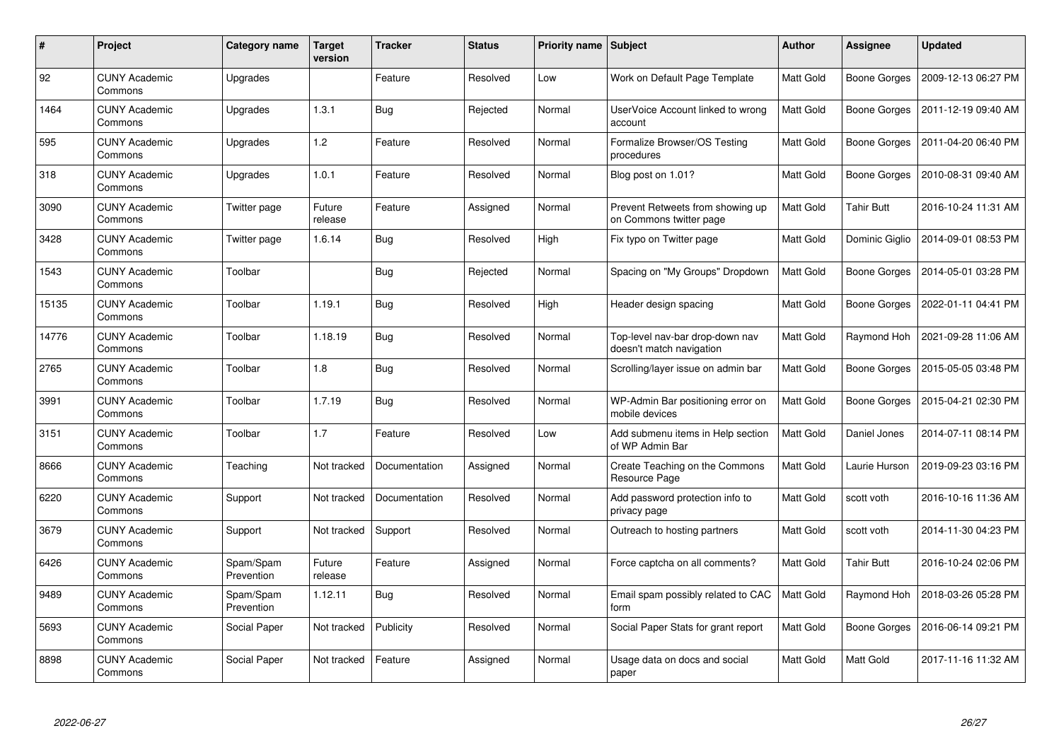| #     | Project                         | Category name           | <b>Target</b><br>version | <b>Tracker</b> | <b>Status</b> | Priority name   Subject |                                                             | <b>Author</b>    | <b>Assignee</b>     | <b>Updated</b>      |
|-------|---------------------------------|-------------------------|--------------------------|----------------|---------------|-------------------------|-------------------------------------------------------------|------------------|---------------------|---------------------|
| 92    | <b>CUNY Academic</b><br>Commons | Upgrades                |                          | Feature        | Resolved      | Low                     | Work on Default Page Template                               | <b>Matt Gold</b> | Boone Gorges        | 2009-12-13 06:27 PM |
| 1464  | <b>CUNY Academic</b><br>Commons | Upgrades                | 1.3.1                    | <b>Bug</b>     | Rejected      | Normal                  | UserVoice Account linked to wrong<br>account                | Matt Gold        | Boone Gorges        | 2011-12-19 09:40 AM |
| 595   | <b>CUNY Academic</b><br>Commons | Upgrades                | 1.2                      | Feature        | Resolved      | Normal                  | Formalize Browser/OS Testing<br>procedures                  | Matt Gold        | <b>Boone Gorges</b> | 2011-04-20 06:40 PM |
| 318   | <b>CUNY Academic</b><br>Commons | Upgrades                | 1.0.1                    | Feature        | Resolved      | Normal                  | Blog post on 1.01?                                          | Matt Gold        | <b>Boone Gorges</b> | 2010-08-31 09:40 AM |
| 3090  | <b>CUNY Academic</b><br>Commons | Twitter page            | Future<br>release        | Feature        | Assigned      | Normal                  | Prevent Retweets from showing up<br>on Commons twitter page | Matt Gold        | <b>Tahir Butt</b>   | 2016-10-24 11:31 AM |
| 3428  | <b>CUNY Academic</b><br>Commons | Twitter page            | 1.6.14                   | <b>Bug</b>     | Resolved      | High                    | Fix typo on Twitter page                                    | Matt Gold        | Dominic Giglio      | 2014-09-01 08:53 PM |
| 1543  | <b>CUNY Academic</b><br>Commons | Toolbar                 |                          | <b>Bug</b>     | Rejected      | Normal                  | Spacing on "My Groups" Dropdown                             | Matt Gold        | <b>Boone Gorges</b> | 2014-05-01 03:28 PM |
| 15135 | <b>CUNY Academic</b><br>Commons | Toolbar                 | 1.19.1                   | Bug            | Resolved      | High                    | Header design spacing                                       | Matt Gold        | Boone Gorges        | 2022-01-11 04:41 PM |
| 14776 | <b>CUNY Academic</b><br>Commons | Toolbar                 | 1.18.19                  | <b>Bug</b>     | Resolved      | Normal                  | Top-level nav-bar drop-down nav<br>doesn't match navigation | Matt Gold        | Raymond Hoh         | 2021-09-28 11:06 AM |
| 2765  | <b>CUNY Academic</b><br>Commons | Toolbar                 | 1.8                      | Bug            | Resolved      | Normal                  | Scrolling/layer issue on admin bar                          | Matt Gold        | Boone Gorges        | 2015-05-05 03:48 PM |
| 3991  | <b>CUNY Academic</b><br>Commons | Toolbar                 | 1.7.19                   | Bug            | Resolved      | Normal                  | WP-Admin Bar positioning error on<br>mobile devices         | Matt Gold        | Boone Gorges        | 2015-04-21 02:30 PM |
| 3151  | <b>CUNY Academic</b><br>Commons | Toolbar                 | 1.7                      | Feature        | Resolved      | Low                     | Add submenu items in Help section<br>of WP Admin Bar        | Matt Gold        | Daniel Jones        | 2014-07-11 08:14 PM |
| 8666  | <b>CUNY Academic</b><br>Commons | Teaching                | Not tracked              | Documentation  | Assigned      | Normal                  | Create Teaching on the Commons<br>Resource Page             | Matt Gold        | Laurie Hurson       | 2019-09-23 03:16 PM |
| 6220  | <b>CUNY Academic</b><br>Commons | Support                 | Not tracked              | Documentation  | Resolved      | Normal                  | Add password protection info to<br>privacy page             | Matt Gold        | scott voth          | 2016-10-16 11:36 AM |
| 3679  | <b>CUNY Academic</b><br>Commons | Support                 | Not tracked              | Support        | Resolved      | Normal                  | Outreach to hosting partners                                | Matt Gold        | scott voth          | 2014-11-30 04:23 PM |
| 6426  | <b>CUNY Academic</b><br>Commons | Spam/Spam<br>Prevention | Future<br>release        | Feature        | Assigned      | Normal                  | Force captcha on all comments?                              | Matt Gold        | <b>Tahir Butt</b>   | 2016-10-24 02:06 PM |
| 9489  | <b>CUNY Academic</b><br>Commons | Spam/Spam<br>Prevention | 1.12.11                  | Bug            | Resolved      | Normal                  | Email spam possibly related to CAC<br>form                  | Matt Gold        | Raymond Hoh         | 2018-03-26 05:28 PM |
| 5693  | <b>CUNY Academic</b><br>Commons | Social Paper            | Not tracked              | Publicity      | Resolved      | Normal                  | Social Paper Stats for grant report                         | Matt Gold        | Boone Gorges        | 2016-06-14 09:21 PM |
| 8898  | <b>CUNY Academic</b><br>Commons | Social Paper            | Not tracked              | Feature        | Assigned      | Normal                  | Usage data on docs and social<br>paper                      | Matt Gold        | Matt Gold           | 2017-11-16 11:32 AM |